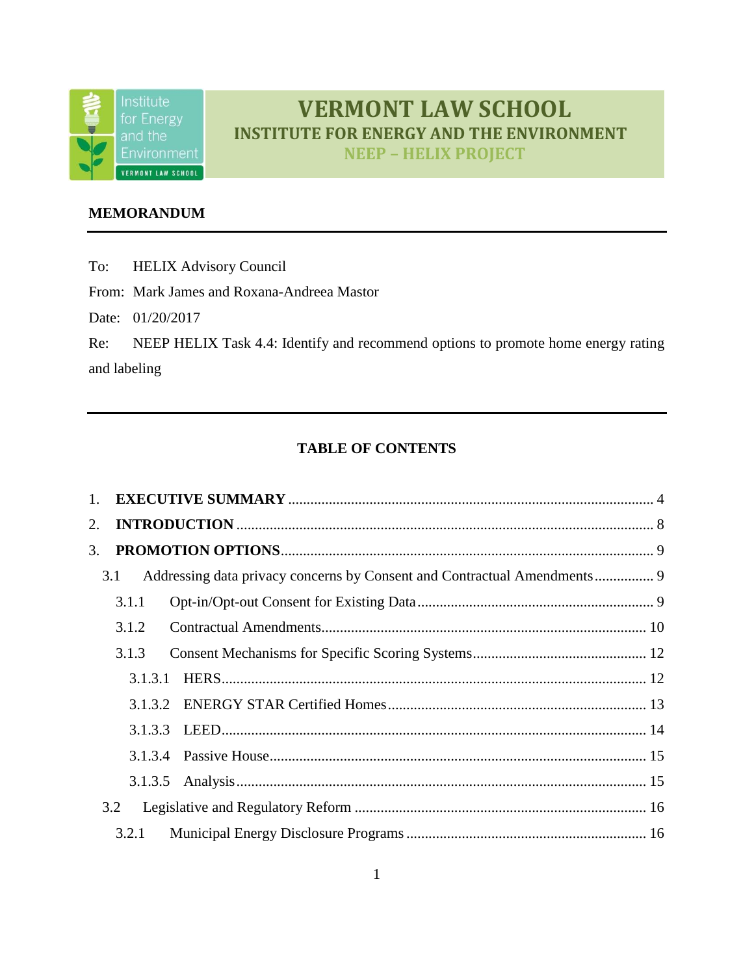

# **VERMONT LAW SCHOOL INSTITUTE FOR ENERGY AND THE ENVIRONMENT**

**NEEP – HELIX PROJECT**

## **MEMORANDUM**

To: HELIX Advisory Council

From: Mark James and Roxana-Andreea Mastor

Date: 01/20/2017

Re: NEEP HELIX Task 4.4: Identify and recommend options to promote home energy rating and labeling

# **TABLE OF CONTENTS**

| 2. |                                                                                 |  |
|----|---------------------------------------------------------------------------------|--|
| 3. |                                                                                 |  |
|    | Addressing data privacy concerns by Consent and Contractual Amendments 9<br>3.1 |  |
|    | 3.1.1                                                                           |  |
|    | 3.1.2                                                                           |  |
|    | 3.1.3                                                                           |  |
|    | 3.1.3.1                                                                         |  |
|    |                                                                                 |  |
|    |                                                                                 |  |
|    |                                                                                 |  |
|    |                                                                                 |  |
|    | 3.2                                                                             |  |
|    | 3.2.1                                                                           |  |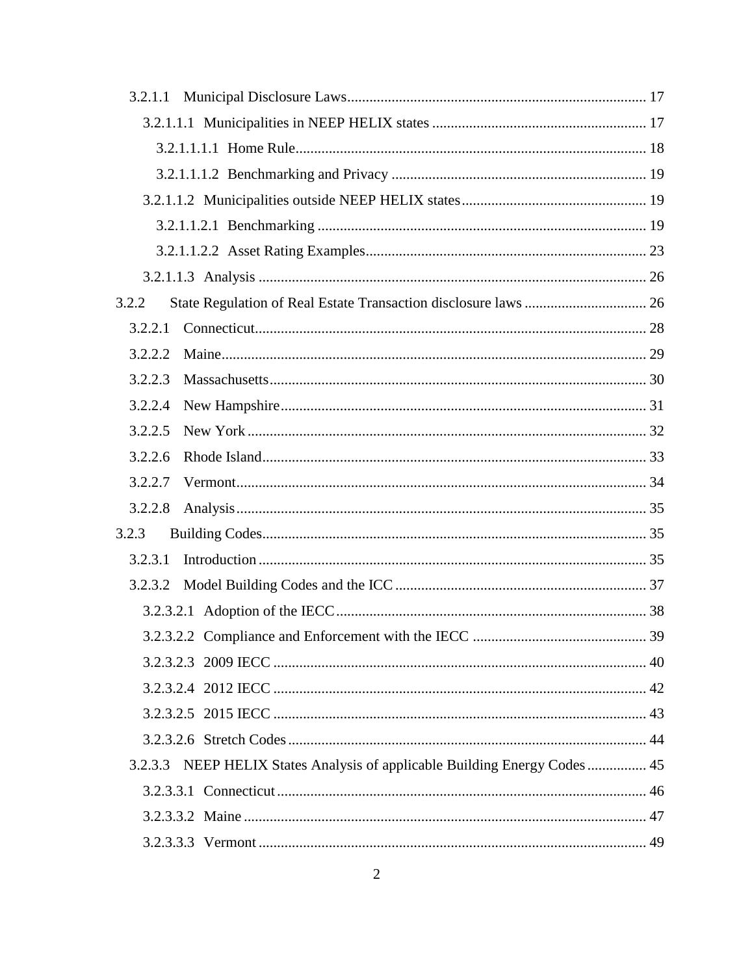| 3.2.1.1 |                                                                            |    |
|---------|----------------------------------------------------------------------------|----|
|         |                                                                            |    |
|         |                                                                            |    |
|         |                                                                            |    |
|         |                                                                            |    |
|         |                                                                            |    |
|         |                                                                            |    |
|         |                                                                            |    |
| 3.2.2   |                                                                            |    |
| 3.2.2.1 |                                                                            |    |
| 3.2.2.2 |                                                                            |    |
| 3.2.2.3 |                                                                            |    |
| 3.2.2.4 |                                                                            |    |
| 3.2.2.5 |                                                                            |    |
| 3.2.2.6 |                                                                            |    |
| 3.2.2.7 |                                                                            |    |
| 3.2.2.8 |                                                                            |    |
| 3.2.3   |                                                                            |    |
| 3.2.3.1 |                                                                            |    |
| 3.2.3.2 |                                                                            |    |
|         |                                                                            |    |
|         |                                                                            | 39 |
|         |                                                                            |    |
|         |                                                                            |    |
|         |                                                                            |    |
|         |                                                                            |    |
|         | 3.2.3.3 NEEP HELIX States Analysis of applicable Building Energy Codes  45 |    |
|         |                                                                            |    |
|         |                                                                            |    |
|         |                                                                            |    |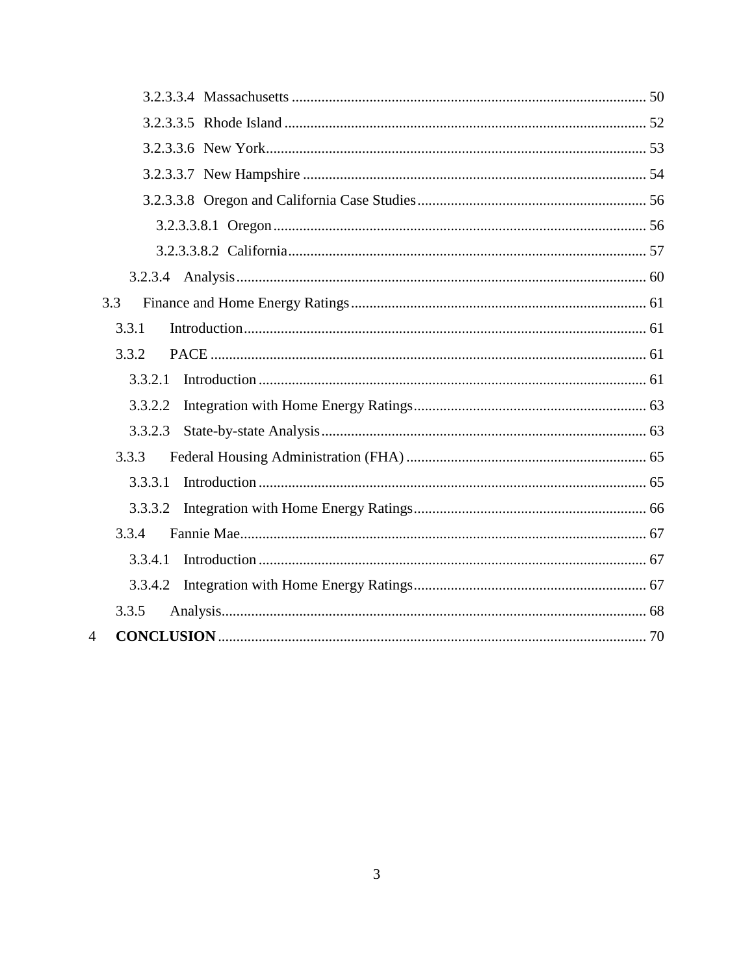| 3.3            |  |
|----------------|--|
| 3.3.1          |  |
| 3.3.2          |  |
| 3.3.2.1        |  |
| 3.3.2.2        |  |
| 3.3.2.3        |  |
| 3.3.3          |  |
| 3.3.3.1        |  |
| 3.3.3.2        |  |
| 3.3.4          |  |
| 3.3.4.1        |  |
| 3.3.4.2        |  |
| 3.3.5          |  |
| $\overline{4}$ |  |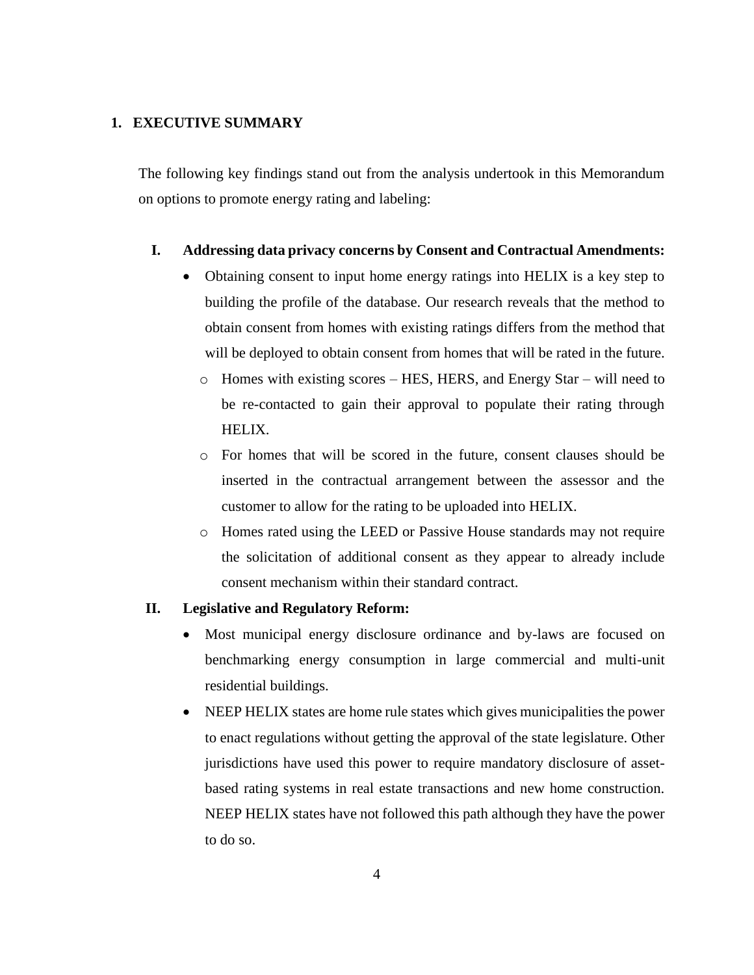## <span id="page-3-0"></span>**1. EXECUTIVE SUMMARY**

The following key findings stand out from the analysis undertook in this Memorandum on options to promote energy rating and labeling:

#### **I. Addressing data privacy concerns by Consent and Contractual Amendments:**

- Obtaining consent to input home energy ratings into HELIX is a key step to building the profile of the database. Our research reveals that the method to obtain consent from homes with existing ratings differs from the method that will be deployed to obtain consent from homes that will be rated in the future.
	- o Homes with existing scores HES, HERS, and Energy Star will need to be re-contacted to gain their approval to populate their rating through HELIX.
	- o For homes that will be scored in the future, consent clauses should be inserted in the contractual arrangement between the assessor and the customer to allow for the rating to be uploaded into HELIX.
	- o Homes rated using the LEED or Passive House standards may not require the solicitation of additional consent as they appear to already include consent mechanism within their standard contract.

#### **II. Legislative and Regulatory Reform:**

- Most municipal energy disclosure ordinance and by-laws are focused on benchmarking energy consumption in large commercial and multi-unit residential buildings.
- NEEP HELIX states are home rule states which gives municipalities the power to enact regulations without getting the approval of the state legislature. Other jurisdictions have used this power to require mandatory disclosure of assetbased rating systems in real estate transactions and new home construction. NEEP HELIX states have not followed this path although they have the power to do so.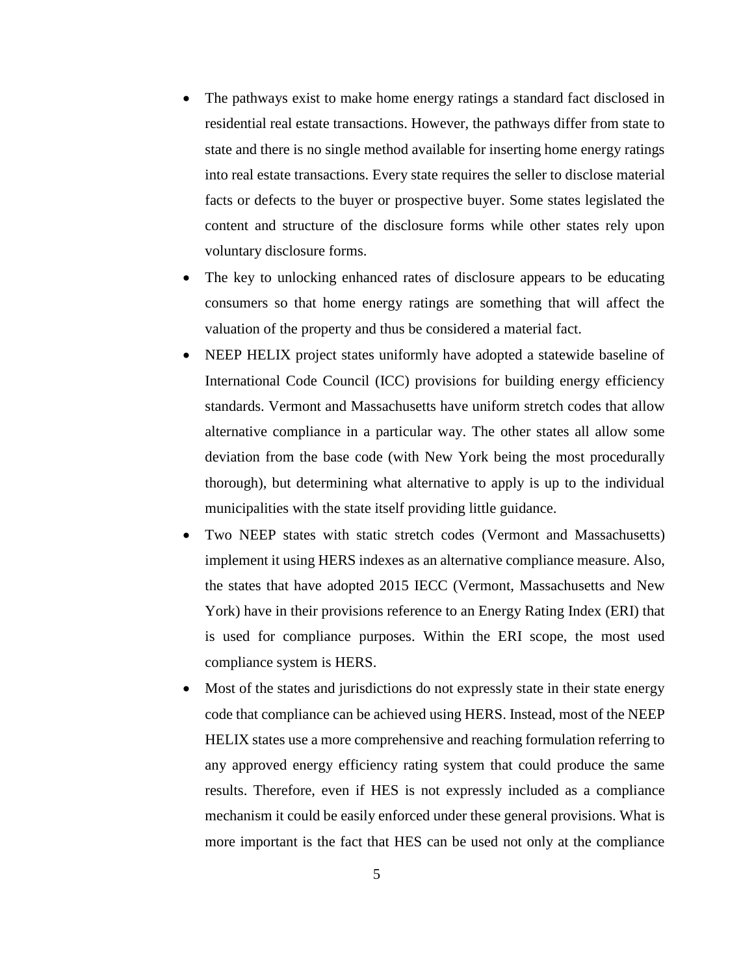- The pathways exist to make home energy ratings a standard fact disclosed in residential real estate transactions. However, the pathways differ from state to state and there is no single method available for inserting home energy ratings into real estate transactions. Every state requires the seller to disclose material facts or defects to the buyer or prospective buyer. Some states legislated the content and structure of the disclosure forms while other states rely upon voluntary disclosure forms.
- The key to unlocking enhanced rates of disclosure appears to be educating consumers so that home energy ratings are something that will affect the valuation of the property and thus be considered a material fact.
- NEEP HELIX project states uniformly have adopted a statewide baseline of International Code Council (ICC) provisions for building energy efficiency standards. Vermont and Massachusetts have uniform stretch codes that allow alternative compliance in a particular way. The other states all allow some deviation from the base code (with New York being the most procedurally thorough), but determining what alternative to apply is up to the individual municipalities with the state itself providing little guidance.
- Two NEEP states with static stretch codes (Vermont and Massachusetts) implement it using HERS indexes as an alternative compliance measure. Also, the states that have adopted 2015 IECC (Vermont, Massachusetts and New York) have in their provisions reference to an Energy Rating Index (ERI) that is used for compliance purposes. Within the ERI scope, the most used compliance system is HERS.
- Most of the states and jurisdictions do not expressly state in their state energy code that compliance can be achieved using HERS. Instead, most of the NEEP HELIX states use a more comprehensive and reaching formulation referring to any approved energy efficiency rating system that could produce the same results. Therefore, even if HES is not expressly included as a compliance mechanism it could be easily enforced under these general provisions. What is more important is the fact that HES can be used not only at the compliance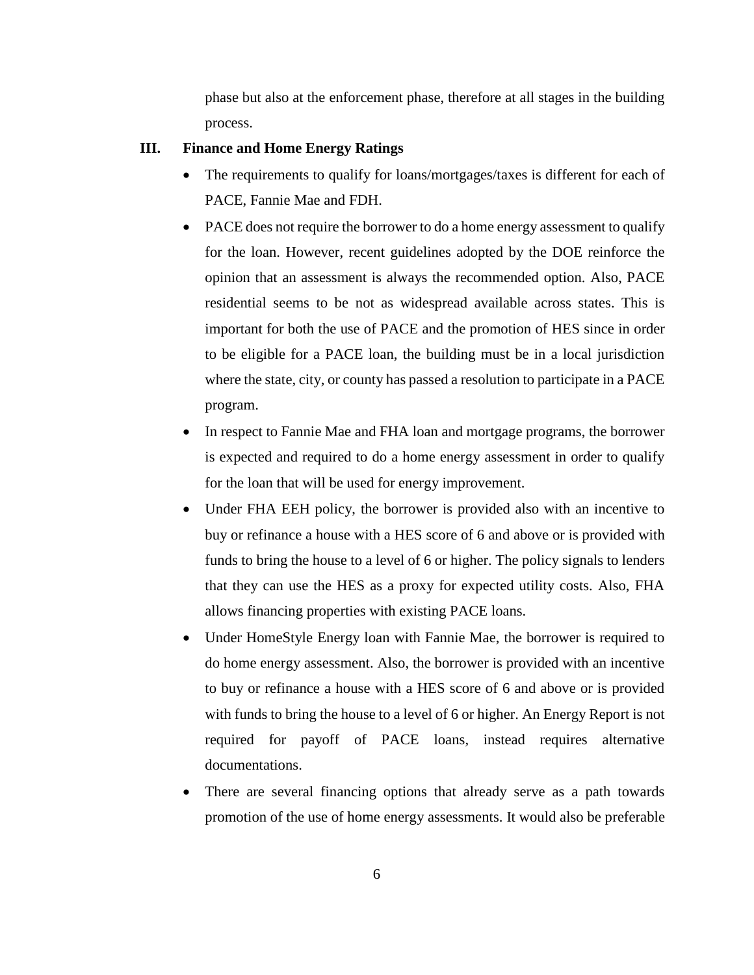phase but also at the enforcement phase, therefore at all stages in the building process.

## **III. Finance and Home Energy Ratings**

- The requirements to qualify for loans/mortgages/taxes is different for each of PACE, Fannie Mae and FDH.
- PACE does not require the borrower to do a home energy assessment to qualify for the loan. However, recent guidelines adopted by the DOE reinforce the opinion that an assessment is always the recommended option. Also, PACE residential seems to be not as widespread available across states. This is important for both the use of PACE and the promotion of HES since in order to be eligible for a PACE loan, the building must be in a local jurisdiction where the state, city, or county has passed a resolution to participate in a PACE program.
- In respect to Fannie Mae and FHA loan and mortgage programs, the borrower is expected and required to do a home energy assessment in order to qualify for the loan that will be used for energy improvement.
- Under FHA EEH policy, the borrower is provided also with an incentive to buy or refinance a house with a HES score of 6 and above or is provided with funds to bring the house to a level of 6 or higher. The policy signals to lenders that they can use the HES as a proxy for expected utility costs. Also, FHA allows financing properties with existing PACE loans.
- Under HomeStyle Energy loan with Fannie Mae, the borrower is required to do home energy assessment. Also, the borrower is provided with an incentive to buy or refinance a house with a HES score of 6 and above or is provided with funds to bring the house to a level of 6 or higher. An Energy Report is not required for payoff of PACE loans, instead requires alternative documentations.
- There are several financing options that already serve as a path towards promotion of the use of home energy assessments. It would also be preferable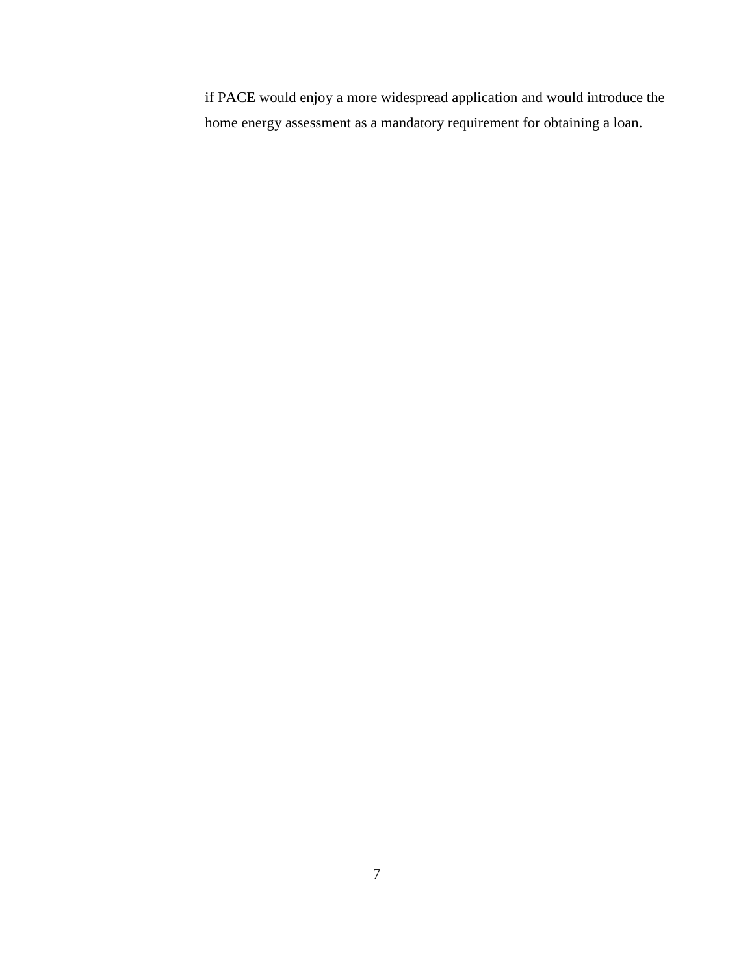if PACE would enjoy a more widespread application and would introduce the home energy assessment as a mandatory requirement for obtaining a loan.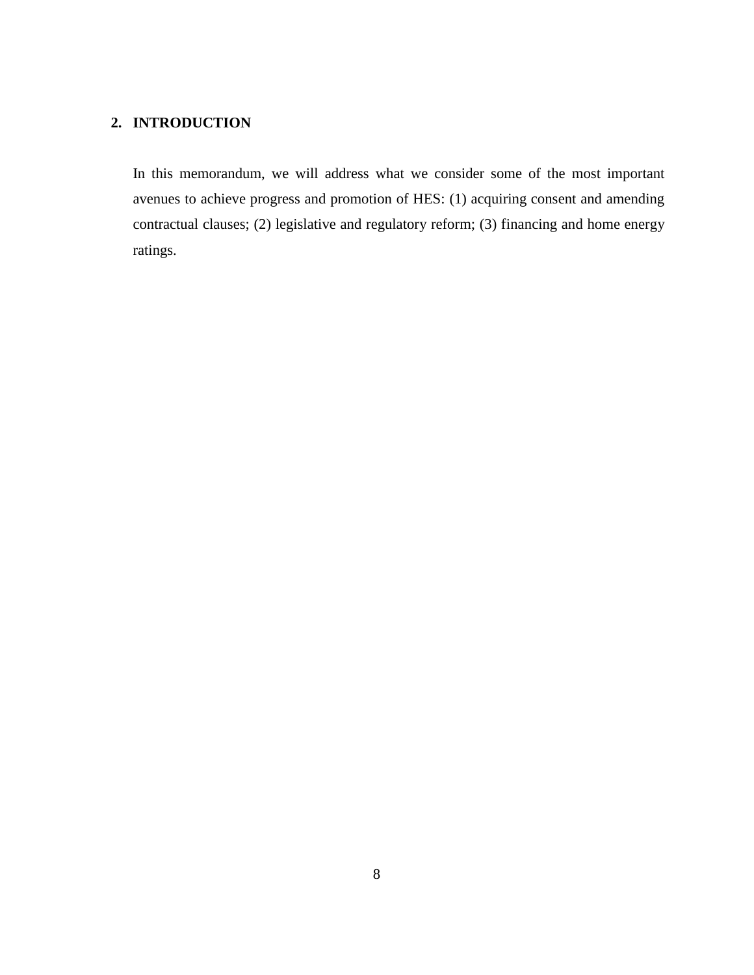# <span id="page-7-0"></span>**2. INTRODUCTION**

In this memorandum, we will address what we consider some of the most important avenues to achieve progress and promotion of HES: (1) acquiring consent and amending contractual clauses; (2) legislative and regulatory reform; (3) financing and home energy ratings.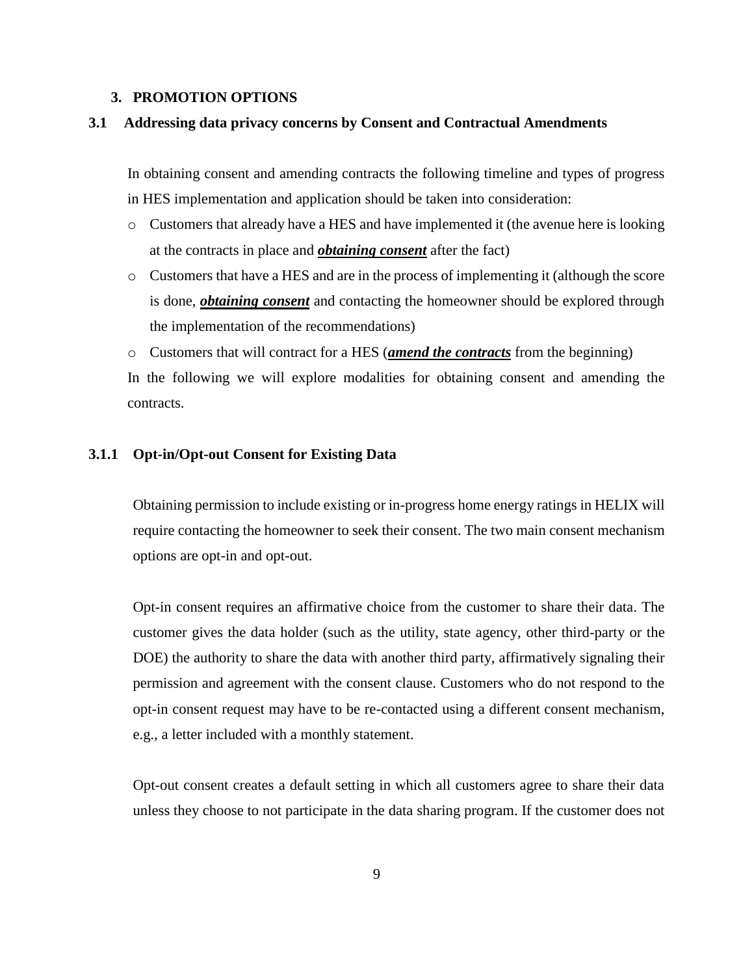#### <span id="page-8-1"></span><span id="page-8-0"></span>**3. PROMOTION OPTIONS**

#### **3.1 Addressing data privacy concerns by Consent and Contractual Amendments**

In obtaining consent and amending contracts the following timeline and types of progress in HES implementation and application should be taken into consideration:

- o Customers that already have a HES and have implemented it (the avenue here is looking at the contracts in place and *obtaining consent* after the fact)
- o Customers that have a HES and are in the process of implementing it (although the score is done, *obtaining consent* and contacting the homeowner should be explored through the implementation of the recommendations)

o Customers that will contract for a HES (*amend the contracts* from the beginning) In the following we will explore modalities for obtaining consent and amending the contracts.

#### <span id="page-8-2"></span>**3.1.1 Opt-in/Opt-out Consent for Existing Data**

Obtaining permission to include existing or in-progress home energy ratings in HELIX will require contacting the homeowner to seek their consent. The two main consent mechanism options are opt-in and opt-out.

Opt-in consent requires an affirmative choice from the customer to share their data. The customer gives the data holder (such as the utility, state agency, other third-party or the DOE) the authority to share the data with another third party, affirmatively signaling their permission and agreement with the consent clause. Customers who do not respond to the opt-in consent request may have to be re-contacted using a different consent mechanism, e.g., a letter included with a monthly statement.

Opt-out consent creates a default setting in which all customers agree to share their data unless they choose to not participate in the data sharing program. If the customer does not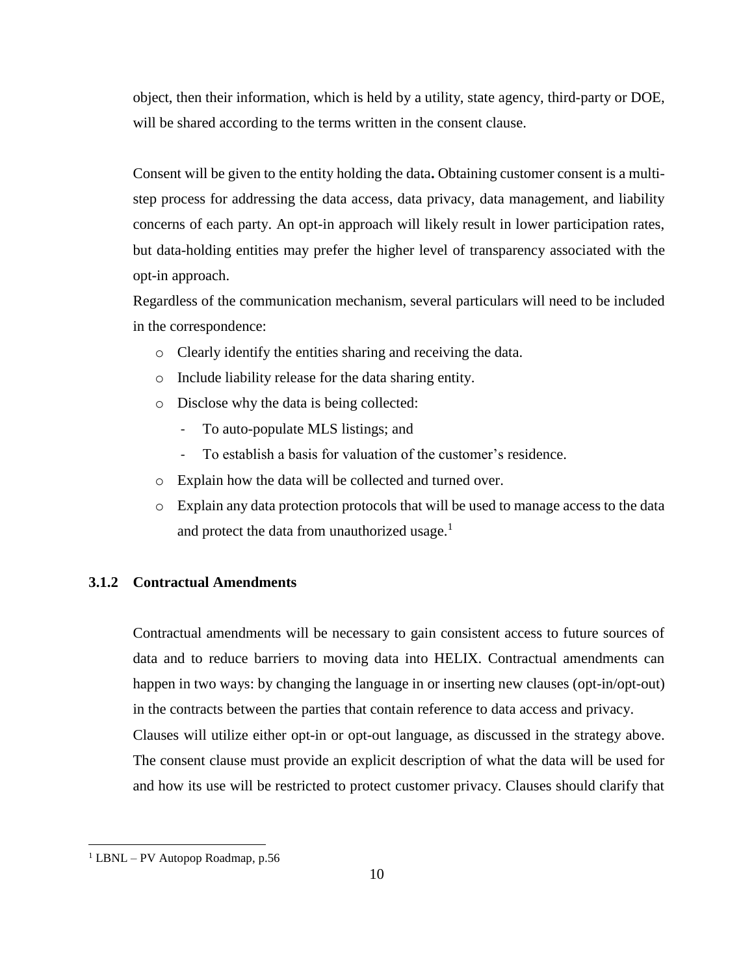object, then their information, which is held by a utility, state agency, third-party or DOE, will be shared according to the terms written in the consent clause.

Consent will be given to the entity holding the data**.** Obtaining customer consent is a multistep process for addressing the data access, data privacy, data management, and liability concerns of each party. An opt-in approach will likely result in lower participation rates, but data-holding entities may prefer the higher level of transparency associated with the opt-in approach.

Regardless of the communication mechanism, several particulars will need to be included in the correspondence:

- o Clearly identify the entities sharing and receiving the data.
- o Include liability release for the data sharing entity.
- o Disclose why the data is being collected:
	- To auto-populate MLS listings; and
	- To establish a basis for valuation of the customer's residence.
- o Explain how the data will be collected and turned over.
- o Explain any data protection protocols that will be used to manage access to the data and protect the data from unauthorized usage. $<sup>1</sup>$ </sup>

## <span id="page-9-0"></span>**3.1.2 Contractual Amendments**

Contractual amendments will be necessary to gain consistent access to future sources of data and to reduce barriers to moving data into HELIX. Contractual amendments can happen in two ways: by changing the language in or inserting new clauses (opt-in/opt-out) in the contracts between the parties that contain reference to data access and privacy. Clauses will utilize either opt-in or opt-out language, as discussed in the strategy above. The consent clause must provide an explicit description of what the data will be used for and how its use will be restricted to protect customer privacy. Clauses should clarify that

 $\overline{a}$ 

 $1$  LBNL – PV Autopop Roadmap, p.56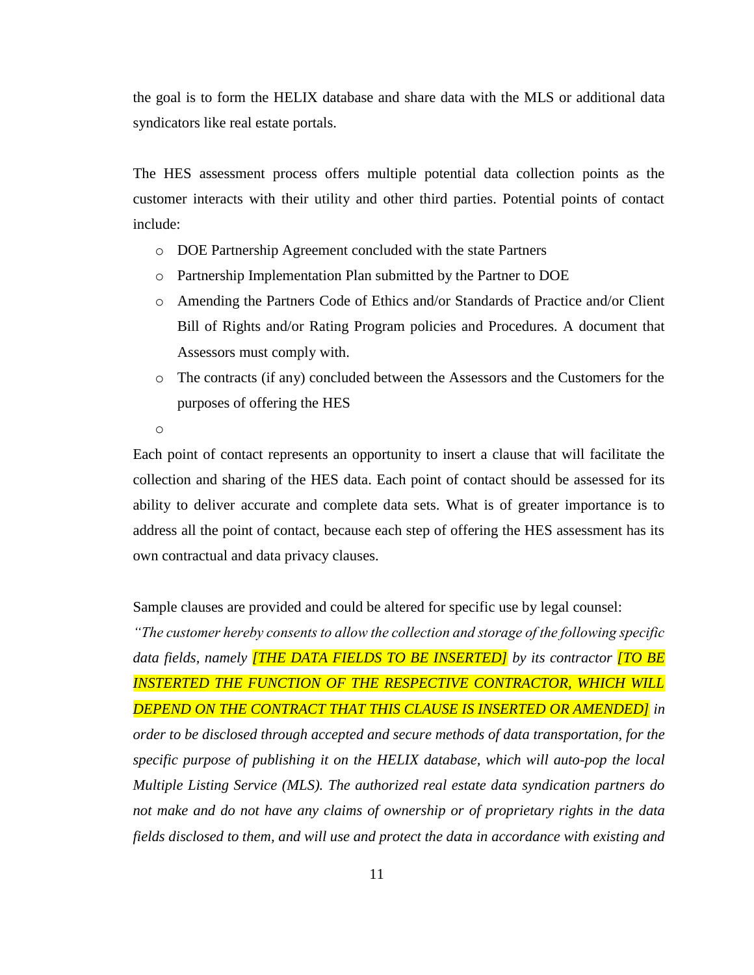the goal is to form the HELIX database and share data with the MLS or additional data syndicators like real estate portals.

The HES assessment process offers multiple potential data collection points as the customer interacts with their utility and other third parties. Potential points of contact include:

- o DOE Partnership Agreement concluded with the state Partners
- o Partnership Implementation Plan submitted by the Partner to DOE
- o Amending the Partners Code of Ethics and/or Standards of Practice and/or Client Bill of Rights and/or Rating Program policies and Procedures. A document that Assessors must comply with.
- o The contracts (if any) concluded between the Assessors and the Customers for the purposes of offering the HES

o

Each point of contact represents an opportunity to insert a clause that will facilitate the collection and sharing of the HES data. Each point of contact should be assessed for its ability to deliver accurate and complete data sets. What is of greater importance is to address all the point of contact, because each step of offering the HES assessment has its own contractual and data privacy clauses.

Sample clauses are provided and could be altered for specific use by legal counsel:

*"The customer hereby consents to allow the collection and storage of the following specific data fields, namely [THE DATA FIELDS TO BE INSERTED] by its contractor [TO BE INSTERTED THE FUNCTION OF THE RESPECTIVE CONTRACTOR, WHICH WILL DEPEND ON THE CONTRACT THAT THIS CLAUSE IS INSERTED OR AMENDED] in order to be disclosed through accepted and secure methods of data transportation, for the specific purpose of publishing it on the HELIX database, which will auto-pop the local Multiple Listing Service (MLS). The authorized real estate data syndication partners do not make and do not have any claims of ownership or of proprietary rights in the data fields disclosed to them, and will use and protect the data in accordance with existing and*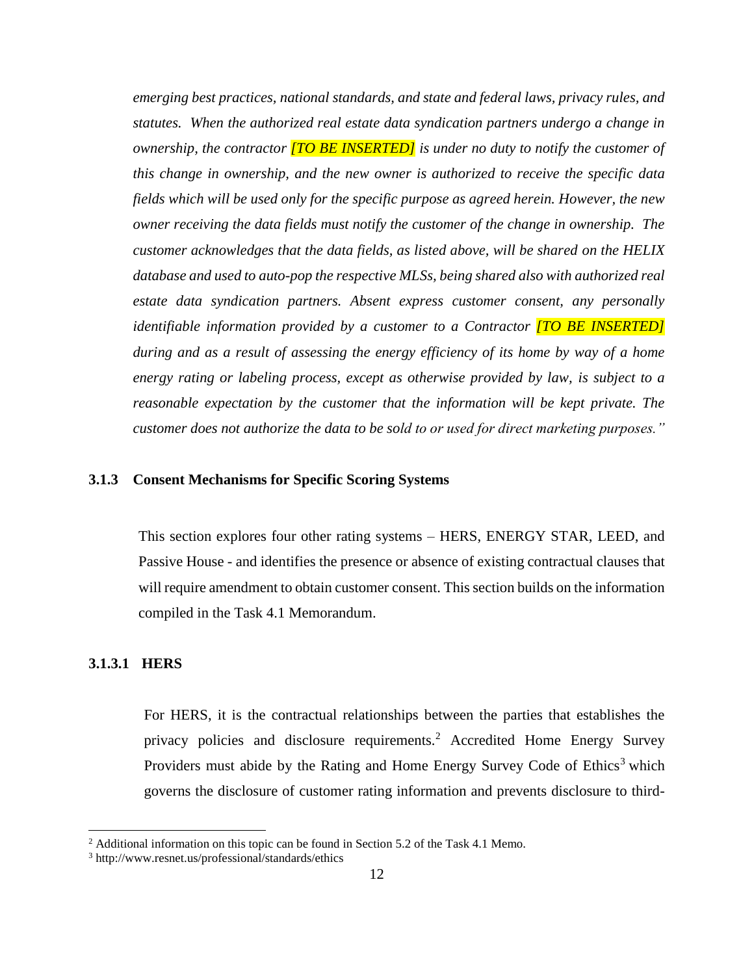*emerging best practices, national standards, and state and federal laws, privacy rules, and statutes. When the authorized real estate data syndication partners undergo a change in ownership, the contractor [TO BE INSERTED] is under no duty to notify the customer of this change in ownership, and the new owner is authorized to receive the specific data fields which will be used only for the specific purpose as agreed herein. However, the new owner receiving the data fields must notify the customer of the change in ownership. The customer acknowledges that the data fields, as listed above, will be shared on the HELIX database and used to auto-pop the respective MLSs, being shared also with authorized real estate data syndication partners. Absent express customer consent, any personally identifiable information provided by a customer to a Contractor [TO BE INSERTED] during and as a result of assessing the energy efficiency of its home by way of a home energy rating or labeling process, except as otherwise provided by law, is subject to a reasonable expectation by the customer that the information will be kept private. The customer does not authorize the data to be sold to or used for direct marketing purposes."*

## <span id="page-11-0"></span>**3.1.3 Consent Mechanisms for Specific Scoring Systems**

This section explores four other rating systems – HERS, ENERGY STAR, LEED, and Passive House - and identifies the presence or absence of existing contractual clauses that will require amendment to obtain customer consent. This section builds on the information compiled in the Task 4.1 Memorandum.

## <span id="page-11-1"></span>**3.1.3.1 HERS**

l

For HERS, it is the contractual relationships between the parties that establishes the privacy policies and disclosure requirements.<sup>2</sup> Accredited Home Energy Survey Providers must abide by the Rating and Home Energy Survey Code of Ethics<sup>3</sup> which governs the disclosure of customer rating information and prevents disclosure to third-

<sup>2</sup> Additional information on this topic can be found in Section 5.2 of the Task 4.1 Memo.

<sup>3</sup> http://www.resnet.us/professional/standards/ethics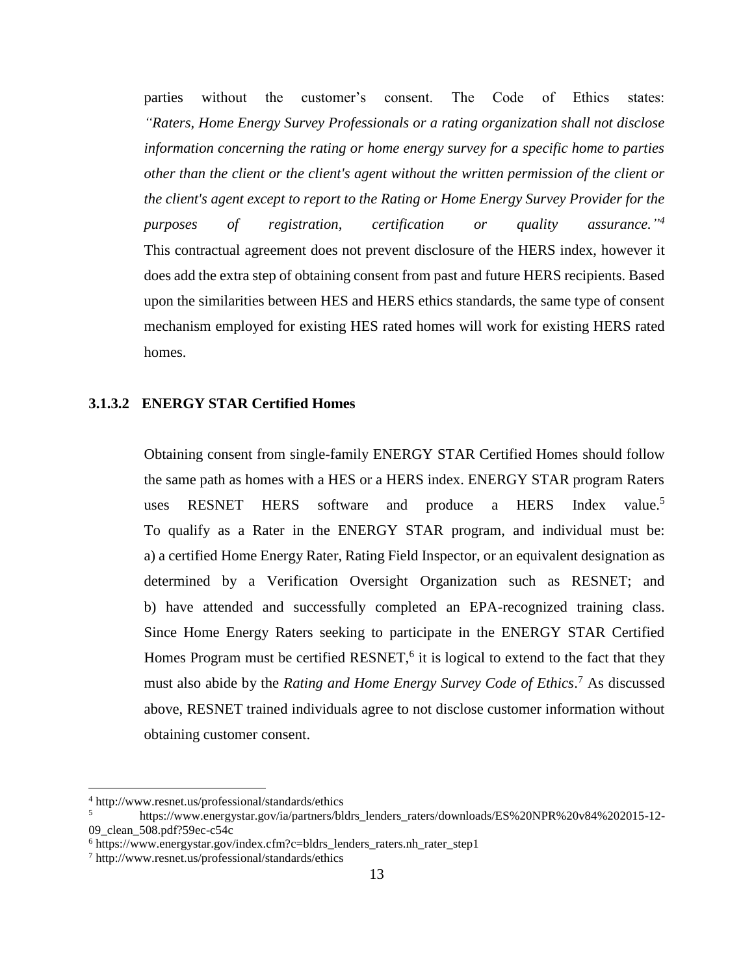parties without the customer's consent. The Code of Ethics states: *"Raters, Home Energy Survey Professionals or a rating organization shall not disclose information concerning the rating or home energy survey for a specific home to parties other than the client or the client's agent without the written permission of the client or the client's agent except to report to the Rating or Home Energy Survey Provider for the purposes of registration, certification or quality* assurance."<sup>4</sup> This contractual agreement does not prevent disclosure of the HERS index, however it does add the extra step of obtaining consent from past and future HERS recipients. Based upon the similarities between HES and HERS ethics standards, the same type of consent mechanism employed for existing HES rated homes will work for existing HERS rated homes.

## <span id="page-12-0"></span>**3.1.3.2 ENERGY STAR Certified Homes**

Obtaining consent from single-family ENERGY STAR Certified Homes should follow the same path as homes with a HES or a HERS index. ENERGY STAR program Raters uses RESNET HERS software and produce a HERS Index value.<sup>5</sup> To qualify as a Rater in the ENERGY STAR program, and individual must be: a) a certified Home Energy Rater, Rating Field Inspector, or an equivalent designation as determined by a Verification Oversight Organization such as RESNET; and b) have attended and successfully completed an EPA-recognized training class. Since Home Energy Raters seeking to participate in the ENERGY STAR Certified Homes Program must be certified RESNET,<sup>6</sup> it is logical to extend to the fact that they must also abide by the *Rating and Home Energy Survey Code of Ethics*. <sup>7</sup> As discussed above, RESNET trained individuals agree to not disclose customer information without obtaining customer consent.

 $\overline{\phantom{a}}$ 

<sup>4</sup> http://www.resnet.us/professional/standards/ethics

<sup>5</sup> https://www.energystar.gov/ia/partners/bldrs\_lenders\_raters/downloads/ES%20NPR%20v84%202015-12- 09\_clean\_508.pdf?59ec-c54c

<sup>6</sup> https://www.energystar.gov/index.cfm?c=bldrs\_lenders\_raters.nh\_rater\_step1

<sup>7</sup> http://www.resnet.us/professional/standards/ethics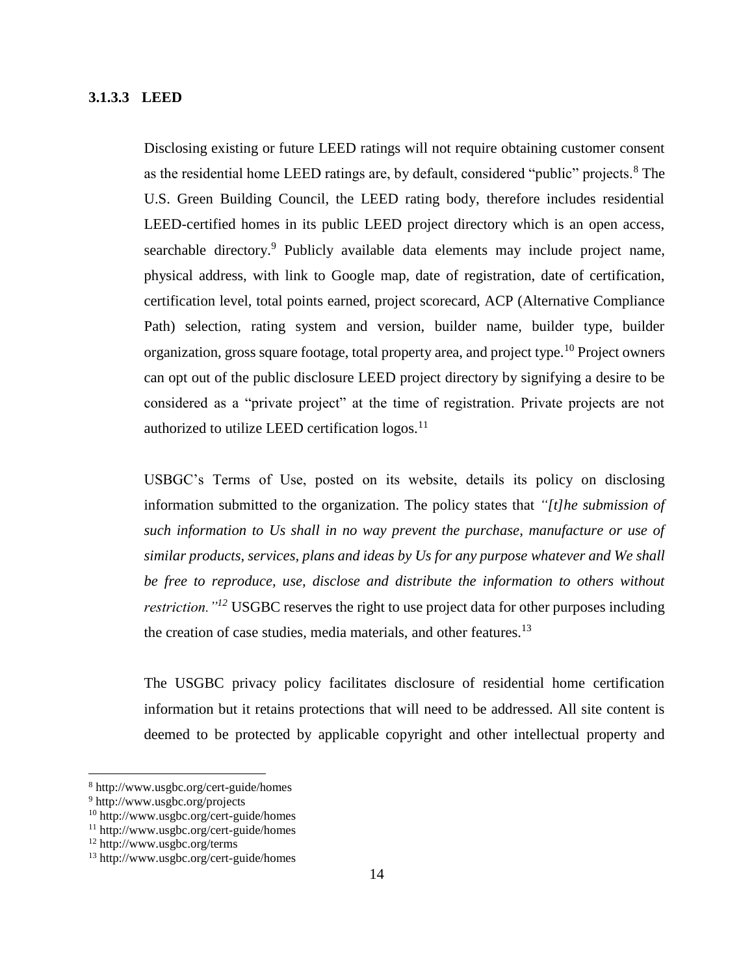## <span id="page-13-0"></span>**3.1.3.3 LEED**

Disclosing existing or future LEED ratings will not require obtaining customer consent as the residential home LEED ratings are, by default, considered "public" projects.<sup>8</sup> The U.S. Green Building Council, the LEED rating body, therefore includes residential LEED-certified homes in its public LEED project directory which is an open access, searchable directory.<sup>9</sup> Publicly available data elements may include project name, physical address, with link to Google map, date of registration, date of certification, certification level, total points earned, project scorecard, ACP (Alternative Compliance Path) selection, rating system and version, builder name, builder type, builder organization, gross square footage, total property area, and project type.<sup>10</sup> Project owners can opt out of the public disclosure LEED project directory by signifying a desire to be considered as a "private project" at the time of registration. Private projects are not authorized to utilize LEED certification  $logos.$ <sup>11</sup>

USBGC's Terms of Use, posted on its website, details its policy on disclosing information submitted to the organization. The policy states that *"[t]he submission of such information to Us shall in no way prevent the purchase, manufacture or use of similar products, services, plans and ideas by Us for any purpose whatever and We shall*  be free to reproduce, use, disclose and distribute the information to others without *restriction.*"<sup>12</sup> USGBC reserves the right to use project data for other purposes including the creation of case studies, media materials, and other features.<sup>13</sup>

The USGBC privacy policy facilitates disclosure of residential home certification information but it retains protections that will need to be addressed. All site content is deemed to be protected by applicable copyright and other intellectual property and

 $\overline{\phantom{a}}$ 

<sup>8</sup> http://www.usgbc.org/cert-guide/homes

<sup>9</sup> http://www.usgbc.org/projects

<sup>10</sup> http://www.usgbc.org/cert-guide/homes

<sup>11</sup> http://www.usgbc.org/cert-guide/homes

<sup>12</sup> http://www.usgbc.org/terms

<sup>13</sup> http://www.usgbc.org/cert-guide/homes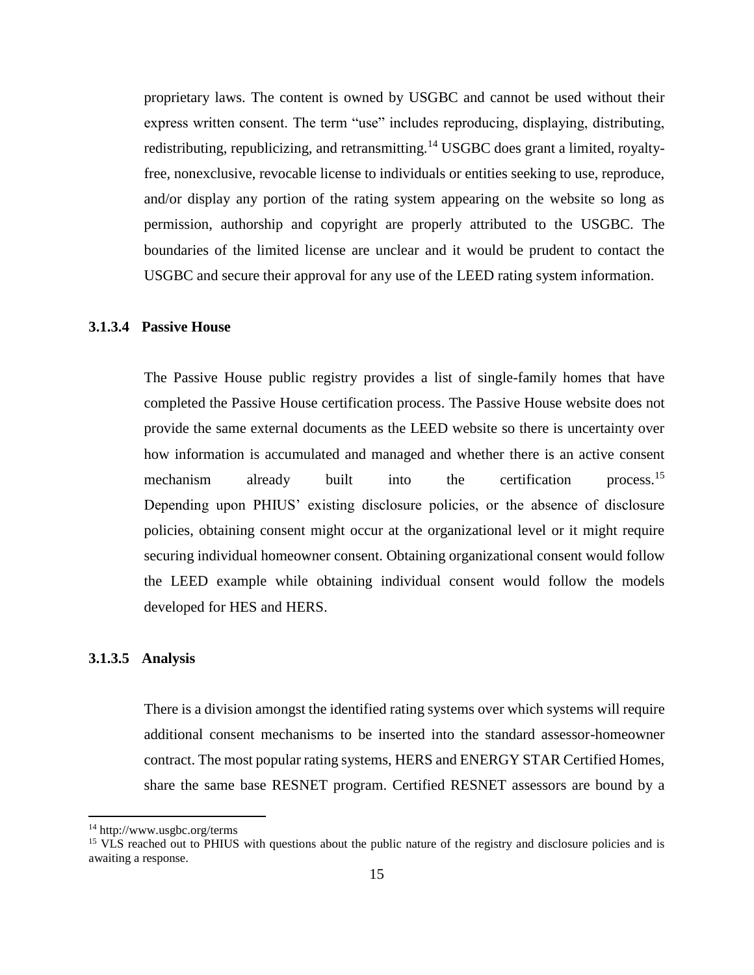proprietary laws. The content is owned by USGBC and cannot be used without their express written consent. The term "use" includes reproducing, displaying, distributing, redistributing, republicizing, and retransmitting.<sup>14</sup> USGBC does grant a limited, royaltyfree, nonexclusive, revocable license to individuals or entities seeking to use, reproduce, and/or display any portion of the rating system appearing on the website so long as permission, authorship and copyright are properly attributed to the USGBC. The boundaries of the limited license are unclear and it would be prudent to contact the USGBC and secure their approval for any use of the LEED rating system information.

## <span id="page-14-0"></span>**3.1.3.4 Passive House**

The Passive House public registry provides a list of single-family homes that have completed the Passive House certification process. The Passive House website does not provide the same external documents as the LEED website so there is uncertainty over how information is accumulated and managed and whether there is an active consent mechanism already built into the certification process.<sup>15</sup> Depending upon PHIUS' existing disclosure policies, or the absence of disclosure policies, obtaining consent might occur at the organizational level or it might require securing individual homeowner consent. Obtaining organizational consent would follow the LEED example while obtaining individual consent would follow the models developed for HES and HERS.

#### <span id="page-14-1"></span>**3.1.3.5 Analysis**

There is a division amongst the identified rating systems over which systems will require additional consent mechanisms to be inserted into the standard assessor-homeowner contract. The most popular rating systems, HERS and ENERGY STAR Certified Homes, share the same base RESNET program. Certified RESNET assessors are bound by a

 $\overline{a}$ 

<sup>14</sup> http://www.usgbc.org/terms

<sup>&</sup>lt;sup>15</sup> VLS reached out to PHIUS with questions about the public nature of the registry and disclosure policies and is awaiting a response.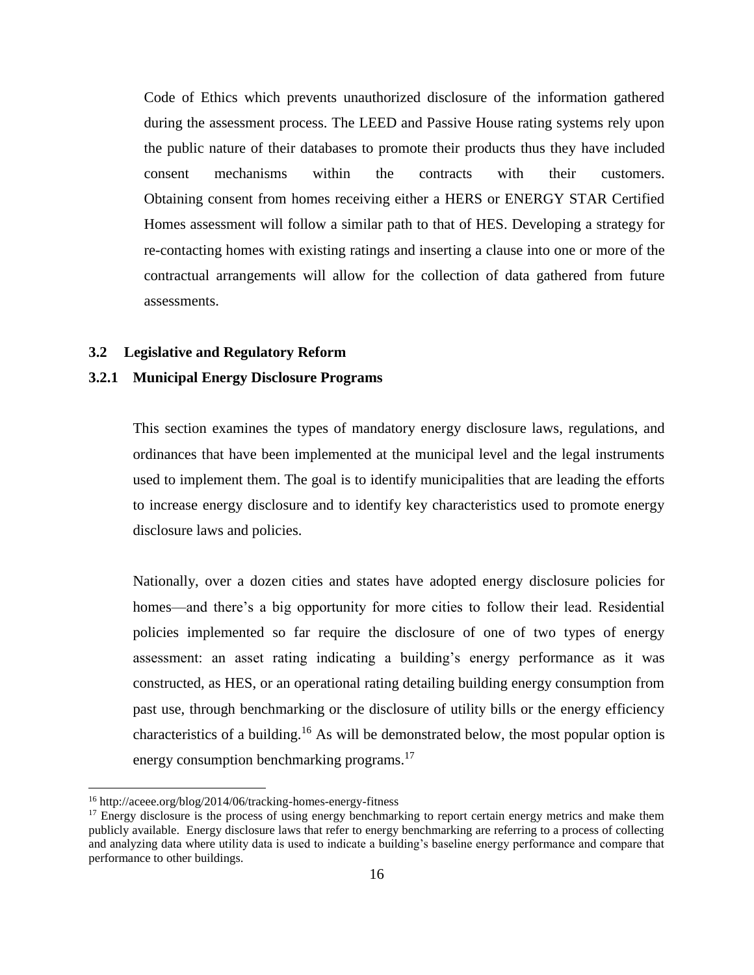Code of Ethics which prevents unauthorized disclosure of the information gathered during the assessment process. The LEED and Passive House rating systems rely upon the public nature of their databases to promote their products thus they have included consent mechanisms within the contracts with their customers. Obtaining consent from homes receiving either a HERS or ENERGY STAR Certified Homes assessment will follow a similar path to that of HES. Developing a strategy for re-contacting homes with existing ratings and inserting a clause into one or more of the contractual arrangements will allow for the collection of data gathered from future assessments.

#### <span id="page-15-0"></span>**3.2 Legislative and Regulatory Reform**

#### <span id="page-15-1"></span>**3.2.1 Municipal Energy Disclosure Programs**

This section examines the types of mandatory energy disclosure laws, regulations, and ordinances that have been implemented at the municipal level and the legal instruments used to implement them. The goal is to identify municipalities that are leading the efforts to increase energy disclosure and to identify key characteristics used to promote energy disclosure laws and policies.

Nationally, over a dozen cities and states have adopted energy disclosure policies for homes—and there's a big opportunity for more cities to follow their lead. Residential policies implemented so far require the disclosure of one of two types of energy assessment: an asset rating indicating a building's energy performance as it was constructed, as HES, or an operational rating detailing building energy consumption from past use, through benchmarking or the disclosure of utility bills or the energy efficiency characteristics of a building.<sup>16</sup> As will be demonstrated below, the most popular option is energy consumption benchmarking programs.<sup>17</sup>

 $\overline{\phantom{a}}$ 

<sup>16</sup> http://aceee.org/blog/2014/06/tracking-homes-energy-fitness

<sup>&</sup>lt;sup>17</sup> Energy disclosure is the process of using energy benchmarking to report certain energy metrics and make them publicly available. Energy disclosure laws that refer to energy benchmarking are referring to a process of collecting and analyzing data where utility data is used to indicate a building's baseline energy performance and compare that performance to other buildings.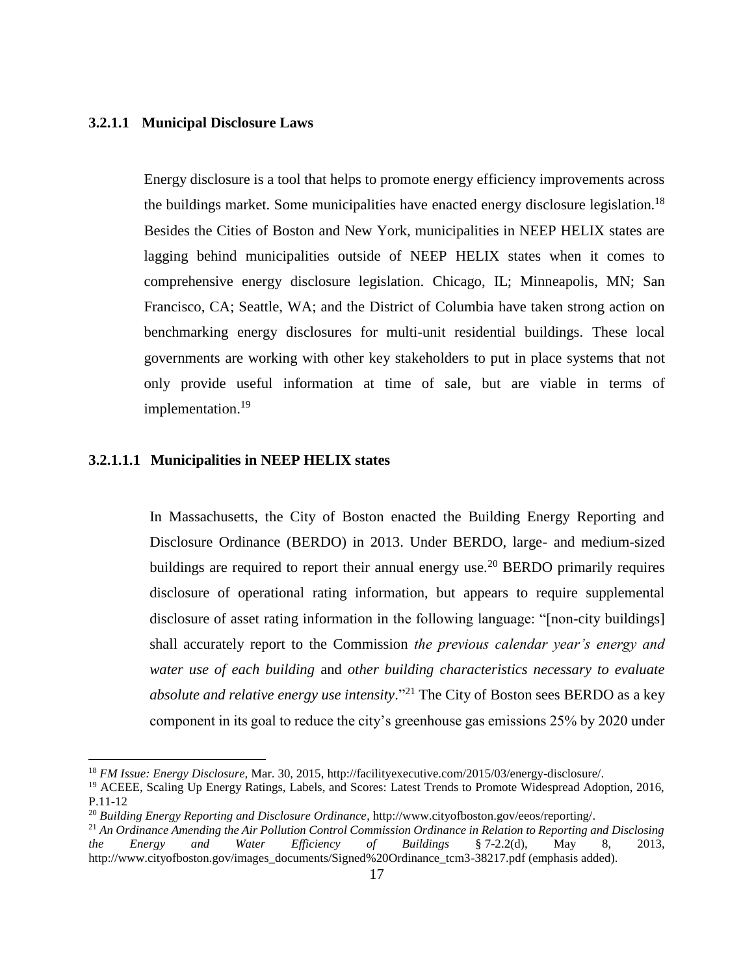#### <span id="page-16-0"></span>**3.2.1.1 Municipal Disclosure Laws**

Energy disclosure is a tool that helps to promote energy efficiency improvements across the buildings market. Some municipalities have enacted energy disclosure legislation.<sup>18</sup> Besides the Cities of Boston and New York, municipalities in NEEP HELIX states are lagging behind municipalities outside of NEEP HELIX states when it comes to comprehensive energy disclosure legislation. Chicago, IL; Minneapolis, MN; San Francisco, CA; Seattle, WA; and the District of Columbia have taken strong action on benchmarking energy disclosures for multi-unit residential buildings. These local governments are working with other key stakeholders to put in place systems that not only provide useful information at time of sale, but are viable in terms of implementation.<sup>19</sup>

#### <span id="page-16-1"></span>**3.2.1.1.1 Municipalities in NEEP HELIX states**

 $\overline{a}$ 

In Massachusetts, the City of Boston enacted the Building Energy Reporting and Disclosure Ordinance (BERDO) in 2013. Under BERDO, large- and medium-sized buildings are required to report their annual energy use.<sup>20</sup> BERDO primarily requires disclosure of operational rating information, but appears to require supplemental disclosure of asset rating information in the following language: "[non-city buildings] shall accurately report to the Commission *the previous calendar year's energy and water use of each building* and *other building characteristics necessary to evaluate absolute and relative energy use intensity*." <sup>21</sup> The City of Boston sees BERDO as a key component in its goal to reduce the city's greenhouse gas emissions 25% by 2020 under

<sup>18</sup> *FM Issue: Energy Disclosure,* Mar. 30, 2015[, http://facilityexecutive.com/2015/03/energy-disclosure/.](http://facilityexecutive.com/2015/03/energy-disclosure/)

<sup>19</sup> ACEEE, Scaling Up Energy Ratings, Labels, and Scores: Latest Trends to Promote Widespread Adoption, 2016, P.11-12

<sup>20</sup> *Building Energy Reporting and Disclosure Ordinance*, [http://www.cityofboston.gov/eeos/reporting/.](http://www.cityofboston.gov/eeos/reporting/)

<sup>21</sup> *An Ordinance Amending the Air Pollution Control Commission Ordinance in Relation to Reporting and Disclosing the Energy and Water Efficiency of Buildings* § 7-2.2(d), May 8, 2013, [http://www.cityofboston.gov/images\\_documents/Signed%20Ordinance\\_tcm3-38217.pdf](http://www.cityofboston.gov/images_documents/Signed%20Ordinance_tcm3-38217.pdf) (emphasis added).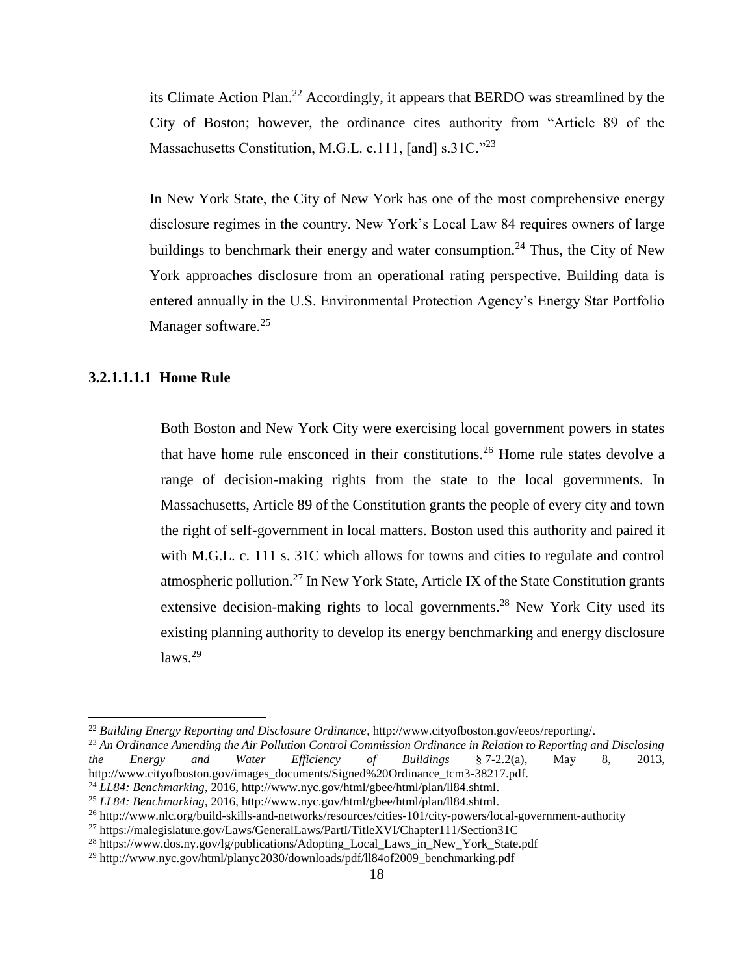its Climate Action Plan.<sup>22</sup> Accordingly, it appears that BERDO was streamlined by the City of Boston; however, the ordinance cites authority from "Article 89 of the Massachusetts Constitution, M.G.L. c.111, [and] s.31C."<sup>23</sup>

In New York State, the City of New York has one of the most comprehensive energy disclosure regimes in the country. New York's Local Law 84 requires owners of large buildings to benchmark their energy and water consumption.<sup>24</sup> Thus, the City of New York approaches disclosure from an operational rating perspective. Building data is entered annually in the U.S. Environmental Protection Agency's Energy Star Portfolio Manager software.<sup>25</sup>

## <span id="page-17-0"></span>**3.2.1.1.1.1 Home Rule**

l

Both Boston and New York City were exercising local government powers in states that have home rule ensconced in their constitutions.<sup>26</sup> Home rule states devolve a range of decision-making rights from the state to the local governments. In Massachusetts, Article 89 of the Constitution grants the people of every city and town the right of self-government in local matters. Boston used this authority and paired it with M.G.L. c. 111 s. 31C which allows for towns and cities to regulate and control atmospheric pollution.<sup>27</sup> In New York State, Article IX of the State Constitution grants extensive decision-making rights to local governments.<sup>28</sup> New York City used its existing planning authority to develop its energy benchmarking and energy disclosure  $laws.<sup>29</sup>$ 

<sup>22</sup> *Building Energy Reporting and Disclosure Ordinance*, [http://www.cityofboston.gov/eeos/reporting/.](http://www.cityofboston.gov/eeos/reporting/)

<sup>23</sup> *An Ordinance Amending the Air Pollution Control Commission Ordinance in Relation to Reporting and Disclosing the Energy and Water Efficiency of Buildings* § 7-2.2(a), May 8, 2013, [http://www.cityofboston.gov/images\\_documents/Signed%20Ordinance\\_tcm3-38217.pdf.](http://www.cityofboston.gov/images_documents/Signed%20Ordinance_tcm3-38217.pdf) <sup>24</sup> *LL84: Benchmarking*, 2016, [http://www.nyc.gov/html/gbee/html/plan/ll84.shtml.](http://www.nyc.gov/html/gbee/html/plan/ll84.shtml)

<sup>25</sup> *LL84: Benchmarking*, 2016, [http://www.nyc.gov/html/gbee/html/plan/ll84.shtml.](http://www.nyc.gov/html/gbee/html/plan/ll84.shtml)

<sup>26</sup> http://www.nlc.org/build-skills-and-networks/resources/cities-101/city-powers/local-government-authority

<sup>&</sup>lt;sup>27</sup> https://malegislature.gov/Laws/GeneralLaws/PartI/TitleXVI/Chapter111/Section31C

<sup>&</sup>lt;sup>28</sup> https://www.dos.ny.gov/lg/publications/Adopting\_Local\_Laws\_in\_New\_York\_State.pdf

<sup>&</sup>lt;sup>29</sup> http://www.nyc.gov/html/planyc2030/downloads/pdf/ll84of2009\_benchmarking.pdf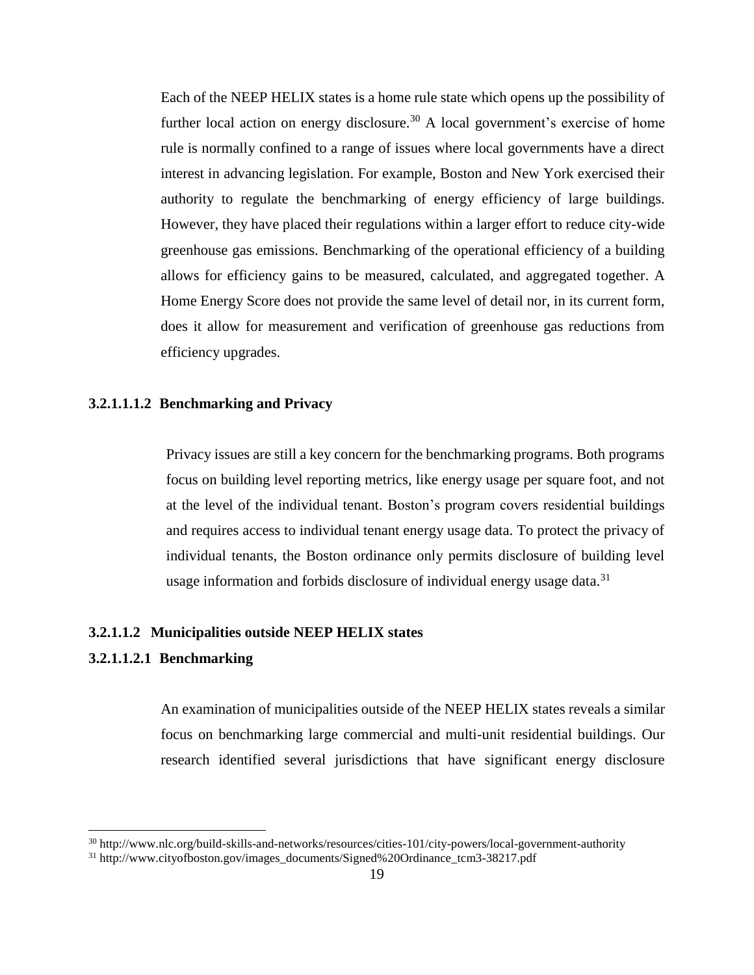Each of the NEEP HELIX states is a home rule state which opens up the possibility of further local action on energy disclosure.<sup>30</sup> A local government's exercise of home rule is normally confined to a range of issues where local governments have a direct interest in advancing legislation. For example, Boston and New York exercised their authority to regulate the benchmarking of energy efficiency of large buildings. However, they have placed their regulations within a larger effort to reduce city-wide greenhouse gas emissions. Benchmarking of the operational efficiency of a building allows for efficiency gains to be measured, calculated, and aggregated together. A Home Energy Score does not provide the same level of detail nor, in its current form, does it allow for measurement and verification of greenhouse gas reductions from efficiency upgrades.

## <span id="page-18-0"></span>**3.2.1.1.1.2 Benchmarking and Privacy**

Privacy issues are still a key concern for the benchmarking programs. Both programs focus on building level reporting metrics, like energy usage per square foot, and not at the level of the individual tenant. Boston's program covers residential buildings and requires access to individual tenant energy usage data. To protect the privacy of individual tenants, the Boston ordinance only permits disclosure of building level usage information and forbids disclosure of individual energy usage data.<sup>31</sup>

#### <span id="page-18-1"></span>**3.2.1.1.2 Municipalities outside NEEP HELIX states**

## <span id="page-18-2"></span>**3.2.1.1.2.1 Benchmarking**

l

An examination of municipalities outside of the NEEP HELIX states reveals a similar focus on benchmarking large commercial and multi-unit residential buildings. Our research identified several jurisdictions that have significant energy disclosure

<sup>30</sup> http://www.nlc.org/build-skills-and-networks/resources/cities-101/city-powers/local-government-authority

<sup>31</sup> http://www.cityofboston.gov/images\_documents/Signed%20Ordinance\_tcm3-38217.pdf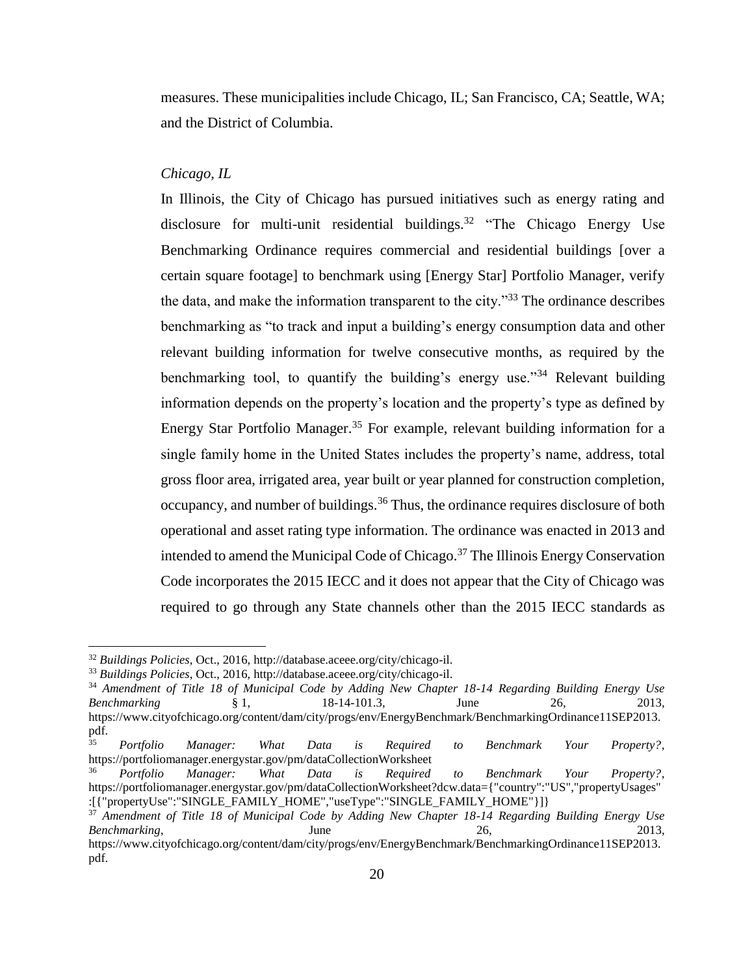measures. These municipalities include Chicago, IL; San Francisco, CA; Seattle, WA; and the District of Columbia.

#### *Chicago, IL*

In Illinois, the City of Chicago has pursued initiatives such as energy rating and disclosure for multi-unit residential buildings.<sup>32</sup> "The Chicago Energy Use Benchmarking Ordinance requires commercial and residential buildings [over a certain square footage] to benchmark using [Energy Star] Portfolio Manager, verify the data, and make the information transparent to the city."<sup>33</sup> The ordinance describes benchmarking as "to track and input a building's energy consumption data and other relevant building information for twelve consecutive months, as required by the benchmarking tool, to quantify the building's energy use.<sup>34</sup> Relevant building information depends on the property's location and the property's type as defined by Energy Star Portfolio Manager.<sup>35</sup> For example, relevant building information for a single family home in the United States includes the property's name, address, total gross floor area, irrigated area, year built or year planned for construction completion, occupancy, and number of buildings.<sup>36</sup> Thus, the ordinance requires disclosure of both operational and asset rating type information. The ordinance was enacted in 2013 and intended to amend the Municipal Code of Chicago.<sup>37</sup> The Illinois Energy Conservation Code incorporates the 2015 IECC and it does not appear that the City of Chicago was required to go through any State channels other than the 2015 IECC standards as

 $\overline{\phantom{a}}$ 

<sup>32</sup> *Buildings Policies*, Oct., 2016, [http://database.aceee.org/city/chicago-il.](http://database.aceee.org/city/chicago-il)

<sup>33</sup> *Buildings Policies*, Oct., 2016, [http://database.aceee.org/city/chicago-il.](http://database.aceee.org/city/chicago-il)

<sup>34</sup> *Amendment of Title 18 of Municipal Code by Adding New Chapter 18-14 Regarding Building Energy Use Benchmarking* § 1, 18-14-101.3, June 26, 2013, [https://www.cityofchicago.org/content/dam/city/progs/env/EnergyBenchmark/BenchmarkingOrdinance11SEP2013.](https://www.cityofchicago.org/content/dam/city/progs/env/EnergyBenchmark/BenchmarkingOrdinance11SEP2013.pdf) [pdf.](https://www.cityofchicago.org/content/dam/city/progs/env/EnergyBenchmark/BenchmarkingOrdinance11SEP2013.pdf)

<sup>35</sup> *Portfolio Manager: What Data is Required to Benchmark Your Property?*, https://portfoliomanager.energystar.gov/pm/dataCollectionWorksheet

<sup>36</sup> *Portfolio Manager: What Data is Required to Benchmark Your Property?*, https://portfoliomanager.energystar.gov/pm/dataCollectionWorksheet?dcw.data={"country":"US","propertyUsages" :[{"propertyUse":"SINGLE\_FAMILY\_HOME","useType":"SINGLE\_FAMILY\_HOME"}]}

<sup>37</sup> *Amendment of Title 18 of Municipal Code by Adding New Chapter 18-14 Regarding Building Energy Use Benchmarking*, 2013, June 26, 2013, [https://www.cityofchicago.org/content/dam/city/progs/env/EnergyBenchmark/BenchmarkingOrdinance11SEP2013.](https://www.cityofchicago.org/content/dam/city/progs/env/EnergyBenchmark/BenchmarkingOrdinance11SEP2013.pdf)

[pdf.](https://www.cityofchicago.org/content/dam/city/progs/env/EnergyBenchmark/BenchmarkingOrdinance11SEP2013.pdf)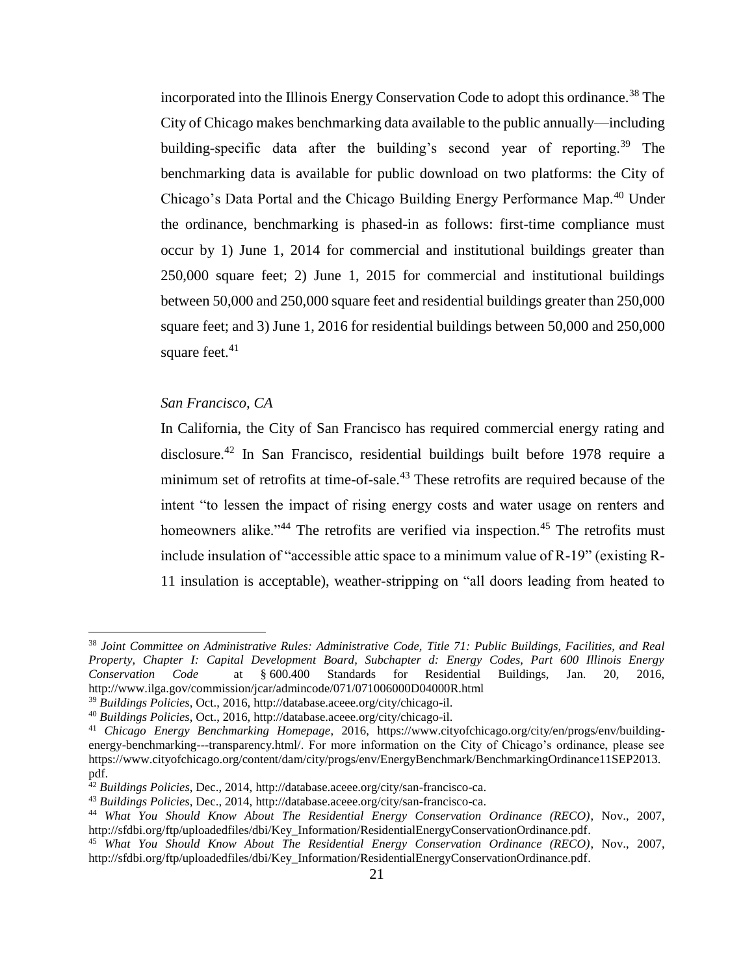incorporated into the Illinois Energy Conservation Code to adopt this ordinance.<sup>38</sup> The City of Chicago makes benchmarking data available to the public annually—including building-specific data after the building's second year of reporting.<sup>39</sup> The benchmarking data is available for public download on two platforms: the City of Chicago's Data Portal and the Chicago Building Energy Performance Map.<sup>40</sup> Under the ordinance, benchmarking is phased-in as follows: first-time compliance must occur by 1) June 1, 2014 for commercial and institutional buildings greater than 250,000 square feet; 2) June 1, 2015 for commercial and institutional buildings between 50,000 and 250,000 square feet and residential buildings greater than 250,000 square feet; and 3) June 1, 2016 for residential buildings between 50,000 and 250,000 square feet. $41$ 

## *San Francisco, CA*

 $\overline{a}$ 

In California, the City of San Francisco has required commercial energy rating and disclosure.<sup>42</sup> In San Francisco, residential buildings built before 1978 require a minimum set of retrofits at time-of-sale.<sup>43</sup> These retrofits are required because of the intent "to lessen the impact of rising energy costs and water usage on renters and homeowners alike."<sup>44</sup> The retrofits are verified via inspection.<sup>45</sup> The retrofits must include insulation of "accessible attic space to a minimum value of R-19" (existing R-11 insulation is acceptable), weather-stripping on "all doors leading from heated to

<sup>38</sup> *Joint Committee on Administrative Rules: Administrative Code, Title 71: Public Buildings, Facilities, and Real Property, Chapter I: Capital Development Board, Subchapter d: Energy Codes, Part 600 Illinois Energy Conservation Code* at § 600.400 Standards for Residential Buildings, Jan. 20, 2016, http://www.ilga.gov/commission/jcar/admincode/071/071006000D04000R.html

<sup>39</sup> *Buildings Policies*, Oct., 2016, [http://database.aceee.org/city/chicago-il.](http://database.aceee.org/city/chicago-il)

<sup>40</sup> *Buildings Policies*, Oct., 2016, [http://database.aceee.org/city/chicago-il.](http://database.aceee.org/city/chicago-il)

<sup>41</sup> *Chicago Energy Benchmarking Homepage*, 2016, [https://www.cityofchicago.org/city/en/progs/env/building](https://www.cityofchicago.org/city/en/progs/env/building-energy-benchmarking---transparency.html/)[energy-benchmarking---transparency.html/.](https://www.cityofchicago.org/city/en/progs/env/building-energy-benchmarking---transparency.html/) For more information on the City of Chicago's ordinance, please see https://www.cityofchicago.org/content/dam/city/progs/env/EnergyBenchmark/BenchmarkingOrdinance11SEP2013. pdf.

<sup>42</sup> *Buildings Policies*, Dec., 2014[, http://database.aceee.org/city/san-francisco-ca.](http://database.aceee.org/city/san-francisco-ca)

<sup>43</sup> *Buildings Policies*, Dec., 2014[, http://database.aceee.org/city/san-francisco-ca.](http://database.aceee.org/city/san-francisco-ca)

<sup>44</sup> *What You Should Know About The Residential Energy Conservation Ordinance (RECO)*, Nov., 2007, [http://sfdbi.org/ftp/uploadedfiles/dbi/Key\\_Information/ResidentialEnergyConservationOrdinance.pdf.](http://sfdbi.org/ftp/uploadedfiles/dbi/Key_Information/ResidentialEnergyConservationOrdinance.pdf)

<sup>45</sup> *What You Should Know About The Residential Energy Conservation Ordinance (RECO)*, Nov., 2007, [http://sfdbi.org/ftp/uploadedfiles/dbi/Key\\_Information/ResidentialEnergyConservationOrdinance.pdf.](http://sfdbi.org/ftp/uploadedfiles/dbi/Key_Information/ResidentialEnergyConservationOrdinance.pdf)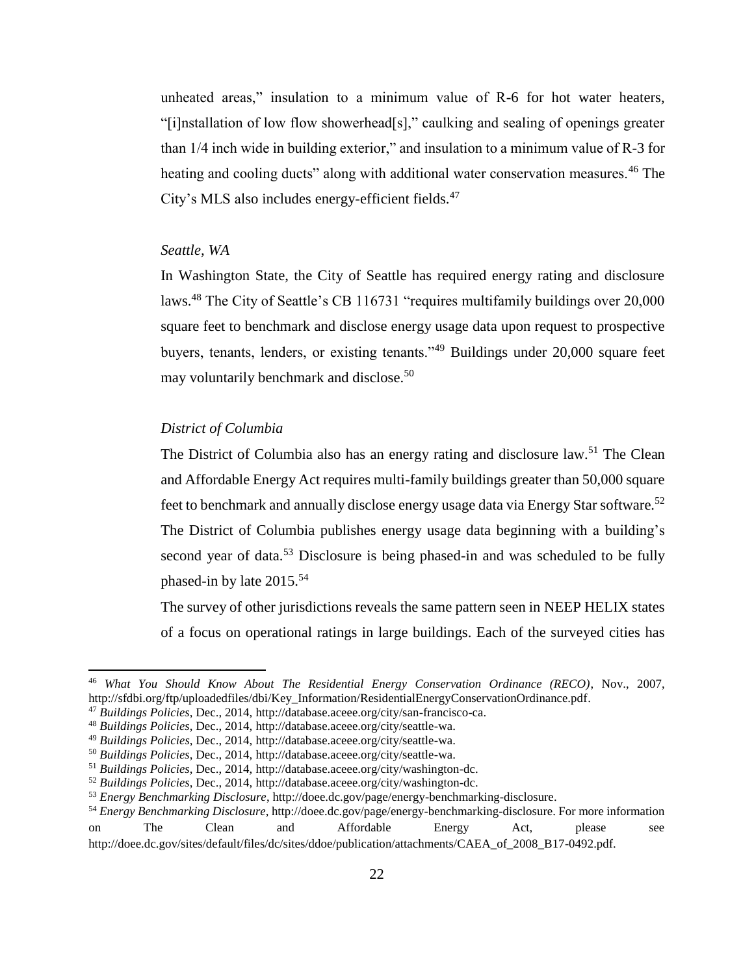unheated areas," insulation to a minimum value of R-6 for hot water heaters, "[i]nstallation of low flow showerhead[s]," caulking and sealing of openings greater than 1/4 inch wide in building exterior," and insulation to a minimum value of R-3 for heating and cooling ducts" along with additional water conservation measures.<sup>46</sup> The City's MLS also includes energy-efficient fields.<sup>47</sup>

## *Seattle, WA*

In Washington State, the City of Seattle has required energy rating and disclosure laws.<sup>48</sup> The City of Seattle's CB 116731 "requires multifamily buildings over 20,000 square feet to benchmark and disclose energy usage data upon request to prospective buyers, tenants, lenders, or existing tenants."<sup>49</sup> Buildings under 20,000 square feet may voluntarily benchmark and disclose.<sup>50</sup>

## *District of Columbia*

 $\overline{\phantom{a}}$ 

The District of Columbia also has an energy rating and disclosure law.<sup>51</sup> The Clean and Affordable Energy Act requires multi-family buildings greater than 50,000 square feet to benchmark and annually disclose energy usage data via Energy Star software.<sup>52</sup> The District of Columbia publishes energy usage data beginning with a building's second year of data.<sup>53</sup> Disclosure is being phased-in and was scheduled to be fully phased-in by late 2015.<sup>54</sup>

The survey of other jurisdictions reveals the same pattern seen in NEEP HELIX states of a focus on operational ratings in large buildings. Each of the surveyed cities has

<sup>46</sup> *What You Should Know About The Residential Energy Conservation Ordinance (RECO)*, Nov., 2007, [http://sfdbi.org/ftp/uploadedfiles/dbi/Key\\_Information/ResidentialEnergyConservationOrdinance.pdf.](http://sfdbi.org/ftp/uploadedfiles/dbi/Key_Information/ResidentialEnergyConservationOrdinance.pdf)

<sup>47</sup> *Buildings Policies*, Dec., 2014[, http://database.aceee.org/city/san-francisco-ca.](http://database.aceee.org/city/san-francisco-ca)

<sup>48</sup> *Buildings Policies*, Dec., 2014[, http://database.aceee.org/city/seattle-wa.](http://database.aceee.org/city/seattle-wa)

<sup>49</sup> *Buildings Policies*, Dec., 2014[, http://database.aceee.org/city/seattle-wa.](http://database.aceee.org/city/seattle-wa)

<sup>50</sup> *Buildings Policies*, Dec., 2014[, http://database.aceee.org/city/seattle-wa.](http://database.aceee.org/city/seattle-wa)

<sup>51</sup> *Buildings Policies*, Dec., 2014[, http://database.aceee.org/city/washington-dc.](http://database.aceee.org/city/washington-dc)

<sup>52</sup> *Buildings Policies*, Dec., 2014[, http://database.aceee.org/city/washington-dc.](http://database.aceee.org/city/washington-dc)

<sup>53</sup> *Energy Benchmarking Disclosure*[, http://doee.dc.gov/page/energy-benchmarking-disclosure.](http://doee.dc.gov/page/energy-benchmarking-disclosure)

<sup>54</sup> *Energy Benchmarking Disclosure*[, http://doee.dc.gov/page/energy-benchmarking-disclosure.](http://doee.dc.gov/page/energy-benchmarking-disclosure) For more information on The Clean and Affordable Energy Act, please see http://doee.dc.gov/sites/default/files/dc/sites/ddoe/publication/attachments/CAEA\_of\_2008\_B17-0492.pdf.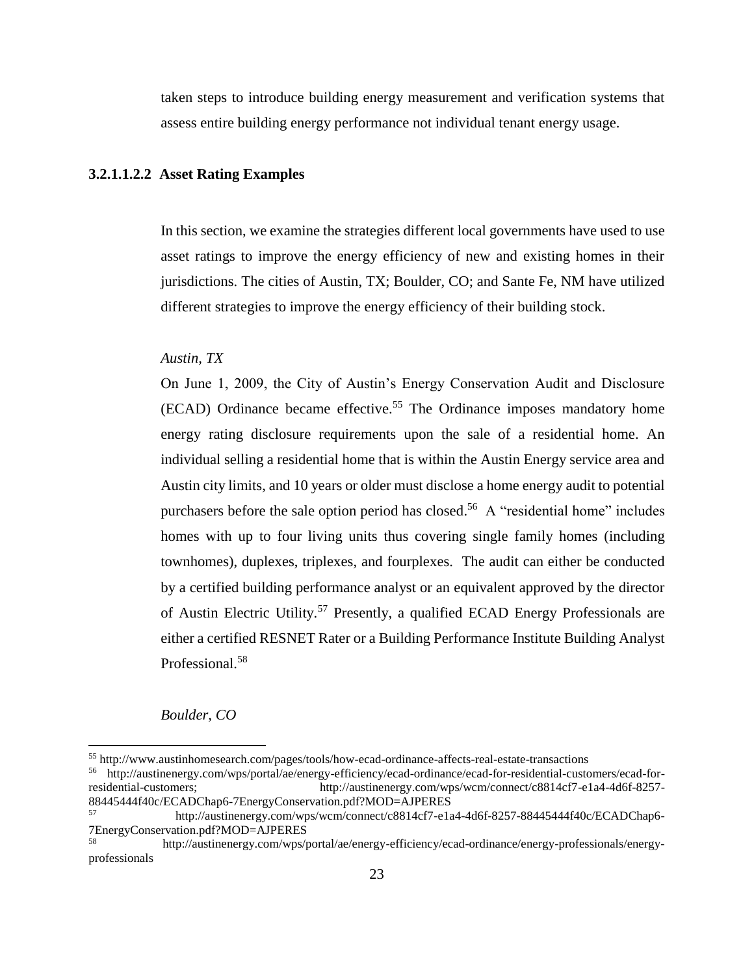taken steps to introduce building energy measurement and verification systems that assess entire building energy performance not individual tenant energy usage.

## <span id="page-22-0"></span>**3.2.1.1.2.2 Asset Rating Examples**

In this section, we examine the strategies different local governments have used to use asset ratings to improve the energy efficiency of new and existing homes in their jurisdictions. The cities of Austin, TX; Boulder, CO; and Sante Fe, NM have utilized different strategies to improve the energy efficiency of their building stock.

## *Austin, TX*

On June 1, 2009, the City of Austin's Energy Conservation Audit and Disclosure (ECAD) Ordinance became effective.<sup>55</sup> The Ordinance imposes mandatory home energy rating disclosure requirements upon the sale of a residential home. An individual selling a residential home that is within the Austin Energy service area and Austin city limits, and 10 years or older must disclose a home energy audit to potential purchasers before the sale option period has closed.<sup>56</sup> A "residential home" includes homes with up to four living units thus covering single family homes (including townhomes), duplexes, triplexes, and fourplexes. The audit can either be conducted by a certified building performance analyst or an equivalent approved by the director of Austin Electric Utility.<sup>57</sup> Presently, a qualified ECAD Energy Professionals are either a certified RESNET Rater or a Building Performance Institute Building Analyst Professional.<sup>58</sup>

## *Boulder, CO*

 $\overline{\phantom{a}}$ 

<sup>55</sup> http://www.austinhomesearch.com/pages/tools/how-ecad-ordinance-affects-real-estate-transactions

<sup>56</sup> [http://austinenergy.com/wps/portal/ae/energy-efficiency/ecad-ordinance/ecad-for-residential-customers/ecad-for](http://austinenergy.com/wps/portal/ae/energy-efficiency/ecad-ordinance/ecad-for-residential-customers/ecad-for-residential-customers)http://austinenergy.com/wps/wcm/connect/c8814cf7-e1a4-4d6f-8257-88445444f40c/ECADChap6-7EnergyConservation.pdf?MOD=AJPERES

<sup>57</sup> http://austinenergy.com/wps/wcm/connect/c8814cf7-e1a4-4d6f-8257-88445444f40c/ECADChap6- 7EnergyConservation.pdf?MOD=AJPERES

<sup>58</sup> http://austinenergy.com/wps/portal/ae/energy-efficiency/ecad-ordinance/energy-professionals/energyprofessionals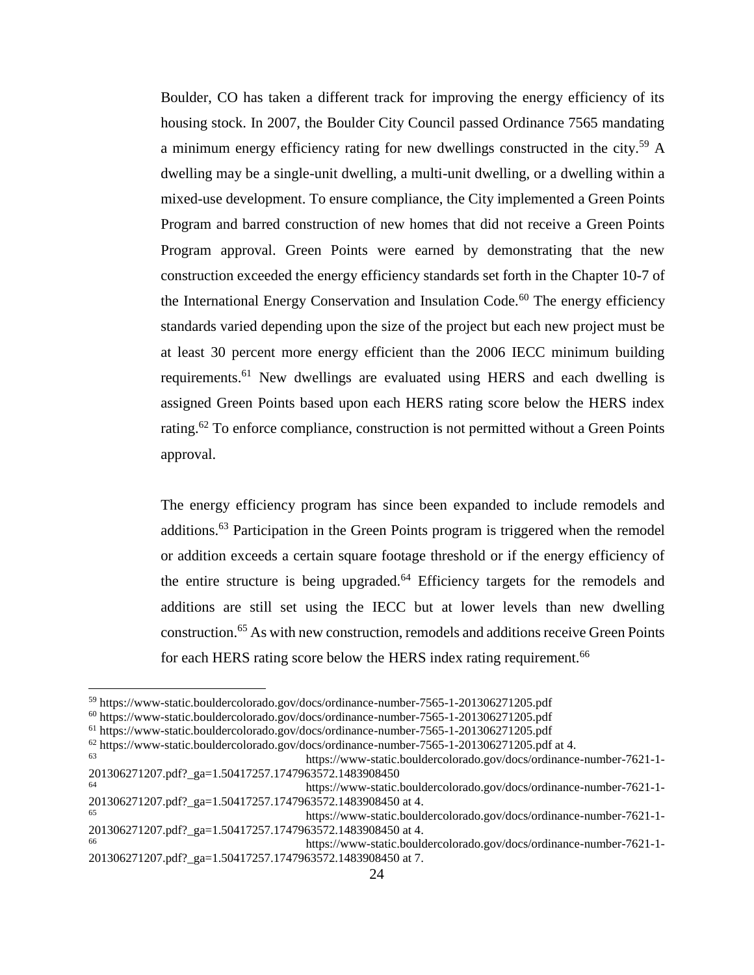Boulder, CO has taken a different track for improving the energy efficiency of its housing stock. In 2007, the Boulder City Council passed Ordinance 7565 mandating a minimum energy efficiency rating for new dwellings constructed in the city.<sup>59</sup> A dwelling may be a single-unit dwelling, a multi-unit dwelling, or a dwelling within a mixed-use development. To ensure compliance, the City implemented a Green Points Program and barred construction of new homes that did not receive a Green Points Program approval. Green Points were earned by demonstrating that the new construction exceeded the energy efficiency standards set forth in the Chapter 10-7 of the International Energy Conservation and Insulation Code.<sup>60</sup> The energy efficiency standards varied depending upon the size of the project but each new project must be at least 30 percent more energy efficient than the 2006 IECC minimum building requirements.<sup>61</sup> New dwellings are evaluated using HERS and each dwelling is assigned Green Points based upon each HERS rating score below the HERS index rating.<sup>62</sup> To enforce compliance, construction is not permitted without a Green Points approval.

The energy efficiency program has since been expanded to include remodels and additions.<sup>63</sup> Participation in the Green Points program is triggered when the remodel or addition exceeds a certain square footage threshold or if the energy efficiency of the entire structure is being upgraded. $64$  Efficiency targets for the remodels and additions are still set using the IECC but at lower levels than new dwelling construction.<sup>65</sup> As with new construction, remodels and additions receive Green Points for each HERS rating score below the HERS index rating requirement.<sup>66</sup>

 $\overline{\phantom{a}}$ 

<sup>59</sup> https://www-static.bouldercolorado.gov/docs/ordinance-number-7565-1-201306271205.pdf

<sup>60</sup> https://www-static.bouldercolorado.gov/docs/ordinance-number-7565-1-201306271205.pdf

<sup>61</sup> https://www-static.bouldercolorado.gov/docs/ordinance-number-7565-1-201306271205.pdf

<sup>62</sup> https://www-static.bouldercolorado.gov/docs/ordinance-number-7565-1-201306271205.pdf at 4.

<sup>63</sup> https://www-static.bouldercolorado.gov/docs/ordinance-number-7621-1- 201306271207.pdf?\_ga=1.50417257.1747963572.1483908450

<sup>64</sup> https://www-static.bouldercolorado.gov/docs/ordinance-number-7621-1- 201306271207.pdf?\_ga=1.50417257.1747963572.1483908450 at 4.

<sup>65</sup> https://www-static.bouldercolorado.gov/docs/ordinance-number-7621-1- 201306271207.pdf?\_ga=1.50417257.1747963572.1483908450 at 4.

<sup>66</sup> https://www-static.bouldercolorado.gov/docs/ordinance-number-7621-1- 201306271207.pdf?\_ga=1.50417257.1747963572.1483908450 at 7.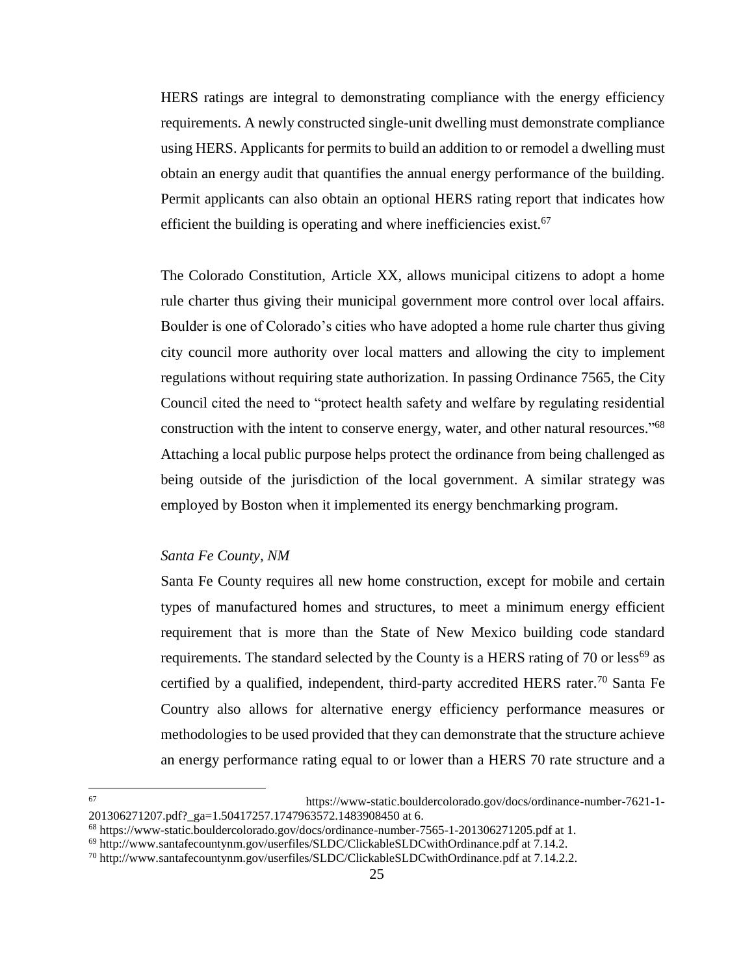HERS ratings are integral to demonstrating compliance with the energy efficiency requirements. A newly constructed single-unit dwelling must demonstrate compliance using HERS. Applicants for permits to build an addition to or remodel a dwelling must obtain an energy audit that quantifies the annual energy performance of the building. Permit applicants can also obtain an optional HERS rating report that indicates how efficient the building is operating and where inefficiencies exist.<sup>67</sup>

The Colorado Constitution, Article XX, allows municipal citizens to adopt a home rule charter thus giving their municipal government more control over local affairs. Boulder is one of Colorado's cities who have adopted a home rule charter thus giving city council more authority over local matters and allowing the city to implement regulations without requiring state authorization. In passing Ordinance 7565, the City Council cited the need to "protect health safety and welfare by regulating residential construction with the intent to conserve energy, water, and other natural resources."<sup>68</sup> Attaching a local public purpose helps protect the ordinance from being challenged as being outside of the jurisdiction of the local government. A similar strategy was employed by Boston when it implemented its energy benchmarking program.

## *Santa Fe County, NM*

Santa Fe County requires all new home construction, except for mobile and certain types of manufactured homes and structures, to meet a minimum energy efficient requirement that is more than the State of New Mexico building code standard requirements. The standard selected by the County is a HERS rating of 70 or less<sup>69</sup> as certified by a qualified, independent, third-party accredited HERS rater.<sup>70</sup> Santa Fe Country also allows for alternative energy efficiency performance measures or methodologies to be used provided that they can demonstrate that the structure achieve an energy performance rating equal to or lower than a HERS 70 rate structure and a

<sup>67</sup> <sup>67</sup> https://www-static.bouldercolorado.gov/docs/ordinance-number-7621-1- 201306271207.pdf? ga=1.50417257.1747963572.1483908450 at 6.

<sup>68</sup> https://www-static.bouldercolorado.gov/docs/ordinance-number-7565-1-201306271205.pdf at 1.

<sup>69</sup> http://www.santafecountynm.gov/userfiles/SLDC/ClickableSLDCwithOrdinance.pdf at 7.14.2.

<sup>70</sup> http://www.santafecountynm.gov/userfiles/SLDC/ClickableSLDCwithOrdinance.pdf at 7.14.2.2.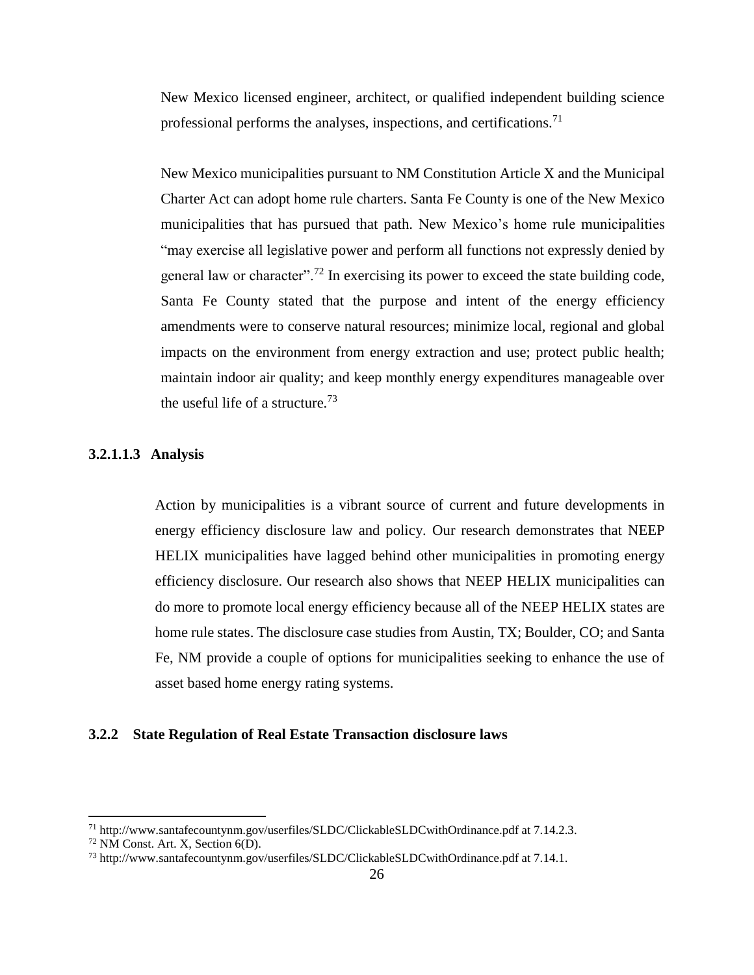New Mexico licensed engineer, architect, or qualified independent building science professional performs the analyses, inspections, and certifications.<sup>71</sup>

New Mexico municipalities pursuant to NM Constitution Article X and the Municipal Charter Act can adopt home rule charters. Santa Fe County is one of the New Mexico municipalities that has pursued that path. New Mexico's home rule municipalities "may exercise all legislative power and perform all functions not expressly denied by general law or character".<sup>72</sup> In exercising its power to exceed the state building code, Santa Fe County stated that the purpose and intent of the energy efficiency amendments were to conserve natural resources; minimize local, regional and global impacts on the environment from energy extraction and use; protect public health; maintain indoor air quality; and keep monthly energy expenditures manageable over the useful life of a structure.<sup>73</sup>

## <span id="page-25-0"></span>**3.2.1.1.3 Analysis**

Action by municipalities is a vibrant source of current and future developments in energy efficiency disclosure law and policy. Our research demonstrates that NEEP HELIX municipalities have lagged behind other municipalities in promoting energy efficiency disclosure. Our research also shows that NEEP HELIX municipalities can do more to promote local energy efficiency because all of the NEEP HELIX states are home rule states. The disclosure case studies from Austin, TX; Boulder, CO; and Santa Fe, NM provide a couple of options for municipalities seeking to enhance the use of asset based home energy rating systems.

#### <span id="page-25-1"></span>**3.2.2 State Regulation of Real Estate Transaction disclosure laws**

 $\overline{a}$ 

<sup>71</sup> http://www.santafecountynm.gov/userfiles/SLDC/ClickableSLDCwithOrdinance.pdf at 7.14.2.3.

<sup>72</sup> NM Const. Art. X, Section 6(D).

<sup>73</sup> http://www.santafecountynm.gov/userfiles/SLDC/ClickableSLDCwithOrdinance.pdf at 7.14.1.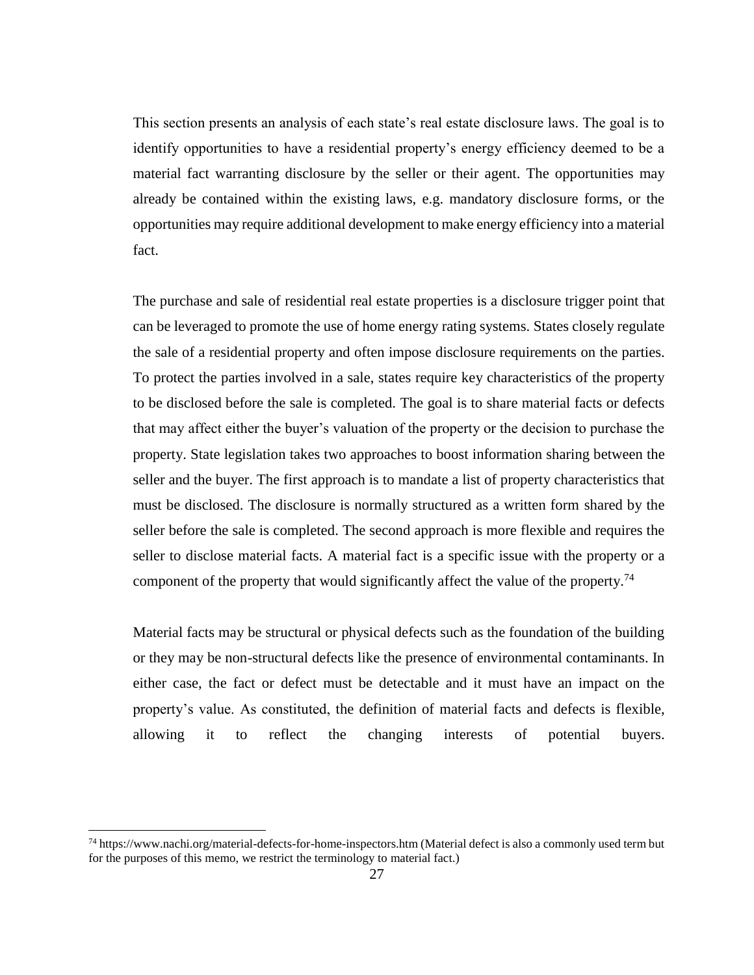This section presents an analysis of each state's real estate disclosure laws. The goal is to identify opportunities to have a residential property's energy efficiency deemed to be a material fact warranting disclosure by the seller or their agent. The opportunities may already be contained within the existing laws, e.g. mandatory disclosure forms, or the opportunities may require additional development to make energy efficiency into a material fact.

The purchase and sale of residential real estate properties is a disclosure trigger point that can be leveraged to promote the use of home energy rating systems. States closely regulate the sale of a residential property and often impose disclosure requirements on the parties. To protect the parties involved in a sale, states require key characteristics of the property to be disclosed before the sale is completed. The goal is to share material facts or defects that may affect either the buyer's valuation of the property or the decision to purchase the property. State legislation takes two approaches to boost information sharing between the seller and the buyer. The first approach is to mandate a list of property characteristics that must be disclosed. The disclosure is normally structured as a written form shared by the seller before the sale is completed. The second approach is more flexible and requires the seller to disclose material facts. A material fact is a specific issue with the property or a component of the property that would significantly affect the value of the property.<sup>74</sup>

Material facts may be structural or physical defects such as the foundation of the building or they may be non-structural defects like the presence of environmental contaminants. In either case, the fact or defect must be detectable and it must have an impact on the property's value. As constituted, the definition of material facts and defects is flexible, allowing it to reflect the changing interests of potential buyers.

l

<sup>74</sup> https://www.nachi.org/material-defects-for-home-inspectors.htm (Material defect is also a commonly used term but for the purposes of this memo, we restrict the terminology to material fact.)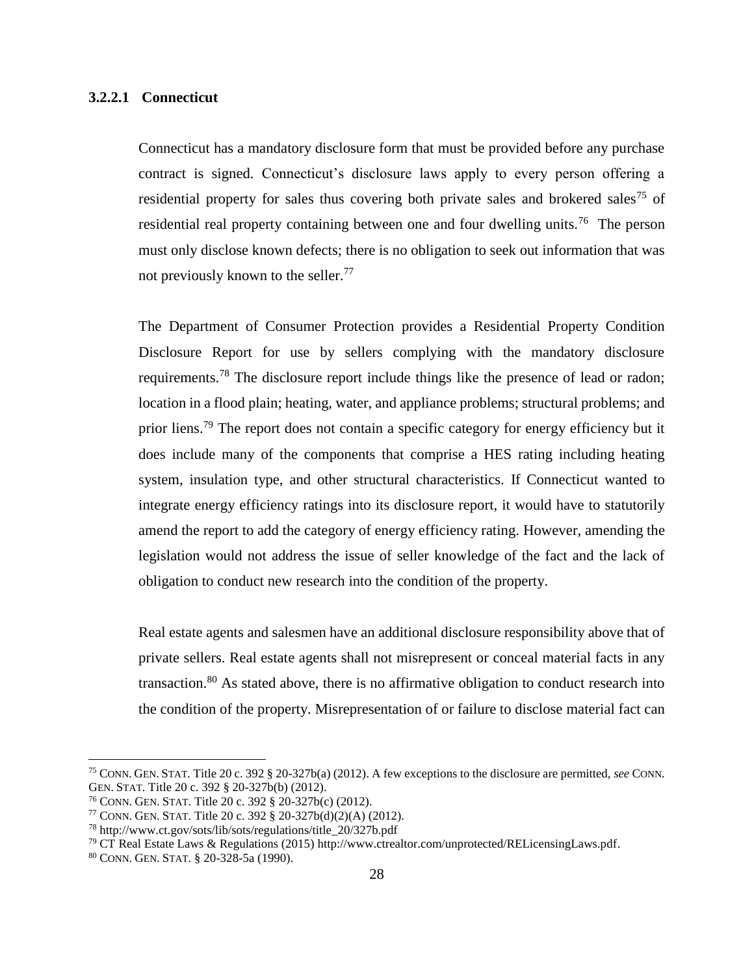## <span id="page-27-0"></span>**3.2.2.1 Connecticut**

Connecticut has a mandatory disclosure form that must be provided before any purchase contract is signed. Connecticut's disclosure laws apply to every person offering a residential property for sales thus covering both private sales and brokered sales<sup>75</sup> of residential real property containing between one and four dwelling units.<sup>76</sup> The person must only disclose known defects; there is no obligation to seek out information that was not previously known to the seller.<sup>77</sup>

The Department of Consumer Protection provides a Residential Property Condition Disclosure Report for use by sellers complying with the mandatory disclosure requirements.<sup>78</sup> The disclosure report include things like the presence of lead or radon; location in a flood plain; heating, water, and appliance problems; structural problems; and prior liens.<sup>79</sup> The report does not contain a specific category for energy efficiency but it does include many of the components that comprise a HES rating including heating system, insulation type, and other structural characteristics. If Connecticut wanted to integrate energy efficiency ratings into its disclosure report, it would have to statutorily amend the report to add the category of energy efficiency rating. However, amending the legislation would not address the issue of seller knowledge of the fact and the lack of obligation to conduct new research into the condition of the property.

Real estate agents and salesmen have an additional disclosure responsibility above that of private sellers. Real estate agents shall not misrepresent or conceal material facts in any transaction. $80$  As stated above, there is no affirmative obligation to conduct research into the condition of the property. Misrepresentation of or failure to disclose material fact can

 $\overline{a}$ 

<sup>75</sup> CONN. GEN. STAT. Title 20 c. 392 § 20-327b(a) (2012). A few exceptions to the disclosure are permitted, *see* CONN. GEN. STAT. Title 20 c. 392 § 20-327b(b) (2012).

<sup>76</sup> CONN. GEN. STAT. Title 20 c. 392 § 20-327b(c) (2012).

<sup>77</sup> CONN. GEN. STAT. Title 20 c. 392 § 20-327b(d)(2)(A) (2012).

<sup>78</sup> http://www.ct.gov/sots/lib/sots/regulations/title\_20/327b.pdf

<sup>79</sup> CT Real Estate Laws & Regulations (2015) [http://www.ctrealtor.com/unprotected/RELicensingLaws.pdf.](http://www.ctrealtor.com/unprotected/RELicensingLaws.pdf) 

<sup>80</sup> CONN. GEN. STAT. § 20-328-5a (1990).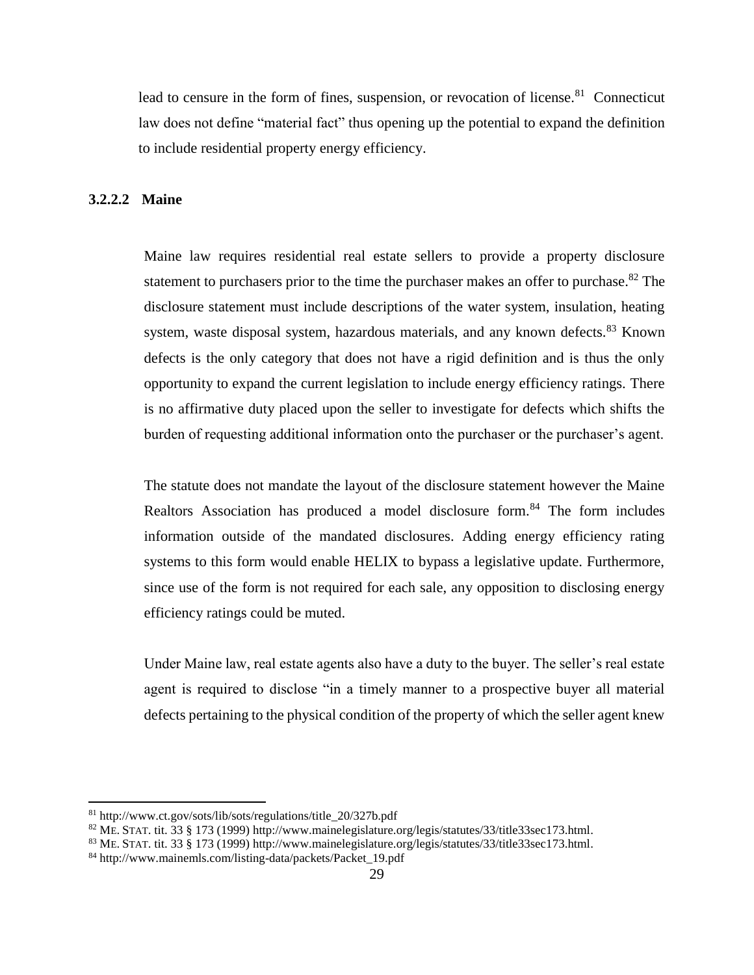lead to censure in the form of fines, suspension, or revocation of license.<sup>81</sup> Connecticut law does not define "material fact" thus opening up the potential to expand the definition to include residential property energy efficiency.

#### <span id="page-28-0"></span>**3.2.2.2 Maine**

Maine law requires residential real estate sellers to provide a property disclosure statement to purchasers prior to the time the purchaser makes an offer to purchase.<sup>82</sup> The disclosure statement must include descriptions of the water system, insulation, heating system, waste disposal system, hazardous materials, and any known defects.<sup>83</sup> Known defects is the only category that does not have a rigid definition and is thus the only opportunity to expand the current legislation to include energy efficiency ratings. There is no affirmative duty placed upon the seller to investigate for defects which shifts the burden of requesting additional information onto the purchaser or the purchaser's agent.

The statute does not mandate the layout of the disclosure statement however the Maine Realtors Association has produced a model disclosure form.<sup>84</sup> The form includes information outside of the mandated disclosures. Adding energy efficiency rating systems to this form would enable HELIX to bypass a legislative update. Furthermore, since use of the form is not required for each sale, any opposition to disclosing energy efficiency ratings could be muted.

Under Maine law, real estate agents also have a duty to the buyer. The seller's real estate agent is required to disclose "in a timely manner to a prospective buyer all material defects pertaining to the physical condition of the property of which the seller agent knew

l

<sup>81</sup> http://www.ct.gov/sots/lib/sots/regulations/title\_20/327b.pdf

<sup>82</sup> ME. STAT. tit. 33 § 173 (1999) [http://www.mainelegislature.org/legis/statutes/33/title33sec173.html.](http://www.mainelegislature.org/legis/statutes/33/title33sec173.html)

<sup>83</sup> ME. STAT. tit. 33 § 173 (1999) [http://www.mainelegislature.org/legis/statutes/33/title33sec173.html.](http://www.mainelegislature.org/legis/statutes/33/title33sec173.html)

<sup>84</sup> http://www.mainemls.com/listing-data/packets/Packet\_19.pdf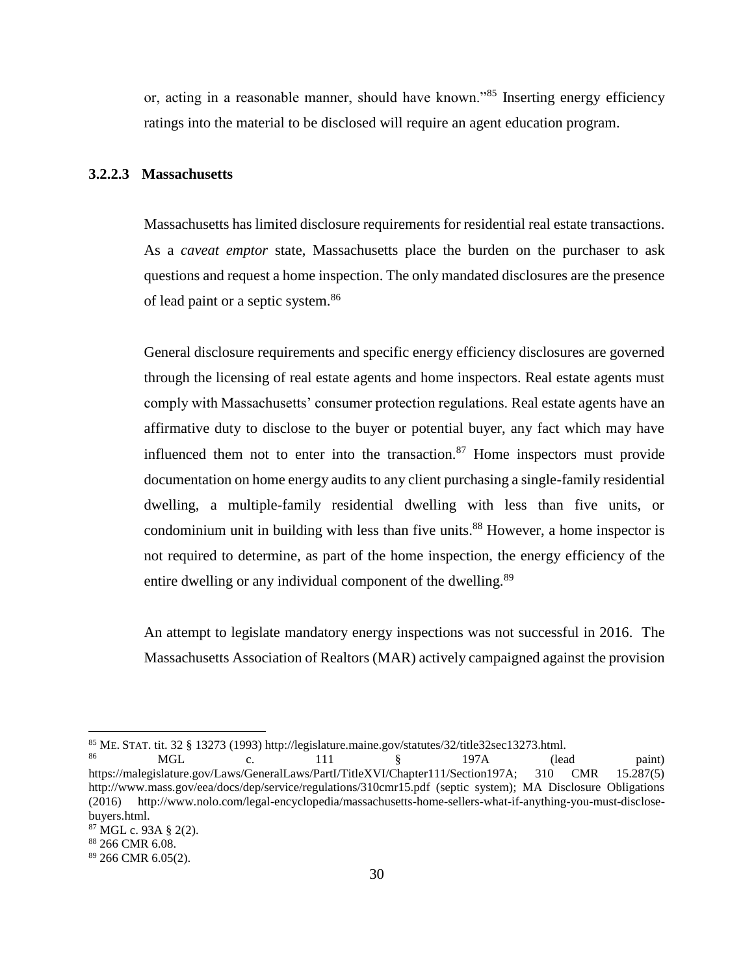or, acting in a reasonable manner, should have known."<sup>85</sup> Inserting energy efficiency ratings into the material to be disclosed will require an agent education program.

#### <span id="page-29-0"></span>**3.2.2.3 Massachusetts**

Massachusetts has limited disclosure requirements for residential real estate transactions. As a *caveat emptor* state, Massachusetts place the burden on the purchaser to ask questions and request a home inspection. The only mandated disclosures are the presence of lead paint or a septic system.<sup>86</sup>

General disclosure requirements and specific energy efficiency disclosures are governed through the licensing of real estate agents and home inspectors. Real estate agents must comply with Massachusetts' consumer protection regulations. Real estate agents have an affirmative duty to disclose to the buyer or potential buyer, any fact which may have influenced them not to enter into the transaction.<sup>87</sup> Home inspectors must provide documentation on home energy audits to any client purchasing a single-family residential dwelling, a multiple-family residential dwelling with less than five units, or condominium unit in building with less than five units.<sup>88</sup> However, a home inspector is not required to determine, as part of the home inspection, the energy efficiency of the entire dwelling or any individual component of the dwelling.<sup>89</sup>

An attempt to legislate mandatory energy inspections was not successful in 2016. The Massachusetts Association of Realtors (MAR) actively campaigned against the provision

 $\overline{a}$ 

<sup>&</sup>lt;sup>85</sup> ME. STAT. tit. 32 § 13273 (1993) http://legislature.maine.gov/statutes/32/title32sec13273.html.<br><sup>86</sup> 197A

<sup>86</sup> MGL c. 111 § 197A (lead paint) https://malegislature.gov/Laws/GeneralLaws/PartI/TitleXVI/Chapter111/Section197A; 310 CMR 15.287(5) http://www.mass.gov/eea/docs/dep/service/regulations/310cmr15.pdf (septic system); MA Disclosure Obligations (2016) [http://www.nolo.com/legal-encyclopedia/massachusetts-home-sellers-what-if-anything-you-must-disclose](http://www.nolo.com/legal-encyclopedia/massachusetts-home-sellers-what-if-anything-you-must-disclose-buyers.html)[buyers.html.](http://www.nolo.com/legal-encyclopedia/massachusetts-home-sellers-what-if-anything-you-must-disclose-buyers.html) 

<sup>87</sup> MGL c. 93A § 2(2).

<sup>88</sup> 266 CMR 6.08.

<sup>89</sup> 266 CMR 6.05(2).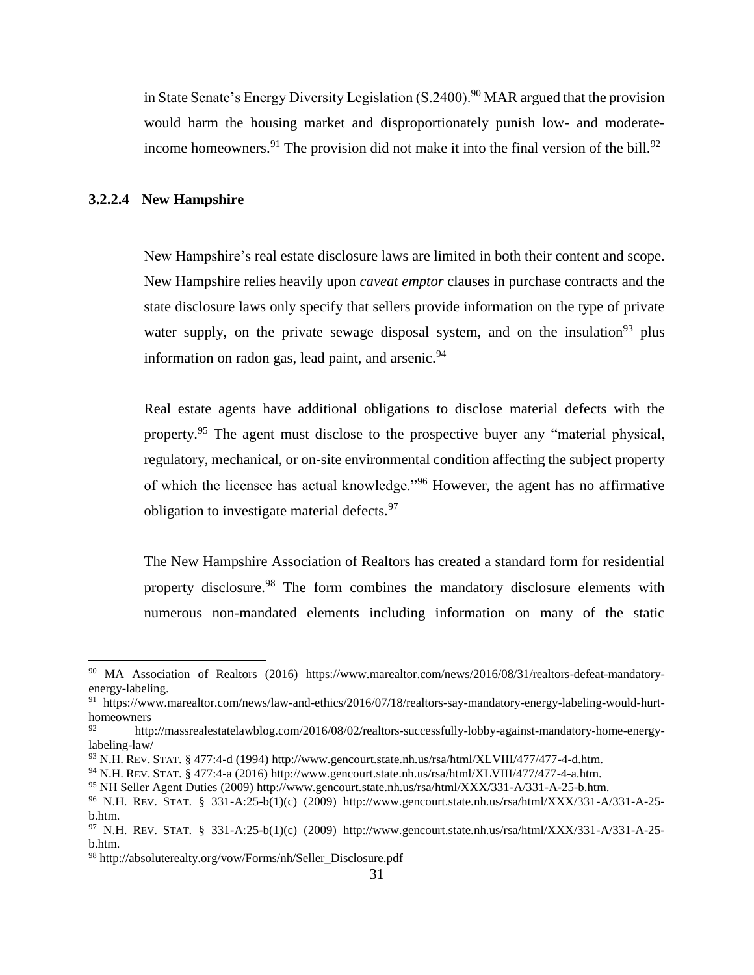in State Senate's Energy Diversity Legislation  $(S.2400)$ <sup>90</sup> MAR argued that the provision would harm the housing market and disproportionately punish low- and moderateincome homeowners.<sup>91</sup> The provision did not make it into the final version of the bill.<sup>92</sup>

## <span id="page-30-0"></span>**3.2.2.4 New Hampshire**

 $\overline{\phantom{a}}$ 

New Hampshire's real estate disclosure laws are limited in both their content and scope. New Hampshire relies heavily upon *caveat emptor* clauses in purchase contracts and the state disclosure laws only specify that sellers provide information on the type of private water supply, on the private sewage disposal system, and on the insulation<sup>93</sup> plus information on radon gas, lead paint, and arsenic.<sup>94</sup>

Real estate agents have additional obligations to disclose material defects with the property.<sup>95</sup> The agent must disclose to the prospective buyer any "material physical, regulatory, mechanical, or on-site environmental condition affecting the subject property of which the licensee has actual knowledge."<sup>96</sup> However, the agent has no affirmative obligation to investigate material defects.<sup>97</sup>

The New Hampshire Association of Realtors has created a standard form for residential property disclosure.<sup>98</sup> The form combines the mandatory disclosure elements with numerous non-mandated elements including information on many of the static

<sup>90</sup> MA Association of Realtors (2016) [https://www.marealtor.com/news/2016/08/31/realtors-defeat-mandatory](https://www.marealtor.com/news/2016/08/31/realtors-defeat-mandatory-energy-labeling)[energy-labeling.](https://www.marealtor.com/news/2016/08/31/realtors-defeat-mandatory-energy-labeling)

<sup>91</sup> https://www.marealtor.com/news/law-and-ethics/2016/07/18/realtors-say-mandatory-energy-labeling-would-hurthomeowners

http://massrealestatelawblog.com/2016/08/02/realtors-successfully-lobby-against-mandatory-home-energylabeling-law/

<sup>93</sup> N.H. REV. STAT. § 477:4-d (1994[\) http://www.gencourt.state.nh.us/rsa/html/XLVIII/477/477-4-d.htm.](http://www.gencourt.state.nh.us/rsa/html/XLVIII/477/477-4-d.htm)

<sup>94</sup> N.H. REV. STAT. § 477:4-a (2016) [http://www.gencourt.state.nh.us/rsa/html/XLVIII/477/477-4-a.htm.](http://www.gencourt.state.nh.us/rsa/html/XLVIII/477/477-4-a.htm) 

<sup>95</sup> NH Seller Agent Duties (2009) [http://www.gencourt.state.nh.us/rsa/html/XXX/331-A/331-A-25-b.htm.](http://www.gencourt.state.nh.us/rsa/html/XXX/331-A/331-A-25-b.htm)

<sup>96</sup> N.H. REV. STAT. § 331-A:25-b(1)(c) (2009) http://www.gencourt.state.nh.us/rsa/html/XXX/331-A/331-A-25 b.htm.

<sup>97</sup> N.H. REV. STAT. § 331-A:25-b(1)(c) (2009) http://www.gencourt.state.nh.us/rsa/html/XXX/331-A/331-A-25 b.htm.

<sup>98</sup> http://absoluterealty.org/vow/Forms/nh/Seller\_Disclosure.pdf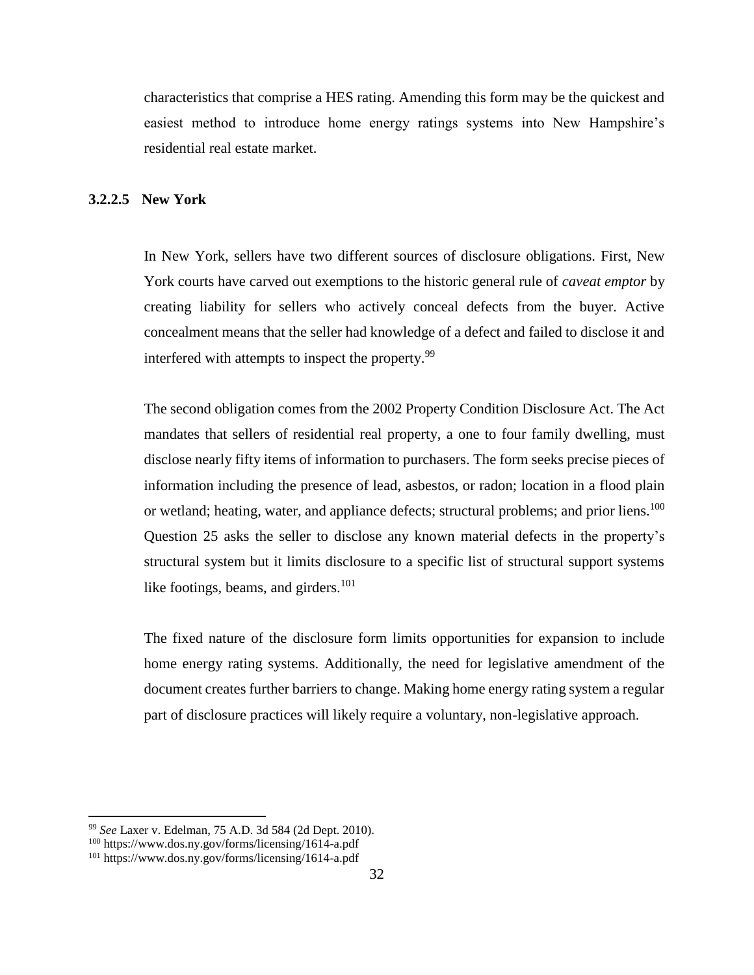characteristics that comprise a HES rating. Amending this form may be the quickest and easiest method to introduce home energy ratings systems into New Hampshire's residential real estate market.

#### <span id="page-31-0"></span>**3.2.2.5 New York**

In New York, sellers have two different sources of disclosure obligations. First, New York courts have carved out exemptions to the historic general rule of *caveat emptor* by creating liability for sellers who actively conceal defects from the buyer. Active concealment means that the seller had knowledge of a defect and failed to disclose it and interfered with attempts to inspect the property.<sup>99</sup>

The second obligation comes from the 2002 Property Condition Disclosure Act. The Act mandates that sellers of residential real property, a one to four family dwelling, must disclose nearly fifty items of information to purchasers. The form seeks precise pieces of information including the presence of lead, asbestos, or radon; location in a flood plain or wetland; heating, water, and appliance defects; structural problems; and prior liens.<sup>100</sup> Question 25 asks the seller to disclose any known material defects in the property's structural system but it limits disclosure to a specific list of structural support systems like footings, beams, and girders.<sup>101</sup>

The fixed nature of the disclosure form limits opportunities for expansion to include home energy rating systems. Additionally, the need for legislative amendment of the document creates further barriers to change. Making home energy rating system a regular part of disclosure practices will likely require a voluntary, non-legislative approach.

 $\overline{a}$ 

<sup>99</sup> *See* Laxer v. Edelman, 75 A.D. 3d 584 (2d Dept. 2010).

<sup>100</sup> https://www.dos.ny.gov/forms/licensing/1614-a.pdf

<sup>101</sup> https://www.dos.ny.gov/forms/licensing/1614-a.pdf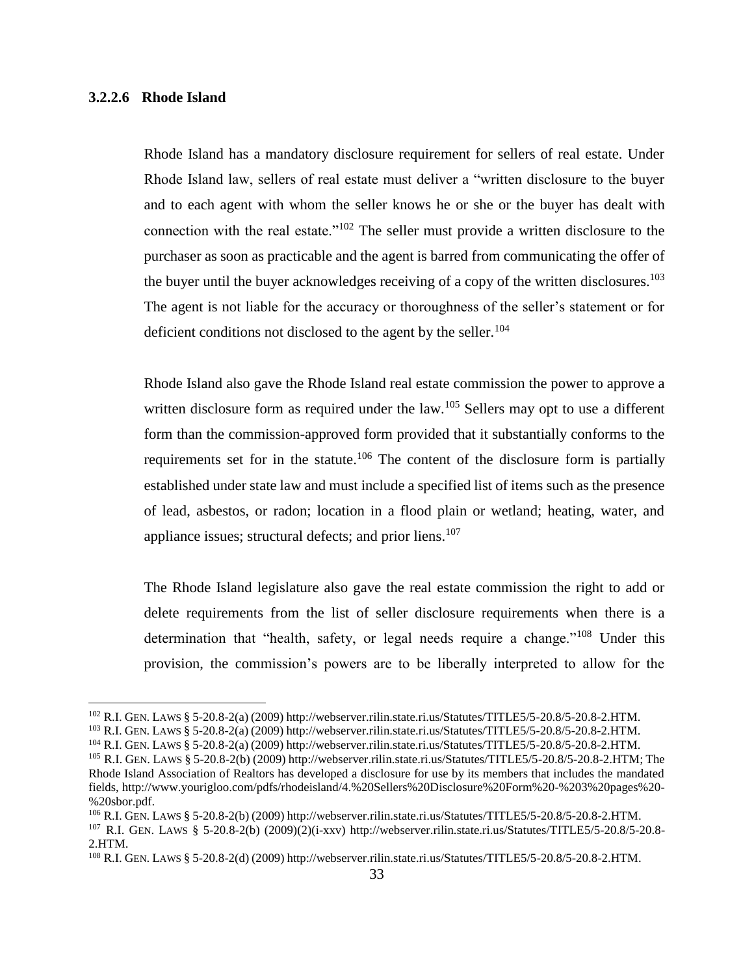#### <span id="page-32-0"></span>**3.2.2.6 Rhode Island**

 $\overline{\phantom{a}}$ 

Rhode Island has a mandatory disclosure requirement for sellers of real estate. Under Rhode Island law, sellers of real estate must deliver a "written disclosure to the buyer and to each agent with whom the seller knows he or she or the buyer has dealt with connection with the real estate."<sup>102</sup> The seller must provide a written disclosure to the purchaser as soon as practicable and the agent is barred from communicating the offer of the buyer until the buyer acknowledges receiving of a copy of the written disclosures.<sup>103</sup> The agent is not liable for the accuracy or thoroughness of the seller's statement or for deficient conditions not disclosed to the agent by the seller.<sup>104</sup>

Rhode Island also gave the Rhode Island real estate commission the power to approve a written disclosure form as required under the law.<sup>105</sup> Sellers may opt to use a different form than the commission-approved form provided that it substantially conforms to the requirements set for in the statute.<sup>106</sup> The content of the disclosure form is partially established under state law and must include a specified list of items such as the presence of lead, asbestos, or radon; location in a flood plain or wetland; heating, water, and appliance issues; structural defects; and prior liens.<sup>107</sup>

The Rhode Island legislature also gave the real estate commission the right to add or delete requirements from the list of seller disclosure requirements when there is a determination that "health, safety, or legal needs require a change."<sup>108</sup> Under this provision, the commission's powers are to be liberally interpreted to allow for the

<sup>102</sup> R.I. GEN. LAWS § 5-20.8-2(a) (2009) http://webserver.rilin.state.ri.us/Statutes/TITLE5/5-20.8/5-20.8-2.HTM.

<sup>103</sup> R.I. GEN. LAWS § 5-20.8-2(a) (2009) http://webserver.rilin.state.ri.us/Statutes/TITLE5/5-20.8/5-20.8-2.HTM.

<sup>104</sup> R.I. GEN. LAWS § 5-20.8-2(a) (2009) http://webserver.rilin.state.ri.us/Statutes/TITLE5/5-20.8/5-20.8-2.HTM.

<sup>105</sup> R.I. GEN. LAWS § 5-20.8-2(b) (2009) http://webserver.rilin.state.ri.us/Statutes/TITLE5/5-20.8/5-20.8-2.HTM; The Rhode Island Association of Realtors has developed a disclosure for use by its members that includes the mandated fields, http://www.yourigloo.com/pdfs/rhodeisland/4.%20Sellers%20Disclosure%20Form%20-%203%20pages%20- %20sbor.pdf.

<sup>106</sup> R.I. GEN. LAWS § 5-20.8-2(b) (2009) http://webserver.rilin.state.ri.us/Statutes/TITLE5/5-20.8/5-20.8-2.HTM.

<sup>107</sup> R.I. GEN. LAWS § 5-20.8-2(b) (2009)(2)(i-xxv) http://webserver.rilin.state.ri.us/Statutes/TITLE5/5-20.8/5-20.8- 2.HTM.

<sup>108</sup> R.I. GEN. LAWS § 5-20.8-2(d) (2009) http://webserver.rilin.state.ri.us/Statutes/TITLE5/5-20.8/5-20.8-2.HTM.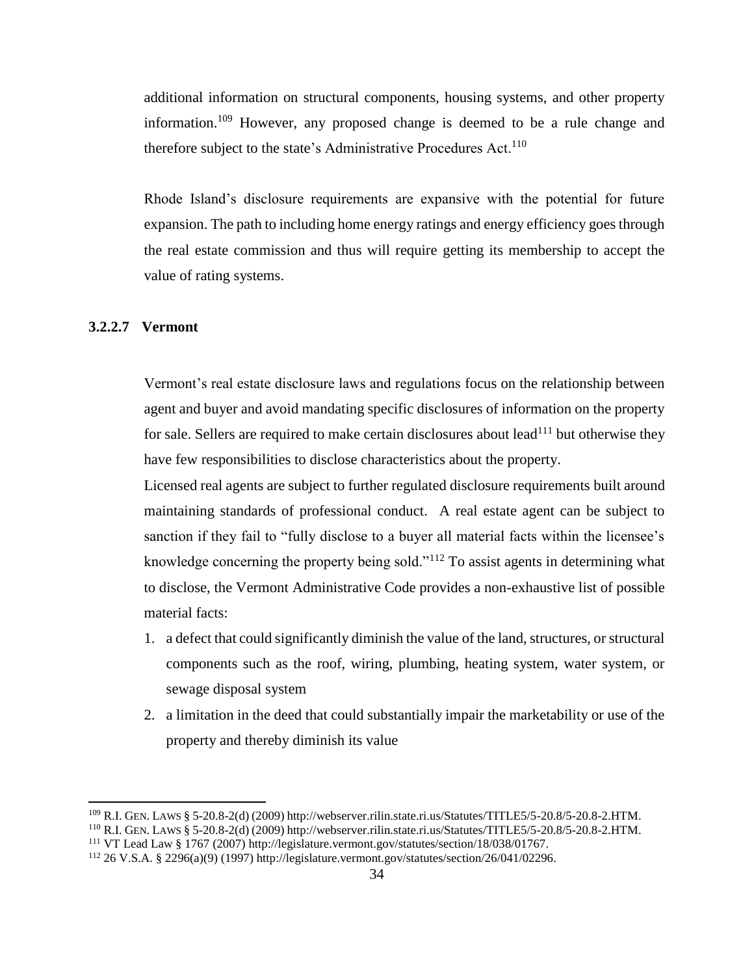additional information on structural components, housing systems, and other property information.<sup>109</sup> However, any proposed change is deemed to be a rule change and therefore subject to the state's Administrative Procedures  $Act.$ <sup>110</sup>

Rhode Island's disclosure requirements are expansive with the potential for future expansion. The path to including home energy ratings and energy efficiency goes through the real estate commission and thus will require getting its membership to accept the value of rating systems.

## <span id="page-33-0"></span>**3.2.2.7 Vermont**

l

Vermont's real estate disclosure laws and regulations focus on the relationship between agent and buyer and avoid mandating specific disclosures of information on the property for sale. Sellers are required to make certain disclosures about lead<sup>111</sup> but otherwise they have few responsibilities to disclose characteristics about the property.

Licensed real agents are subject to further regulated disclosure requirements built around maintaining standards of professional conduct. A real estate agent can be subject to sanction if they fail to "fully disclose to a buyer all material facts within the licensee's knowledge concerning the property being sold."<sup>112</sup> To assist agents in determining what to disclose, the Vermont Administrative Code provides a non-exhaustive list of possible material facts:

- 1. a defect that could significantly diminish the value of the land, structures, or structural components such as the roof, wiring, plumbing, heating system, water system, or sewage disposal system
- 2. a limitation in the deed that could substantially impair the marketability or use of the property and thereby diminish its value

<sup>109</sup> R.I. GEN. LAWS § 5-20.8-2(d) (2009) http://webserver.rilin.state.ri.us/Statutes/TITLE5/5-20.8/5-20.8-2.HTM.

<sup>110</sup> R.I. GEN. LAWS § 5-20.8-2(d) (2009) http://webserver.rilin.state.ri.us/Statutes/TITLE5/5-20.8/5-20.8-2.HTM.

<sup>111</sup> VT Lead Law § 1767 (2007) [http://legislature.vermont.gov/statutes/section/18/038/01767.](http://legislature.vermont.gov/statutes/section/18/038/01767)

<sup>112</sup> 26 V.S.A. § 2296(a)(9) (1997) http://legislature.vermont.gov/statutes/section/26/041/02296.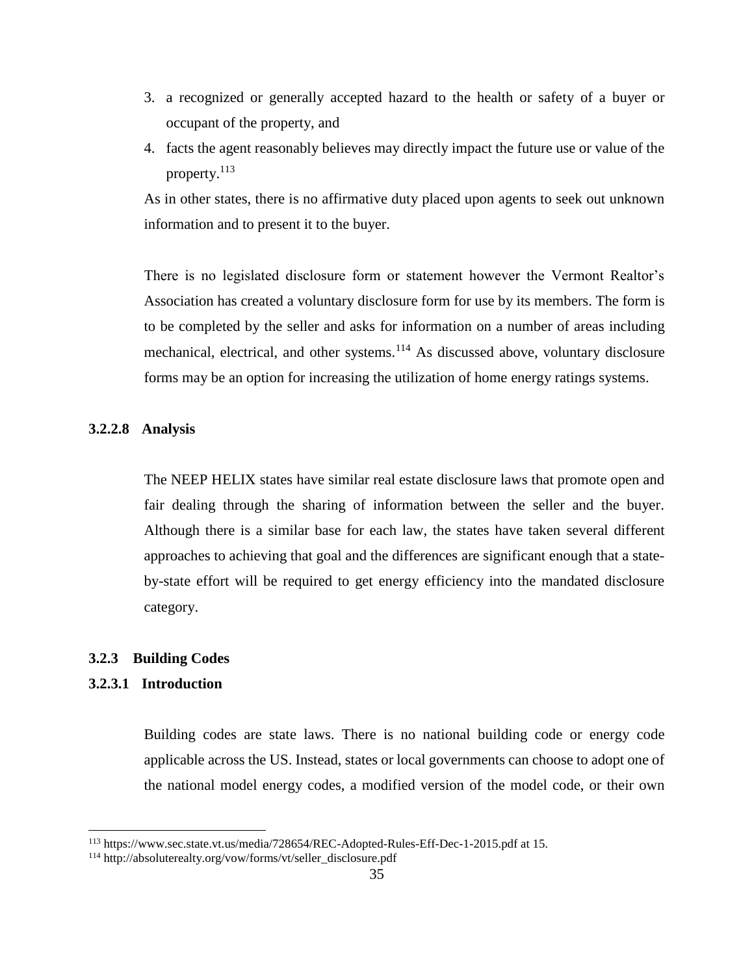- 3. a recognized or generally accepted hazard to the health or safety of a buyer or occupant of the property, and
- 4. facts the agent reasonably believes may directly impact the future use or value of the property.<sup>113</sup>

As in other states, there is no affirmative duty placed upon agents to seek out unknown information and to present it to the buyer.

There is no legislated disclosure form or statement however the Vermont Realtor's Association has created a voluntary disclosure form for use by its members. The form is to be completed by the seller and asks for information on a number of areas including mechanical, electrical, and other systems.<sup>114</sup> As discussed above, voluntary disclosure forms may be an option for increasing the utilization of home energy ratings systems.

## <span id="page-34-0"></span>**3.2.2.8 Analysis**

The NEEP HELIX states have similar real estate disclosure laws that promote open and fair dealing through the sharing of information between the seller and the buyer. Although there is a similar base for each law, the states have taken several different approaches to achieving that goal and the differences are significant enough that a stateby-state effort will be required to get energy efficiency into the mandated disclosure category.

#### <span id="page-34-1"></span>**3.2.3 Building Codes**

## <span id="page-34-2"></span>**3.2.3.1 Introduction**

l

Building codes are state laws. There is no national building code or energy code applicable across the US. Instead, states or local governments can choose to adopt one of the national model energy codes, a modified version of the model code, or their own

<sup>113</sup> https://www.sec.state.vt.us/media/728654/REC-Adopted-Rules-Eff-Dec-1-2015.pdf at 15.

<sup>114</sup> http://absoluterealty.org/vow/forms/vt/seller\_disclosure.pdf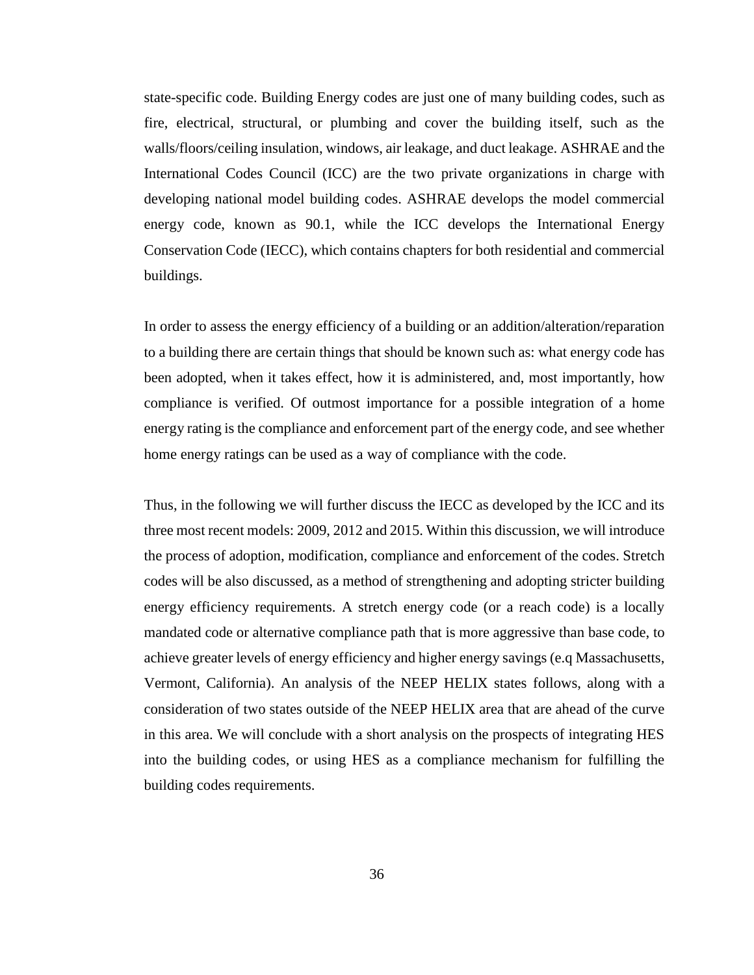state-specific code. Building Energy codes are just one of many building codes, such as fire, electrical, structural, or plumbing and cover the building itself, such as the walls/floors/ceiling insulation, windows, air leakage, and duct leakage. ASHRAE and the International Codes Council (ICC) are the two private organizations in charge with developing national model building codes. ASHRAE develops the model commercial energy code, known as 90.1, while the ICC develops the International Energy Conservation Code (IECC), which contains chapters for both residential and commercial buildings.

In order to assess the energy efficiency of a building or an addition/alteration/reparation to a building there are certain things that should be known such as: what energy code has been adopted, when it takes effect, how it is administered, and, most importantly, how compliance is verified. Of outmost importance for a possible integration of a home energy rating is the compliance and enforcement part of the energy code, and see whether home energy ratings can be used as a way of compliance with the code.

Thus, in the following we will further discuss the IECC as developed by the ICC and its three most recent models: 2009, 2012 and 2015. Within this discussion, we will introduce the process of adoption, modification, compliance and enforcement of the codes. Stretch codes will be also discussed, as a method of strengthening and adopting stricter building energy efficiency requirements. A stretch energy code (or a reach code) is a locally mandated code or alternative compliance path that is more aggressive than base code, to achieve greater levels of energy efficiency and higher energy savings (e.q Massachusetts, Vermont, California). An analysis of the NEEP HELIX states follows, along with a consideration of two states outside of the NEEP HELIX area that are ahead of the curve in this area. We will conclude with a short analysis on the prospects of integrating HES into the building codes, or using HES as a compliance mechanism for fulfilling the building codes requirements.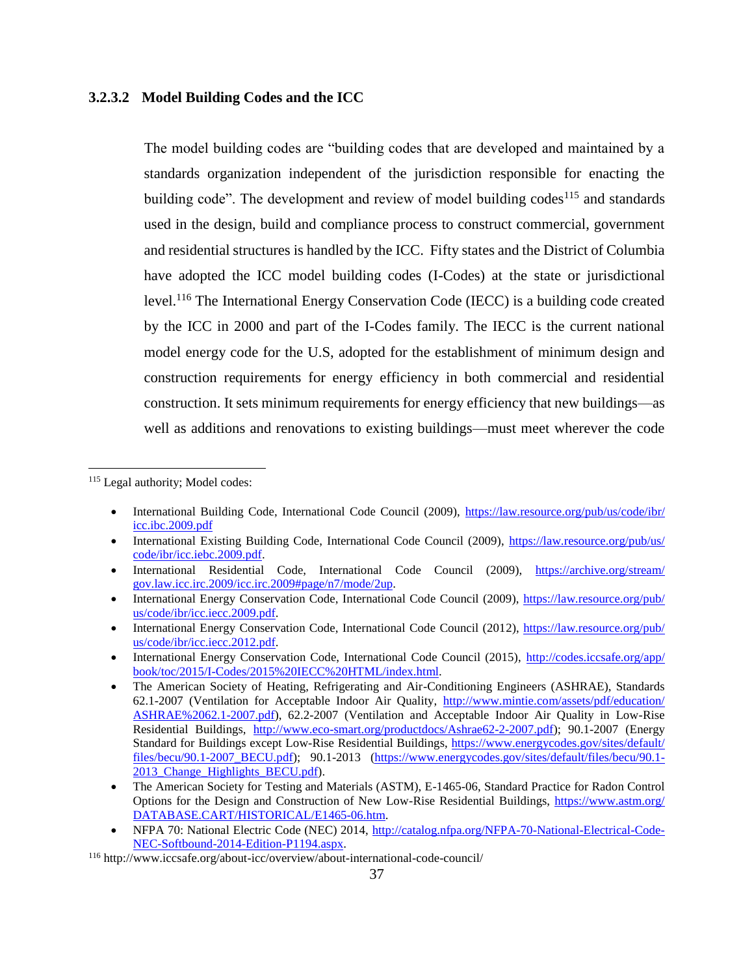## <span id="page-36-0"></span>**3.2.3.2 Model Building Codes and the ICC**

The model building codes are "building codes that are developed and maintained by a standards organization independent of the jurisdiction responsible for enacting the building code". The development and review of model building codes<sup>115</sup> and standards used in the design, build and compliance process to construct commercial, government and residential structures is handled by the ICC. Fifty states and the District of Columbia have adopted the ICC model building codes (I-Codes) at the state or jurisdictional level.<sup>116</sup> The International Energy Conservation Code (IECC) is a building code created by the ICC in 2000 and part of the I-Codes family. The IECC is the current national model energy code for the U.S, adopted for the establishment of minimum design and construction requirements for energy efficiency in both commercial and residential construction. It sets minimum requirements for energy efficiency that new buildings—as well as additions and renovations to existing buildings—must meet wherever the code

<sup>115</sup> Legal authority; Model codes:

 $\overline{\phantom{a}}$ 

- International Building Code, International Code Council (2009), [https://law.resource.org/pub/us/code/ibr/](https://law.resource.org/​pub/​us/​code/​ibr/​icc.ibc.2009.pdf) [icc.ibc.2009.pdf](https://law.resource.org/​pub/​us/​code/​ibr/​icc.ibc.2009.pdf)
- International Existing Building Code, International Code Council (2009), [https://law.resource.org/pub/us/](https://law.resource.org/​pub/​us/​code/​ibr/​icc.iebc.2009.pdf) [code/ibr/icc.iebc.2009.pdf.](https://law.resource.org/​pub/​us/​code/​ibr/​icc.iebc.2009.pdf)
- International Residential Code, International Code Council (2009), [https://archive.org/stream/](https://archive.org/​stream/​gov.law.icc.irc.2009/​icc.irc.2009#page/​n7/​mode/​2up) [gov.law.icc.irc.2009/icc.irc.2009#page/n7/mode/2up.](https://archive.org/​stream/​gov.law.icc.irc.2009/​icc.irc.2009#page/​n7/​mode/​2up)
- International Energy Conservation Code, International Code Council (2009), [https://law.resource.org/pub/](https://law.resource.org/​pub/​us/​code/​ibr/​icc.iecc.2009.pdf) [us/code/ibr/icc.iecc.2009.pdf.](https://law.resource.org/​pub/​us/​code/​ibr/​icc.iecc.2009.pdf)
- International Energy Conservation Code, International Code Council (2012), [https://law.resource.org/pub/](https://law.resource.org/​pub/​us/​code/​ibr/​icc.iecc.2012.pdf) [us/code/ibr/icc.iecc.2012.pdf.](https://law.resource.org/​pub/​us/​code/​ibr/​icc.iecc.2012.pdf)
- International Energy Conservation Code, International Code Council (2015), [http://codes.iccsafe.org/app/](http://codes.iccsafe.org/​app/​book/​toc/​2015/​I-Codes/​2015%25​20IECC%25​20HTML/​index.html) [book/toc/2015/I-Codes/2015%20IECC%20HTML/index.html.](http://codes.iccsafe.org/​app/​book/​toc/​2015/​I-Codes/​2015%25​20IECC%25​20HTML/​index.html)
- The American Society of Heating, Refrigerating and Air-Conditioning Engineers (ASHRAE), Standards 62.1-2007 (Ventilation for Acceptable Indoor Air Quality, [http://www.mintie.com/assets/pdf/education/](http://www.mintie.com/​assets/​pdf/​education/​ASHRAE%25​2062.1-2007.pdf) [ASHRAE%2062.1-2007.pdf\)](http://www.mintie.com/​assets/​pdf/​education/​ASHRAE%25​2062.1-2007.pdf), 62.2-2007 (Ventilation and Acceptable Indoor Air Quality in Low-Rise Residential Buildings, [http://www.eco-smart.org/productdocs/Ashrae62-2-2007.pdf\)](http://www.eco-smart.org/​productdocs/​Ashrae62-2-2007.pdf); 90.1-2007 (Energy Standard for Buildings except Low-Rise Residential Buildings, [https://www.energycodes.gov/sites/default/](https://www.energycodes.gov/​sites/​default/​files/​becu/​90.1-2007_​BECU.pdf) [files/becu/90.1-2007\\_BECU.pdf\)](https://www.energycodes.gov/​sites/​default/​files/​becu/​90.1-2007_​BECU.pdf); 90.1-2013 [\(https://www.energycodes.gov/sites/default/files/becu/90.1-](https://www.energycodes.gov/​sites/​default/​files/​becu/​90.1-2013_​Change_​Highlights_​BECU.pdf) [2013\\_Change\\_Highlights\\_BECU.pdf\)](https://www.energycodes.gov/​sites/​default/​files/​becu/​90.1-2013_​Change_​Highlights_​BECU.pdf).
- The American Society for Testing and Materials (ASTM), E-1465-06, Standard Practice for Radon Control Options for the Design and Construction of New Low-Rise Residential Buildings, [https://www.astm.org/](https://www.astm.org/​DATABASE.CART/​HISTORICAL/​E1465-06.htm) [DATABASE.CART/HISTORICAL/E1465-06.htm.](https://www.astm.org/​DATABASE.CART/​HISTORICAL/​E1465-06.htm)
- NFPA 70: National Electric Code (NEC) 2014, [http://catalog.nfpa.org/NFPA-70-National-Electrical-Code-](http://catalog.nfpa.org/NFPA-70-National-Electrical-Code-NEC-Softbound-2014-Edition-P1194.aspx)[NEC-Softbound-2014-Edition-P1194.aspx.](http://catalog.nfpa.org/NFPA-70-National-Electrical-Code-NEC-Softbound-2014-Edition-P1194.aspx)

<sup>116</sup> http://www.iccsafe.org/about-icc/overview/about-international-code-council/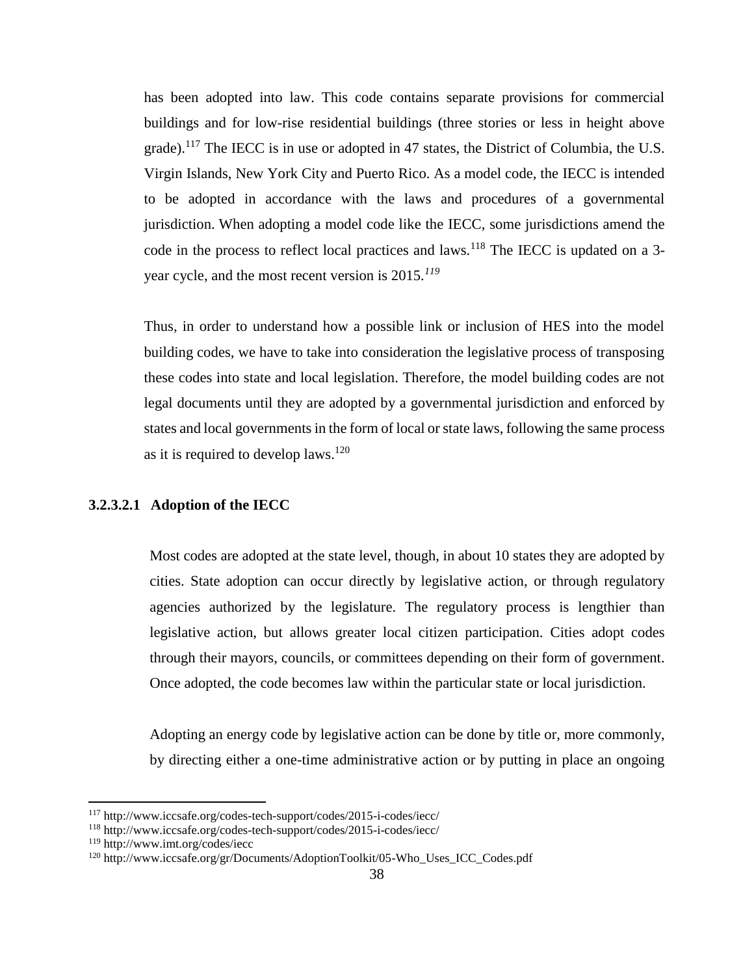has been adopted into law. This code contains separate provisions for commercial buildings and for low-rise residential buildings (three stories or less in height above grade).<sup>117</sup> The IECC is in use or adopted in 47 states, the District of Columbia, the U.S. Virgin Islands, New York City and Puerto Rico. As a model code, the IECC is intended to be adopted in accordance with the laws and procedures of a governmental jurisdiction. When adopting a model code like the IECC, some jurisdictions amend the code in the process to reflect local practices and laws.<sup>118</sup> The IECC is updated on a 3year cycle, and the most recent version is 2015*. 119*

Thus, in order to understand how a possible link or inclusion of HES into the model building codes, we have to take into consideration the legislative process of transposing these codes into state and local legislation. Therefore, the model building codes are not legal documents until they are adopted by a governmental jurisdiction and enforced by states and local governments in the form of local or state laws, following the same process as it is required to develop laws.<sup>120</sup>

## <span id="page-37-0"></span>**3.2.3.2.1 Adoption of the IECC**

Most codes are adopted at the state level, though, in about 10 states they are adopted by cities. State adoption can occur directly by legislative action, or through regulatory agencies authorized by the legislature. The regulatory process is lengthier than legislative action, but allows greater local citizen participation. Cities adopt codes through their mayors, councils, or committees depending on their form of government. Once adopted, the code becomes law within the particular state or local jurisdiction.

Adopting an energy code by legislative action can be done by title or, more commonly, by directing either a one-time administrative action or by putting in place an ongoing

l

<sup>117</sup> http://www.iccsafe.org/codes-tech-support/codes/2015-i-codes/iecc/

<sup>118</sup> http://www.iccsafe.org/codes-tech-support/codes/2015-i-codes/iecc/

<sup>119</sup> http://www.imt.org/codes/iecc

<sup>120</sup> http://www.iccsafe.org/gr/Documents/AdoptionToolkit/05-Who\_Uses\_ICC\_Codes.pdf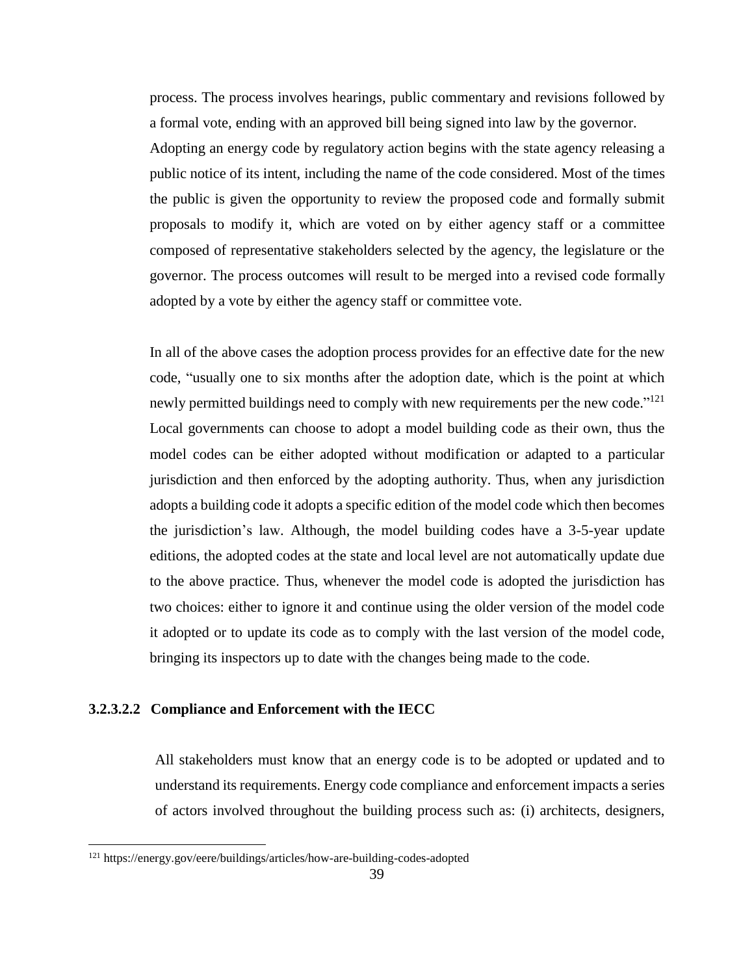process. The process involves hearings, public commentary and revisions followed by a formal vote, ending with an approved bill being signed into law by the governor. Adopting an energy code by regulatory action begins with the state agency releasing a public notice of its intent, including the name of the code considered. Most of the times the public is given the opportunity to review the proposed code and formally submit proposals to modify it, which are voted on by either agency staff or a committee composed of representative stakeholders selected by the agency, the legislature or the governor. The process outcomes will result to be merged into a revised code formally adopted by a vote by either the agency staff or committee vote.

In all of the above cases the adoption process provides for an effective date for the new code, "usually one to six months after the adoption date, which is the point at which newly permitted buildings need to comply with new requirements per the new code."<sup>121</sup> Local governments can choose to adopt a model building code as their own, thus the model codes can be either adopted without modification or adapted to a particular jurisdiction and then enforced by the adopting authority. Thus, when any jurisdiction adopts a building code it adopts a specific edition of the model code which then becomes the jurisdiction's law. Although, the model building codes have a 3-5-year update editions, the adopted codes at the state and local level are not automatically update due to the above practice. Thus, whenever the model code is adopted the jurisdiction has two choices: either to ignore it and continue using the older version of the model code it adopted or to update its code as to comply with the last version of the model code, bringing its inspectors up to date with the changes being made to the code.

## <span id="page-38-0"></span>**3.2.3.2.2 Compliance and Enforcement with the IECC**

All stakeholders must know that an energy code is to be adopted or updated and to understand its requirements. Energy code compliance and enforcement impacts a series of actors involved throughout the building process such as: (i) architects, designers,

 $\overline{a}$ 

<sup>121</sup> https://energy.gov/eere/buildings/articles/how-are-building-codes-adopted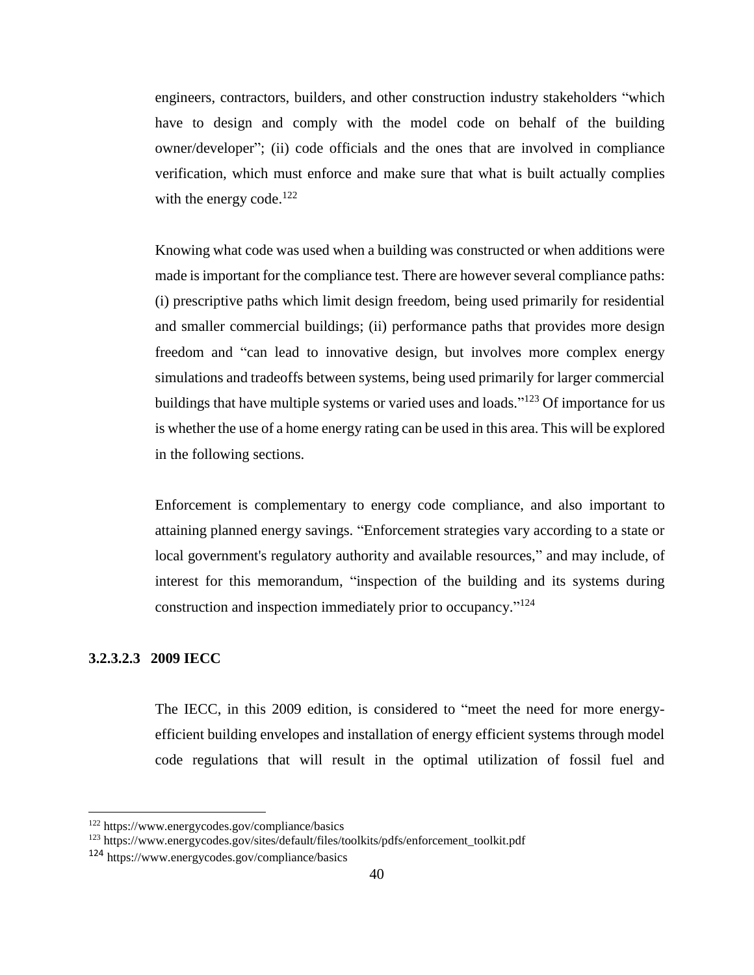engineers, contractors, builders, and other construction industry stakeholders "which have to design and comply with the model code on behalf of the building owner/developer"; (ii) code officials and the ones that are involved in compliance verification, which must enforce and make sure that what is built actually complies with the energy code.<sup>122</sup>

Knowing what code was used when a building was constructed or when additions were made is important for the compliance test. There are however several compliance paths: (i) prescriptive paths which limit design freedom, being used primarily for residential and smaller commercial buildings; (ii) performance paths that provides more design freedom and "can lead to innovative design, but involves more complex energy simulations and tradeoffs between systems, being used primarily for larger commercial buildings that have multiple systems or varied uses and loads."<sup>123</sup> Of importance for us is whether the use of a home energy rating can be used in this area. This will be explored in the following sections.

Enforcement is complementary to energy code compliance, and also important to attaining planned energy savings. "Enforcement strategies vary according to a state or local government's regulatory authority and available resources," and may include, of interest for this memorandum, "inspection of the building and its systems during construction and inspection immediately prior to occupancy." 124

## <span id="page-39-0"></span>**3.2.3.2.3 2009 IECC**

l

The IECC, in this 2009 edition, is considered to "meet the need for more energyefficient building envelopes and installation of energy efficient systems through model code regulations that will result in the optimal utilization of fossil fuel and

<sup>122</sup> https://www.energycodes.gov/compliance/basics

<sup>123</sup> https://www.energycodes.gov/sites/default/files/toolkits/pdfs/enforcement\_toolkit.pdf

<sup>124</sup> https://www.energycodes.gov/compliance/basics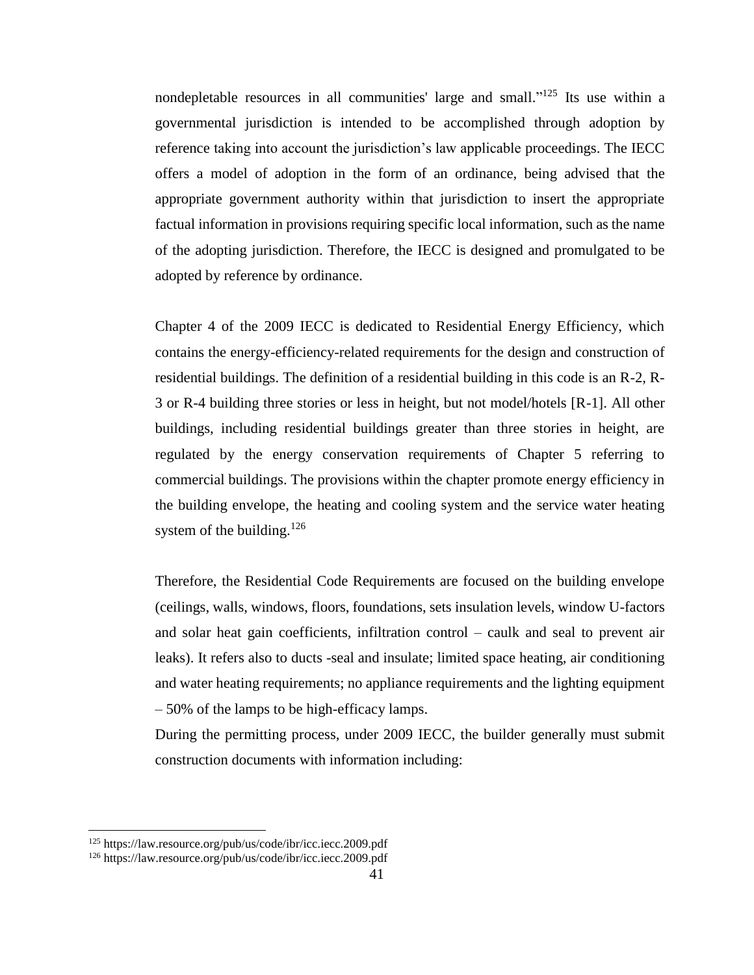nondepletable resources in all communities' large and small." <sup>125</sup> Its use within a governmental jurisdiction is intended to be accomplished through adoption by reference taking into account the jurisdiction's law applicable proceedings. The IECC offers a model of adoption in the form of an ordinance, being advised that the appropriate government authority within that jurisdiction to insert the appropriate factual information in provisions requiring specific local information, such as the name of the adopting jurisdiction. Therefore, the IECC is designed and promulgated to be adopted by reference by ordinance.

Chapter 4 of the 2009 IECC is dedicated to Residential Energy Efficiency, which contains the energy-efficiency-related requirements for the design and construction of residential buildings. The definition of a residential building in this code is an R-2, R-3 or R-4 building three stories or less in height, but not model/hotels [R-1]. All other buildings, including residential buildings greater than three stories in height, are regulated by the energy conservation requirements of Chapter 5 referring to commercial buildings. The provisions within the chapter promote energy efficiency in the building envelope, the heating and cooling system and the service water heating system of the building. $126$ 

Therefore, the Residential Code Requirements are focused on the building envelope (ceilings, walls, windows, floors, foundations, sets insulation levels, window U-factors and solar heat gain coefficients, infiltration control – caulk and seal to prevent air leaks). It refers also to ducts -seal and insulate; limited space heating, air conditioning and water heating requirements; no appliance requirements and the lighting equipment – 50% of the lamps to be high-efficacy lamps.

During the permitting process, under 2009 IECC, the builder generally must submit construction documents with information including:

l

<sup>125</sup> https://law.resource.org/pub/us/code/ibr/icc.iecc.2009.pdf

<sup>126</sup> https://law.resource.org/pub/us/code/ibr/icc.iecc.2009.pdf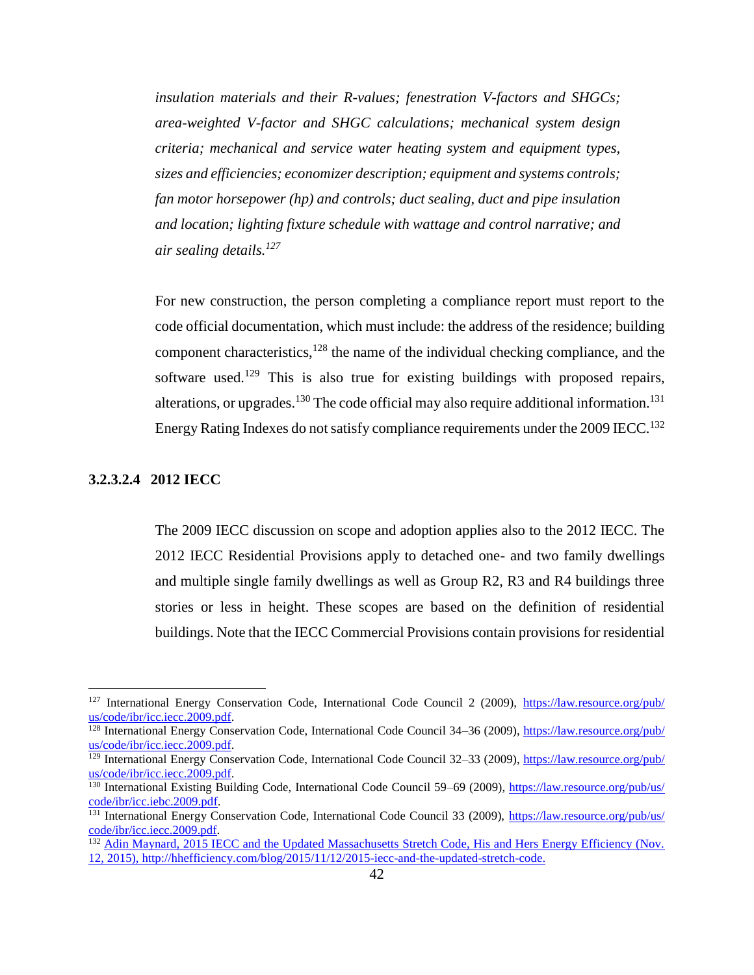*insulation materials and their R-values; fenestration V-factors and SHGCs; area-weighted V-factor and SHGC calculations; mechanical system design criteria; mechanical and service water heating system and equipment types, sizes and efficiencies; economizer description; equipment and systems controls; fan motor horsepower (hp) and controls; duct sealing, duct and pipe insulation and location; lighting fixture schedule with wattage and control narrative; and air sealing details.<sup>127</sup>*

For new construction, the person completing a compliance report must report to the code official documentation, which must include: the address of the residence; building component characteristics,<sup>128</sup> the name of the individual checking compliance, and the software used.<sup>129</sup> This is also true for existing buildings with proposed repairs, alterations, or upgrades.<sup>130</sup> The code official may also require additional information.<sup>131</sup> Energy Rating Indexes do not satisfy compliance requirements under the 2009 IECC.<sup>132</sup>

## <span id="page-41-0"></span>**3.2.3.2.4 2012 IECC**

 $\overline{\phantom{a}}$ 

The 2009 IECC discussion on scope and adoption applies also to the 2012 IECC. The 2012 IECC Residential Provisions apply to detached one- and two family dwellings and multiple single family dwellings as well as Group R2, R3 and R4 buildings three stories or less in height. These scopes are based on the definition of residential buildings. Note that the IECC Commercial Provisions contain provisions for residential

<sup>&</sup>lt;sup>127</sup> International Energy Conservation Code, International Code Council 2 (2009), [https://law.resource.org/pub/](https://law.resource.org/pub/us/code/ibr/icc.iecc.2009.pdf) [us/code/ibr/icc.iecc.2009.pdf.](https://law.resource.org/pub/us/code/ibr/icc.iecc.2009.pdf)

<sup>&</sup>lt;sup>128</sup> International Energy Conservation Code, International Code Council 34–36 (2009), [https://law.resource.org/pub/](https://law.resource.org/​pub/​us/​code/​ibr/​icc.iecc.2009.pdf) [us/code/ibr/icc.iecc.2009.pdf.](https://law.resource.org/​pub/​us/​code/​ibr/​icc.iecc.2009.pdf)

<sup>&</sup>lt;sup>129</sup> International Energy Conservation Code, International Code Council 32–33 (2009), [https://law.resource.org/pub/](https://law.resource.org/​pub/​us/​code/​ibr/​icc.iecc.2009.pdf) [us/code/ibr/icc.iecc.2009.pdf.](https://law.resource.org/​pub/​us/​code/​ibr/​icc.iecc.2009.pdf)

<sup>130</sup> International Existing Building Code, International Code Council 59–69 (2009), [https://law.resource.org/pub/us/](https://law.resource.org/​pub/​us/​code/​ibr/​icc.iebc.2009.pdf) [code/ibr/icc.iebc.2009.pdf.](https://law.resource.org/​pub/​us/​code/​ibr/​icc.iebc.2009.pdf)

<sup>&</sup>lt;sup>131</sup> International Energy Conservation Code, International Code Council 33 (2009), [https://law.resource.org/pub/us/](https://law.resource.org/​pub/​us/​code/​ibr/​icc.iecc.2009.pdf) [code/ibr/icc.iecc.2009.pdf.](https://law.resource.org/​pub/​us/​code/​ibr/​icc.iecc.2009.pdf)

<sup>&</sup>lt;sup>132</sup> Adin Maynard, 2015 IECC and the Updated Massachusetts Stretch Code, His and Hers Energy Efficiency (Nov. 12, 2015), [http://hhefficiency.com/blog/2015/11/12/2015-iecc-and-the-updated-stretch-code.](http://hhefficiency.com/​blog/​2015/​11/​12/​2015-iecc-and-the-updated-stretch-code)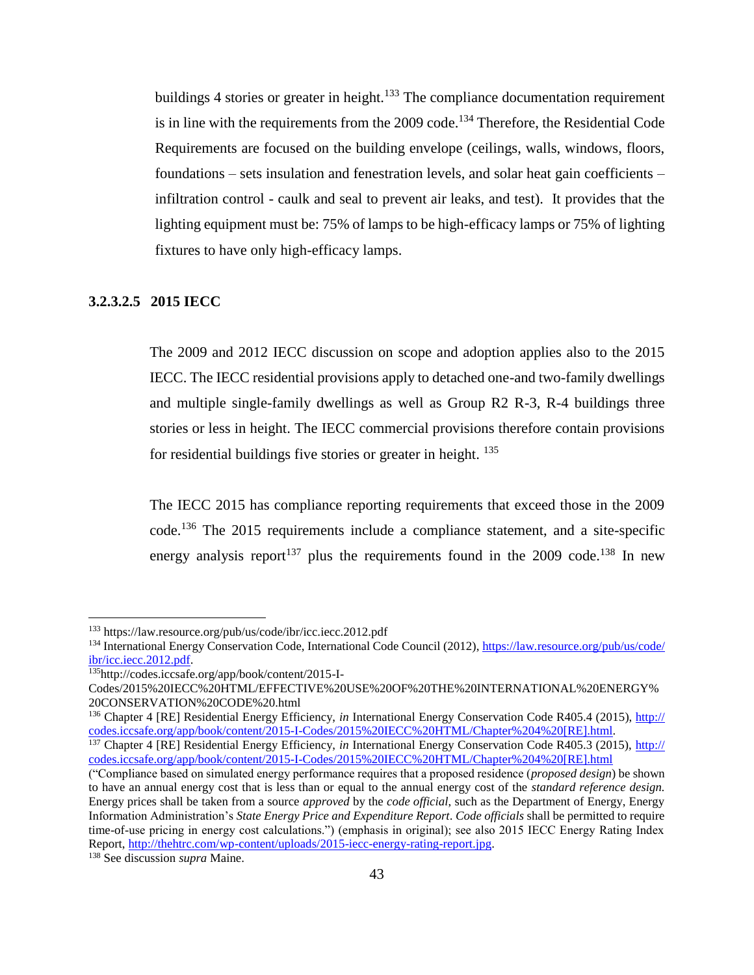buildings 4 stories or greater in height.<sup>133</sup> The compliance documentation requirement is in line with the requirements from the  $2009 \text{ code.}^{134}$  Therefore, the Residential Code Requirements are focused on the building envelope (ceilings, walls, windows, floors, foundations – sets insulation and fenestration levels, and solar heat gain coefficients – infiltration control - caulk and seal to prevent air leaks, and test). It provides that the lighting equipment must be: 75% of lamps to be high-efficacy lamps or 75% of lighting fixtures to have only high-efficacy lamps.

## <span id="page-42-0"></span>**3.2.3.2.5 2015 IECC**

The 2009 and 2012 IECC discussion on scope and adoption applies also to the 2015 IECC. The IECC residential provisions apply to detached one-and two-family dwellings and multiple single-family dwellings as well as Group R2 R-3, R-4 buildings three stories or less in height. The IECC commercial provisions therefore contain provisions for residential buildings five stories or greater in height. <sup>135</sup>

The IECC 2015 has compliance reporting requirements that exceed those in the 2009 code.<sup>136</sup> The 2015 requirements include a compliance statement, and a site-specific energy analysis report<sup>137</sup> plus the requirements found in the 2009 code.<sup>138</sup> In new

 $\overline{\phantom{a}}$ 

<sup>133</sup> https://law.resource.org/pub/us/code/ibr/icc.iecc.2012.pdf

<sup>&</sup>lt;sup>134</sup> International Energy Conservation Code, International Code Council (2012)[, https://law.resource.org/pub/us/code/](https://law.resource.org/​pub/​us/​code/​ibr/​icc.iecc.2012.pdf) [ibr/icc.iecc.2012.pdf.](https://law.resource.org/​pub/​us/​code/​ibr/​icc.iecc.2012.pdf)

<sup>135</sup>http://codes.iccsafe.org/app/book/content/2015-I-

Codes/2015%20IECC%20HTML/EFFECTIVE%20USE%20OF%20THE%20INTERNATIONAL%20ENERGY% 20CONSERVATION%20CODE%20.html

<sup>136</sup> Chapter 4 [RE] Residential Energy Efficiency, *in* International Energy Conservation Code R405.4 (2015), [http://](http://codes.iccsafe.org/​app/​book/​content/​2015-I-Codes/​2015%25​20IECC%25​20HTML/​Chapter%25​204%25​20%5bRE%5d.html) [codes.iccsafe.org/app/book/content/2015-I-Codes/2015%20IECC%20HTML/Chapter%204%20\[RE\].html.](http://codes.iccsafe.org/​app/​book/​content/​2015-I-Codes/​2015%25​20IECC%25​20HTML/​Chapter%25​204%25​20%5bRE%5d.html)

<sup>137</sup> Chapter 4 [RE] Residential Energy Efficiency, *in* International Energy Conservation Code R405.3 (2015), [http://](http://codes.iccsafe.org/​app/​book/​content/​2015-I-Codes/​2015%25​20IECC%25​20HTML/​Chapter%25​204%25​20%5bRE%5d.html) [codes.iccsafe.org/app/book/content/2015-I-Codes/2015%20IECC%20HTML/Chapter%204%20\[RE\].html](http://codes.iccsafe.org/​app/​book/​content/​2015-I-Codes/​2015%25​20IECC%25​20HTML/​Chapter%25​204%25​20%5bRE%5d.html)

<sup>(&</sup>quot;Compliance based on simulated energy performance requires that a proposed residence (*proposed design*) be shown to have an annual energy cost that is less than or equal to the annual energy cost of the *standard reference design.*  Energy prices shall be taken from a source *approved* by the *code official*, such as the Department of Energy, Energy Information Administration's *State Energy Price and Expenditure Report*. *Code officials* shall be permitted to require time-of-use pricing in energy cost calculations.") (emphasis in original); see also 2015 IECC Energy Rating Index Report, [http://thehtrc.com/wp-content/uploads/2015-iecc-energy-rating-report.jpg.](http://thehtrc.com/wp-content/​uploads/​2015-iecc-energy-rating-report.jpg)

<sup>138</sup> See discussion *supra* Maine.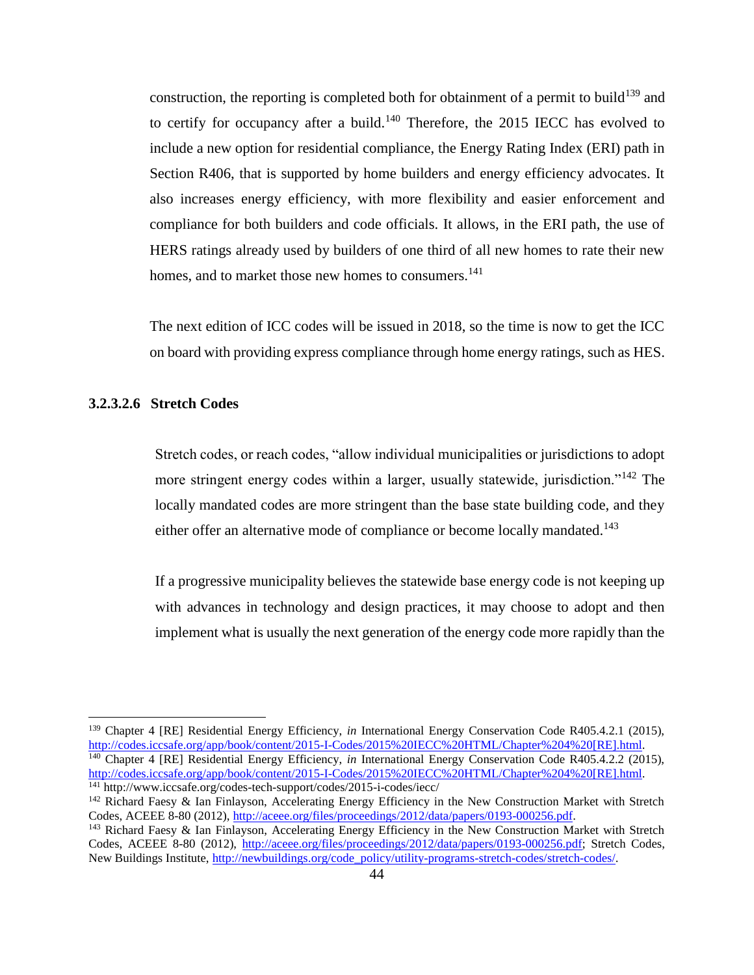construction, the reporting is completed both for obtainment of a permit to build<sup>139</sup> and to certify for occupancy after a build.<sup>140</sup> Therefore, the 2015 IECC has evolved to include a new option for residential compliance, the Energy Rating Index (ERI) path in Section R406, that is supported by home builders and energy efficiency advocates. It also increases energy efficiency, with more flexibility and easier enforcement and compliance for both builders and code officials. It allows, in the ERI path, the use of HERS ratings already used by builders of one third of all new homes to rate their new homes, and to market those new homes to consumers.<sup>141</sup>

The next edition of ICC codes will be issued in 2018, so the time is now to get the ICC on board with providing express compliance through home energy ratings, such as HES.

## <span id="page-43-0"></span>**3.2.3.2.6 Stretch Codes**

l

Stretch codes, or reach codes, "allow individual municipalities or jurisdictions to adopt more stringent energy codes within a larger, usually statewide, jurisdiction."<sup>142</sup> The locally mandated codes are more stringent than the base state building code, and they either offer an alternative mode of compliance or become locally mandated.<sup>143</sup>

If a progressive municipality believes the statewide base energy code is not keeping up with advances in technology and design practices, it may choose to adopt and then implement what is usually the next generation of the energy code more rapidly than the

<sup>139</sup> Chapter 4 [RE] Residential Energy Efficiency, *in* International Energy Conservation Code R405.4.2.1 (2015), [http://codes.iccsafe.org/app/book/content/2015-I-Codes/2015%20IECC%20HTML/Chapter%204%20\[RE\].html.](http://codes.iccsafe.org/​app/​book/​content/​2015-I-Codes/​2015%25​20IECC%25​20HTML/​Chapter%25​204%25​20%5bRE%5d.html) <sup>140</sup> Chapter 4 [RE] Residential Energy Efficiency, *in* International Energy Conservation Code R405.4.2.2 (2015), [http://codes.iccsafe.org/app/book/content/2015-I-Codes/2015%20IECC%20HTML/Chapter%204%20\[RE\].html.](http://codes.iccsafe.org/​app/​book/​content/​2015-I-Codes/​2015%25​20IECC%25​20HTML/​Chapter%25​204%25​20%5bRE%5d.html)

<sup>141</sup> http://www.iccsafe.org/codes-tech-support/codes/2015-i-codes/iecc/

<sup>&</sup>lt;sup>142</sup> Richard Faesy & Ian Finlayson, Accelerating Energy Efficiency in the New Construction Market with Stretch Codes, ACEEE 8-80 (2012), [http://aceee.org/files/proceedings/2012/data/papers/0193-000256.pdf.](http://aceee.org/​files/​proceedings/​2012/​data/​papers/​0193-000256.pdf)

<sup>143</sup> Richard Faesy & Ian Finlayson, Accelerating Energy Efficiency in the New Construction Market with Stretch Codes, ACEEE 8-80 (2012), [http://aceee.org/files/proceedings/2012/data/papers/0193-000256.pdf;](http://aceee.org/​files/​proceedings/​2012/​data/​papers/​0193-000256.pdf) Stretch Codes, New Buildings Institute, [http://newbuildings.org/code\\_policy/utility-programs-stretch-codes/stretch-codes/.](http://newbuildings.org/​code_​policy/​utility-programs-stretch-codes/​stretch-codes/)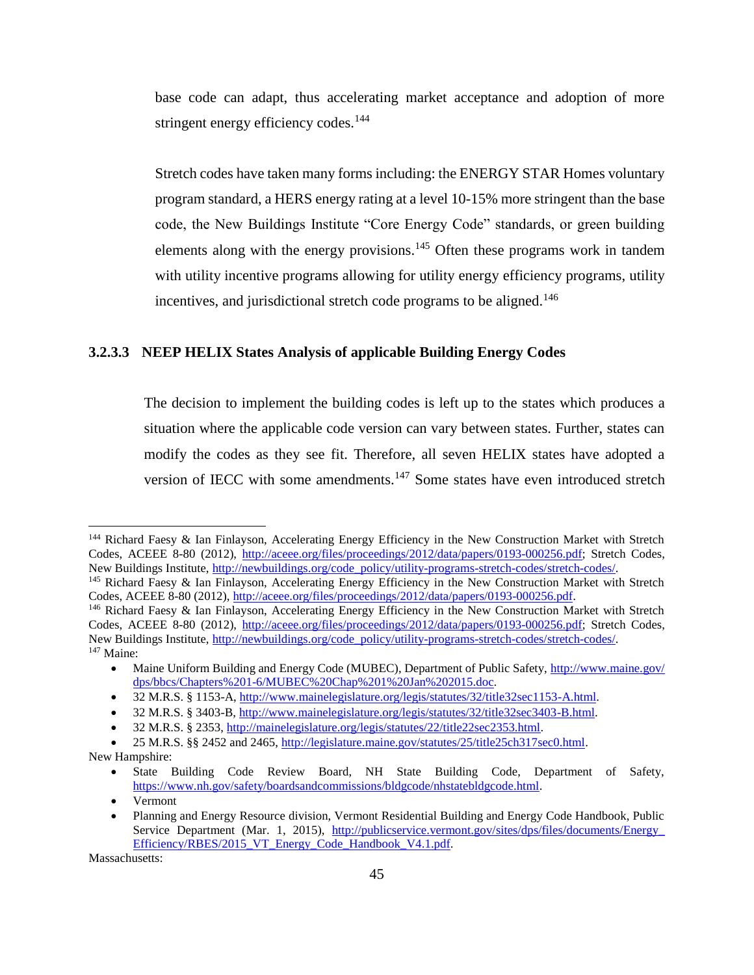base code can adapt, thus accelerating market acceptance and adoption of more stringent energy efficiency codes.<sup>144</sup>

Stretch codes have taken many forms including: the ENERGY STAR Homes voluntary program standard, a HERS energy rating at a level 10-15% more stringent than the base code, the New Buildings Institute "Core Energy Code" standards, or green building elements along with the energy provisions.<sup>145</sup> Often these programs work in tandem with utility incentive programs allowing for utility energy efficiency programs, utility incentives, and jurisdictional stretch code programs to be aligned.<sup>146</sup>

## <span id="page-44-0"></span>**3.2.3.3 NEEP HELIX States Analysis of applicable Building Energy Codes**

The decision to implement the building codes is left up to the states which produces a situation where the applicable code version can vary between states. Further, states can modify the codes as they see fit. Therefore, all seven HELIX states have adopted a version of IECC with some amendments.<sup>147</sup> Some states have even introduced stretch

Massachusetts:

 $\overline{a}$ 

<sup>144</sup> Richard Faesy & Ian Finlayson, Accelerating Energy Efficiency in the New Construction Market with Stretch Codes, ACEEE 8-80 (2012), [http://aceee.org/files/proceedings/2012/data/papers/0193-000256.pdf;](http://aceee.org/​files/​proceedings/​2012/​data/​papers/​0193-000256.pdf) Stretch Codes, New Buildings Institute, [http://newbuildings.org/code\\_policy/utility-programs-stretch-codes/stretch-codes/.](http://newbuildings.org/​code_​policy/​utility-programs-stretch-codes/​stretch-codes/)

<sup>145</sup> Richard Faesy & Ian Finlayson, Accelerating Energy Efficiency in the New Construction Market with Stretch Codes, ACEEE 8-80 (2012), [http://aceee.org/files/proceedings/2012/data/papers/0193-000256.pdf.](http://aceee.org/​files/​proceedings/​2012/​data/​papers/​0193-000256.pdf)

<sup>&</sup>lt;sup>146</sup> Richard Faesy & Ian Finlayson, Accelerating Energy Efficiency in the New Construction Market with Stretch Codes, ACEEE 8-80 (2012), [http://aceee.org/files/proceedings/2012/data/papers/0193-000256.pdf;](http://aceee.org/​files/​proceedings/​2012/​data/​papers/​0193-000256.pdf) Stretch Codes, New Buildings Institute, [http://newbuildings.org/code\\_policy/utility-programs-stretch-codes/stretch-codes/.](http://newbuildings.org/​code_​policy/​utility-programs-stretch-codes/​stretch-codes/) <sup>147</sup> Maine:

Maine Uniform Building and Energy Code (MUBEC), Department of Public Safety, [http://www.maine.gov/](http://www.maine.gov/​dps/​bbcs/​Chapters%25​201-6/​MUBEC%25​20Chap%25​201%25​20Jan%25​202015.doc) [dps/bbcs/Chapters%201-6/MUBEC%20Chap%201%20Jan%202015.doc.](http://www.maine.gov/​dps/​bbcs/​Chapters%25​201-6/​MUBEC%25​20Chap%25​201%25​20Jan%25​202015.doc)

<sup>• 32</sup> M.R.S. § 1153-A, http://www.mainelegislature.org/legis/statutes/32/title32sec1153-A.html.

<sup>• 32</sup> M.R.S. § 3403-B, [http://www.mainelegislature.org/legis/statutes/32/title32sec3403-B.html.](http://www.mainelegislature.org/legis/statutes/32/title32sec3403-B.html)

32 M.R.S. § 2353, [http://mainelegislature.org/legis/statutes/22/title22sec2353.html.](http://mainelegislature.org/legis/statutes/22/title22sec2353.html)

<sup>• 25</sup> M.R.S. §§ 2452 and 2465, http://legislature.maine.gov/statutes/25/title25ch317sec0.html. New Hampshire:

State Building Code Review Board, NH State Building Code, Department of Safety, [https://www.nh.gov/safety/boardsandcommissions/bldgcode/nhstatebldgcode.html.](https://www.nh.gov/safety/boardsandcommissions/bldgcode/nhstatebldgcode.html)

<sup>•</sup> Vermont

Planning and Energy Resource division, Vermont Residential Building and Energy Code Handbook, Public Service Department (Mar. 1, 2015), [http://publicservice.vermont.gov/sites/dps/files/documents/Energy\\_](http://publicservice.vermont.gov/​sites/​dps/​files/​documents/​Energy_​Efficiency/​RBES/​2015_​VT_​Energy_​Code_​Handbook_​V4.1.pdf) [Efficiency/RBES/2015\\_VT\\_Energy\\_Code\\_Handbook\\_V4.1.pdf.](http://publicservice.vermont.gov/​sites/​dps/​files/​documents/​Energy_​Efficiency/​RBES/​2015_​VT_​Energy_​Code_​Handbook_​V4.1.pdf)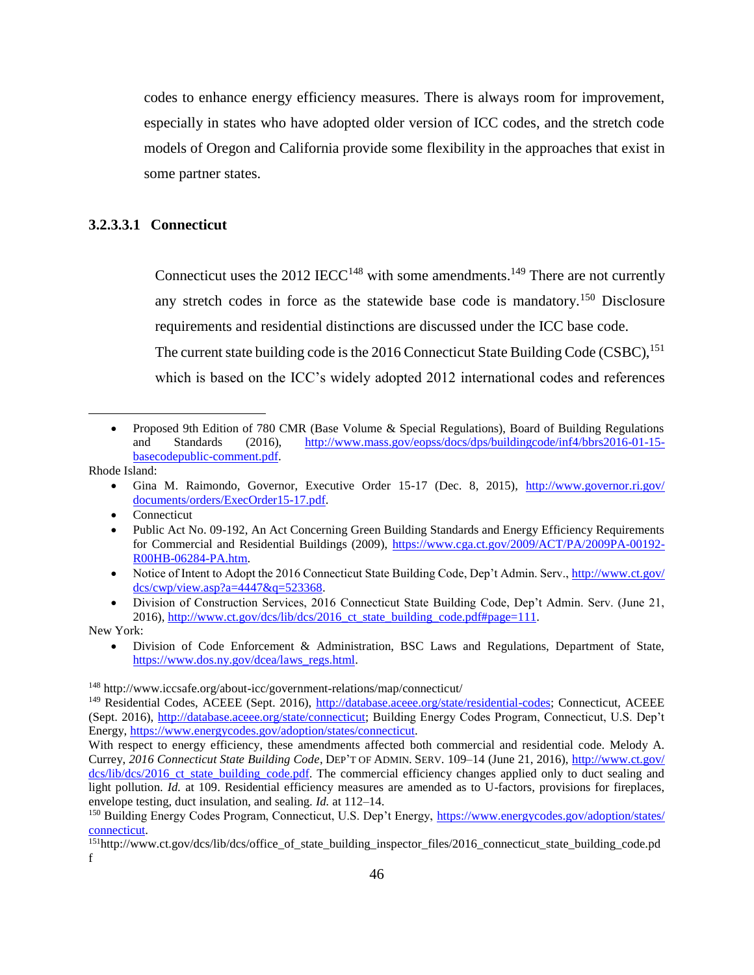codes to enhance energy efficiency measures. There is always room for improvement, especially in states who have adopted older version of ICC codes, and the stretch code models of Oregon and California provide some flexibility in the approaches that exist in some partner states.

## <span id="page-45-0"></span>**3.2.3.3.1 Connecticut**

Connecticut uses the 2012 IECC<sup>148</sup> with some amendments.<sup>149</sup> There are not currently any stretch codes in force as the statewide base code is mandatory.<sup>150</sup> Disclosure requirements and residential distinctions are discussed under the ICC base code. The current state building code is the 2016 Connecticut State Building Code (CSBC),  $^{151}$ 

which is based on the ICC's widely adopted 2012 international codes and references

Rhode Island:

 $\overline{\phantom{a}}$ 

- Gina M. Raimondo, Governor, Executive Order 15-17 (Dec. 8, 2015), [http://www.governor.ri.gov/](http://www.governor.ri.gov/​documents/​orders/​ExecOrder15-17.pdf) [documents/orders/ExecOrder15-17.pdf.](http://www.governor.ri.gov/​documents/​orders/​ExecOrder15-17.pdf)
- Connecticut
- Public Act No. 09-192, An Act Concerning Green Building Standards and Energy Efficiency Requirements for Commercial and Residential Buildings (2009), [https://www.cga.ct.gov/2009/ACT/PA/2009PA-00192-](https://www.cga.ct.gov/​2009/​ACT/​PA/​2009PA-00192-R00HB-06284-PA.htm) [R00HB-06284-PA.htm.](https://www.cga.ct.gov/​2009/​ACT/​PA/​2009PA-00192-R00HB-06284-PA.htm)
- Notice of Intent to Adopt the 2016 Connecticut State Building Code, Dep't Admin. Serv., [http://www.ct.gov/](http://www.ct.gov/​dcs/​cwp/​view.asp?​a=4447&q=523368) [dcs/cwp/view.asp?a=4447&q=523368.](http://www.ct.gov/​dcs/​cwp/​view.asp?​a=4447&q=523368)
- Division of Construction Services, 2016 Connecticut State Building Code, Dep't Admin. Serv. (June 21, 2016), [http://www.ct.gov/dcs/lib/dcs/2016\\_ct\\_state\\_building\\_code.pdf#page=111.](http://www.ct.gov/​dcs/​lib/​dcs/​2016_​ct_​state_​building_​code.pdf#​page=​111)

New York:

 Division of Code Enforcement & Administration, BSC Laws and Regulations, Department of State, [https://www.dos.ny.gov/dcea/laws\\_regs.html.](https://www.dos.ny.gov/dcea/laws_regs.html)

Proposed 9th Edition of 780 CMR (Base Volume & Special Regulations), Board of Building Regulations and Standards (2016), [http://www.mass.gov/eopss/docs/dps/buildingcode/inf4/bbrs2016-01-15](http://www.mass.gov/​eopss/​docs/​dps/​buildingcode/​inf4/​bbrs2016-01-15-basecodepublic-comment.pdf) [basecodepublic-comment.pdf.](http://www.mass.gov/​eopss/​docs/​dps/​buildingcode/​inf4/​bbrs2016-01-15-basecodepublic-comment.pdf)

<sup>148</sup> http://www.iccsafe.org/about-icc/government-relations/map/connecticut/

<sup>&</sup>lt;sup>149</sup> Residential Codes, ACEEE (Sept. 2016), [http://database.aceee.org/state/residential-codes;](http://database.aceee.org/state/residential-codes) Connecticut, ACEEE (Sept. 2016), [http://database.aceee.org/state/connecticut;](http://database.aceee.org/state/connecticut) Building Energy Codes Program, Connecticut, U.S. Dep't Energy, [https://www.energycodes.gov/adoption/states/connecticut.](https://www.energycodes.gov/adoption/states/connecticut)

With respect to energy efficiency, these amendments affected both commercial and residential code. Melody A. Currey, *2016 Connecticut State Building Code*, DEP'T OF ADMIN. SERV. 109–14 (June 21, 2016), [http://www.ct.gov/](http://www.ct.gov/​dcs/​lib/​dcs/​2016_​ct_​state_​building_​code.​pdf) [dcs/lib/dcs/2016\\_ct\\_state\\_building\\_code.pdf.](http://www.ct.gov/​dcs/​lib/​dcs/​2016_​ct_​state_​building_​code.​pdf) The commercial efficiency changes applied only to duct sealing and light pollution. *Id.* at 109. Residential efficiency measures are amended as to U-factors, provisions for fireplaces, envelope testing, duct insulation, and sealing. *Id.* at 112–14.

<sup>&</sup>lt;sup>150</sup> Building Energy Codes Program, Connecticut, U.S. Dep't Energy, [https://www.energycodes.gov/adoption/states/](https://www.energycodes.gov/​adoption/​states/​connecticut) [connecticut.](https://www.energycodes.gov/​adoption/​states/​connecticut)

<sup>151</sup>http://www.ct.gov/dcs/lib/dcs/office\_of\_state\_building\_inspector\_files/2016\_connecticut\_state\_building\_code.pd f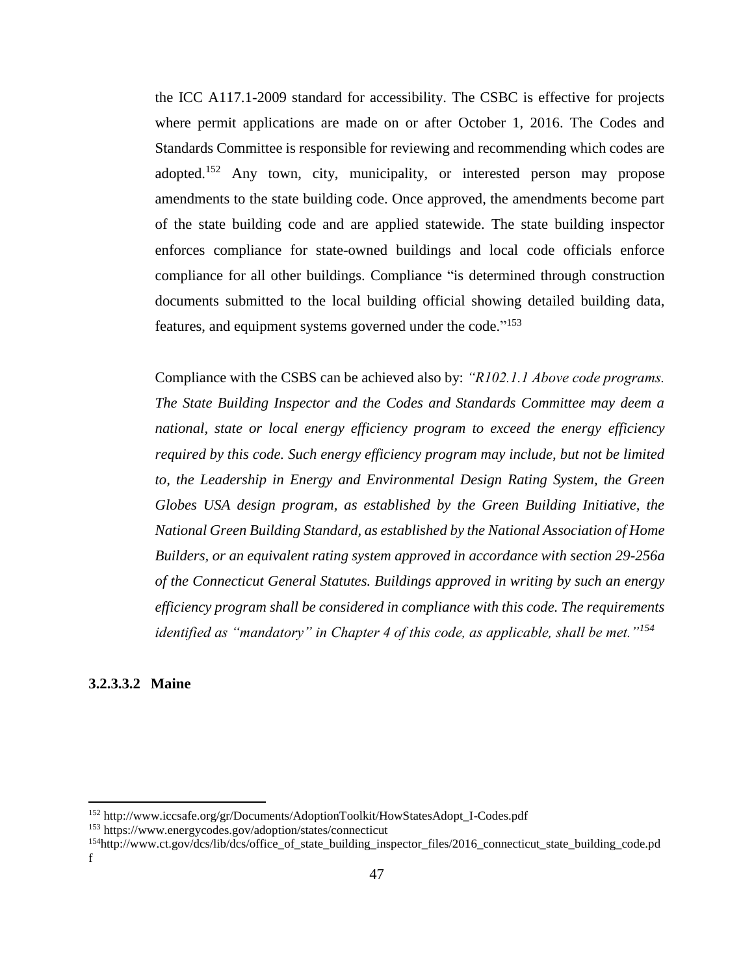the ICC A117.1-2009 standard for accessibility. The CSBC is effective for projects where permit applications are made on or after October 1, 2016. The Codes and Standards Committee is responsible for reviewing and recommending which codes are adopted.<sup>152</sup> Any town, city, municipality, or interested person may propose amendments to the state building code. Once approved, the amendments become part of the state building code and are applied statewide. The state building inspector enforces compliance for state-owned buildings and local code officials enforce compliance for all other buildings. Compliance "is determined through construction documents submitted to the local building official showing detailed building data, features, and equipment systems governed under the code."<sup>153</sup>

Compliance with the CSBS can be achieved also by: *"R102.1.1 Above code programs. The State Building Inspector and the Codes and Standards Committee may deem a national, state or local energy efficiency program to exceed the energy efficiency required by this code. Such energy efficiency program may include, but not be limited to, the Leadership in Energy and Environmental Design Rating System, the Green Globes USA design program, as established by the Green Building Initiative, the National Green Building Standard, as established by the National Association of Home Builders, or an equivalent rating system approved in accordance with section 29-256a of the Connecticut General Statutes. Buildings approved in writing by such an energy efficiency program shall be considered in compliance with this code. The requirements identified as "mandatory" in Chapter 4 of this code, as applicable, shall be met."<sup>154</sup>*

#### <span id="page-46-0"></span>**3.2.3.3.2 Maine**

l

<sup>152</sup> http://www.iccsafe.org/gr/Documents/AdoptionToolkit/HowStatesAdopt\_I-Codes.pdf

<sup>153</sup> https://www.energycodes.gov/adoption/states/connecticut

<sup>154</sup>http://www.ct.gov/dcs/lib/dcs/office\_of\_state\_building\_inspector\_files/2016\_connecticut\_state\_building\_code.pd f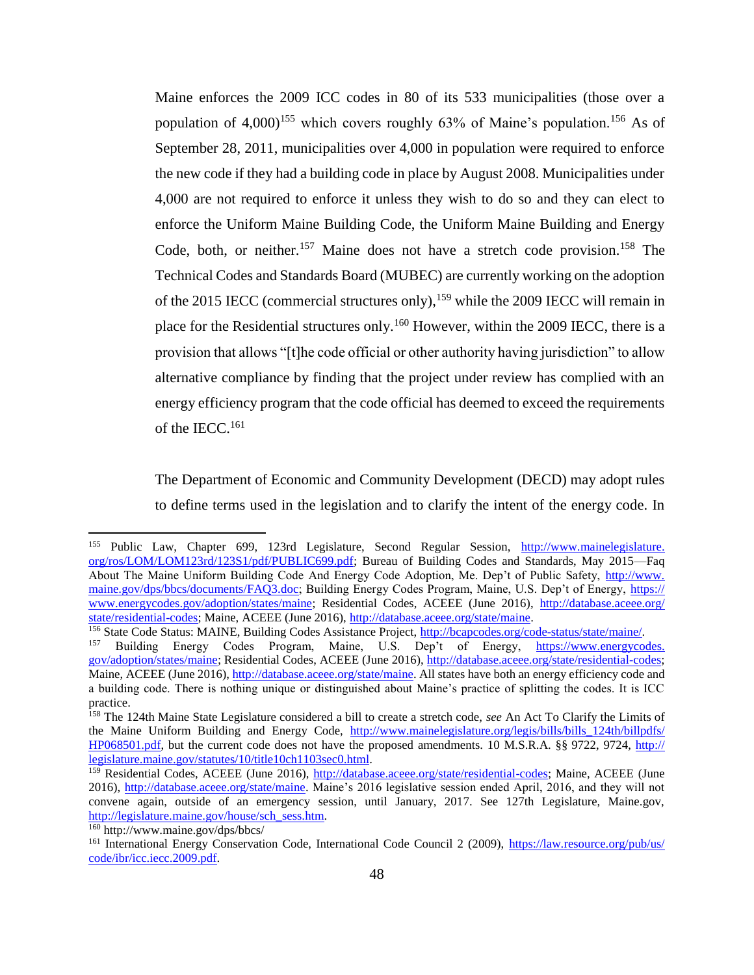Maine enforces the 2009 ICC codes in 80 of its 533 municipalities (those over a population of  $4,000$ <sup>155</sup> which covers roughly 63% of Maine's population.<sup>156</sup> As of September 28, 2011, municipalities over 4,000 in population were required to enforce the new code if they had a building code in place by August 2008. Municipalities under 4,000 are not required to enforce it unless they wish to do so and they can elect to enforce the Uniform Maine Building Code, the Uniform Maine Building and Energy Code, both, or neither.<sup>157</sup> Maine does not have a stretch code provision.<sup>158</sup> The Technical Codes and Standards Board (MUBEC) are currently working on the adoption of the 2015 IECC (commercial structures only), <sup>159</sup> while the 2009 IECC will remain in place for the Residential structures only.<sup>160</sup> However, within the 2009 IECC, there is a provision that allows "[t]he code official or other authority having jurisdiction" to allow alternative compliance by finding that the project under review has complied with an energy efficiency program that the code official has deemed to exceed the requirements of the IECC.<sup>161</sup>

The Department of Economic and Community Development (DECD) may adopt rules to define terms used in the legislation and to clarify the intent of the energy code. In

 $\overline{\phantom{a}}$ 

<sup>&</sup>lt;sup>155</sup> Public Law, Chapter 699, 123rd Legislature, Second Regular Session, [http://www.mainelegislature.](http://www.mainelegislature.org/ros/LOM/LOM123rd/123S1/pdf/PUBLIC699.pdf) [org/ros/LOM/LOM123rd/123S1/pdf/PUBLIC699.pdf;](http://www.mainelegislature.org/ros/LOM/LOM123rd/123S1/pdf/PUBLIC699.pdf) Bureau of Building Codes and Standards, May 2015—Faq About The Maine Uniform Building Code And Energy Code Adoption, Me. Dep't of Public Safety, [http://www.](http://www.maine.gov/​dps/​bbcs/​documents/​FAQ3.​doc) [maine.gov/dps/bbcs/documents/FAQ3.doc;](http://www.maine.gov/​dps/​bbcs/​documents/​FAQ3.​doc) Building Energy Codes Program, Maine, U.S. Dep't of Energy, [https://](https://www.energycodes.gov/adoption/states/maine) [www.energycodes.gov/adoption/states/maine;](https://www.energycodes.gov/adoption/states/maine) Residential Codes, ACEEE (June 2016), [http://database.aceee.org/](http://database.aceee.org/state/residential-codes) [state/residential-codes;](http://database.aceee.org/state/residential-codes) Maine, ACEEE (June 2016), [http://database.aceee.org/state/maine.](http://database.aceee.org/state/maine)

<sup>&</sup>lt;sup>156</sup> State Code Status: MAINE, Building Codes Assistance Project, <u>http://bcapcodes.org/code-status/state/maine/.</u><br><sup>157</sup> Building Epergy Codes Program Maine, U.S. Dep't of Epergy https://www.epergycoo

<sup>157</sup> Building Energy Codes Program, Maine, U.S. Dep't of Energy, [https://www.energycodes.](https://www.energycodes.gov/adoption/states/maine) [gov/adoption/states/maine;](https://www.energycodes.gov/adoption/states/maine) Residential Codes, ACEEE (June 2016)[, http://database.aceee.org/state/residential-codes;](http://database.aceee.org/state/residential-codes) Maine, ACEEE (June 2016)[, http://database.aceee.org/state/maine.](http://database.aceee.org/state/maine) All states have both an energy efficiency code and a building code. There is nothing unique or distinguished about Maine's practice of splitting the codes. It is ICC practice.

<sup>158</sup> The 124th Maine State Legislature considered a bill to create a stretch code, *see* An Act To Clarify the Limits of the Maine Uniform Building and Energy Code, http://www.mainelegislature.org/legis/bills/bills 124th/billpdfs/ [HP068501.pdf,](http://www.mainelegislature.org/​legis/​bills/​bills_​124th/​billpdfs/​HP068501.pdf) but the current code does not have the proposed amendments. 10 M.S.R.A. §§ 9722, 9724, [http://](http://legislature.maine.gov/​statutes/​10/​title10ch1103sec0.​html) [legislature.maine.gov/statutes/10/title10ch1103sec0.html.](http://legislature.maine.gov/​statutes/​10/​title10ch1103sec0.​html)

<sup>159</sup> Residential Codes, ACEEE (June 2016), [http://database.aceee.org/state/residential-codes;](http://database.aceee.org/state/residential-codes) Maine, ACEEE (June 2016), [http://database.aceee.org/state/maine.](http://database.aceee.org/state/maine) Maine's 2016 legislative session ended April, 2016, and they will not convene again, outside of an emergency session, until January, 2017. See 127th Legislature, Maine.gov, [http://legislature.maine.gov/house/sch\\_sess.htm.](http://legislature.maine.gov/house/sch_sess.htm) 

<sup>160</sup> http://www.maine.gov/dps/bbcs/

<sup>&</sup>lt;sup>161</sup> International Energy Conservation Code, International Code Council 2 (2009), [https://law.resource.org/pub/us/](https://law.resource.org/​pub/​us/​code/​ibr/​icc.iecc.2009.pdf) [code/ibr/icc.iecc.2009.pdf.](https://law.resource.org/​pub/​us/​code/​ibr/​icc.iecc.2009.pdf)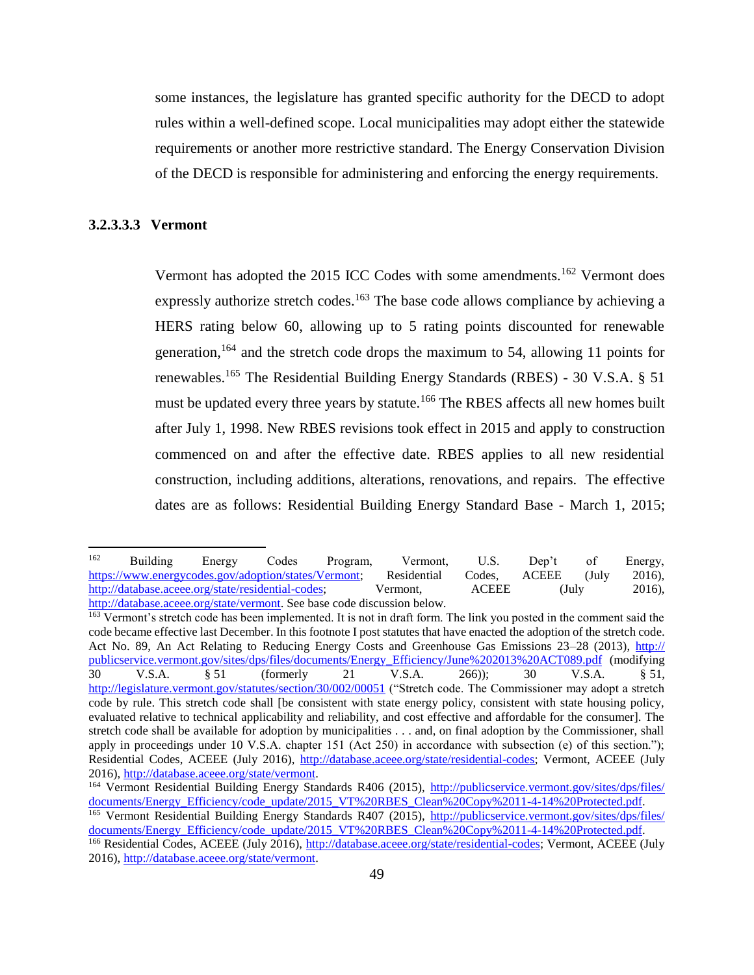some instances, the legislature has granted specific authority for the DECD to adopt rules within a well-defined scope. Local municipalities may adopt either the statewide requirements or another more restrictive standard. The Energy Conservation Division of the DECD is responsible for administering and enforcing the energy requirements.

## <span id="page-48-0"></span>**3.2.3.3.3 Vermont**

Vermont has adopted the 2015 ICC Codes with some amendments.<sup>162</sup> Vermont does expressly authorize stretch codes.<sup>163</sup> The base code allows compliance by achieving a HERS rating below 60, allowing up to 5 rating points discounted for renewable generation,<sup>164</sup> and the stretch code drops the maximum to 54, allowing 11 points for renewables.<sup>165</sup> The Residential Building Energy Standards (RBES) - 30 V.S.A.  $\S$  51 must be updated every three years by statute.<sup>166</sup> The RBES affects all new homes built after July 1, 1998. New RBES revisions took effect in 2015 and apply to construction commenced on and after the effective date. RBES applies to all new residential construction, including additions, alterations, renovations, and repairs. The effective dates are as follows: Residential Building Energy Standard Base - March 1, 2015;

<sup>162</sup> <sup>162</sup> Building Energy Codes Program, Vermont, U.S. Dep't of Energy, [https://www.energycodes.gov/adoption/states/Vermont;](https://www.energycodes.gov/adoption/states/Vermont) Residential Codes, ACEEE (July 2016), [http://database.aceee.org/state/residential-codes;](http://database.aceee.org/state/residential-codes) Vermont, ACEEE (July 2016), [http://database.aceee.org/state/vermont.](http://database.aceee.org/state/vermont) See base code discussion below.

<sup>&</sup>lt;sup>163</sup> Vermont's stretch code has been implemented. It is not in draft form. The link you posted in the comment said the code became effective last December. In this footnote I post statutes that have enacted the adoption of the stretch code. Act No. 89, An Act Relating to Reducing Energy Costs and Greenhouse Gas Emissions 23–28 (2013), [http://](http://publicservice.vermont.gov/​sites/​dps/​files/​documents/​Energy_​Efficiency/​June%25​202013%25​20ACT089.pdf) [publicservice.vermont.gov/sites/dps/files/documents/Energy\\_Efficiency/June%202013%20ACT089.pdf](http://publicservice.vermont.gov/​sites/​dps/​files/​documents/​Energy_​Efficiency/​June%25​202013%25​20ACT089.pdf) (modifying 30 V.S.A. § 51 (formerly 21 V.S.A. 266)); 30 V.S.A. § 51, <http://legislature.vermont.gov/statutes/section/30/002/00051> ("Stretch code. The Commissioner may adopt a stretch code by rule. This stretch code shall [be consistent with state energy policy, consistent with state housing policy, evaluated relative to technical applicability and reliability, and cost effective and affordable for the consumer]. The stretch code shall be available for adoption by municipalities . . . and, on final adoption by the Commissioner, shall apply in proceedings under 10 V.S.A. chapter 151 (Act 250) in accordance with subsection (e) of this section."); Residential Codes, ACEEE (July 2016), [http://database.aceee.org/state/residential-codes;](http://database.aceee.org/​state/​residential-codes) Vermont, ACEEE (July 2016), [http://database.aceee.org/state/vermont.](http://database.aceee.org/​state/vermont)

<sup>&</sup>lt;sup>164</sup> Vermont Residential Building Energy Standards R406 (2015), [http://publicservice.vermont.gov/sites/dps/files/](http://publicservice.vermont.gov/sites/dps/files/documents/Energy_Efficiency/code_update/2015_VT%20RBES_Clean%20Copy%2011-4-14%20Protected.pdf) [documents/Energy\\_Efficiency/code\\_update/2015\\_VT%20RBES\\_Clean%20Copy%2011-4-14%20Protected.pdf.](http://publicservice.vermont.gov/sites/dps/files/documents/Energy_Efficiency/code_update/2015_VT%20RBES_Clean%20Copy%2011-4-14%20Protected.pdf)

<sup>&</sup>lt;sup>165</sup> Vermont Residential Building Energy Standards R407 (2015), [http://publicservice.vermont.gov/sites/dps/files/](http://publicservice.vermont.gov/​sites/​dps/​files/​documents/​Energy_​Efficiency/​code_​update/​2015_​VT%25​20RBES_​Clean%25​20Copy%25​2011-4-14%25​20Protected.pdf) [documents/Energy\\_Efficiency/code\\_update/2015\\_VT%20RBES\\_Clean%20Copy%2011-4-14%20Protected.pdf.](http://publicservice.vermont.gov/​sites/​dps/​files/​documents/​Energy_​Efficiency/​code_​update/​2015_​VT%25​20RBES_​Clean%25​20Copy%25​2011-4-14%25​20Protected.pdf)

<sup>166</sup> Residential Codes, ACEEE (July 2016), [http://database.aceee.org/state/residential-codes;](http://database.aceee.org/state/residential-codes) Vermont, ACEEE (July 2016), [http://database.aceee.org/state/vermont.](http://database.aceee.org/state/vermont)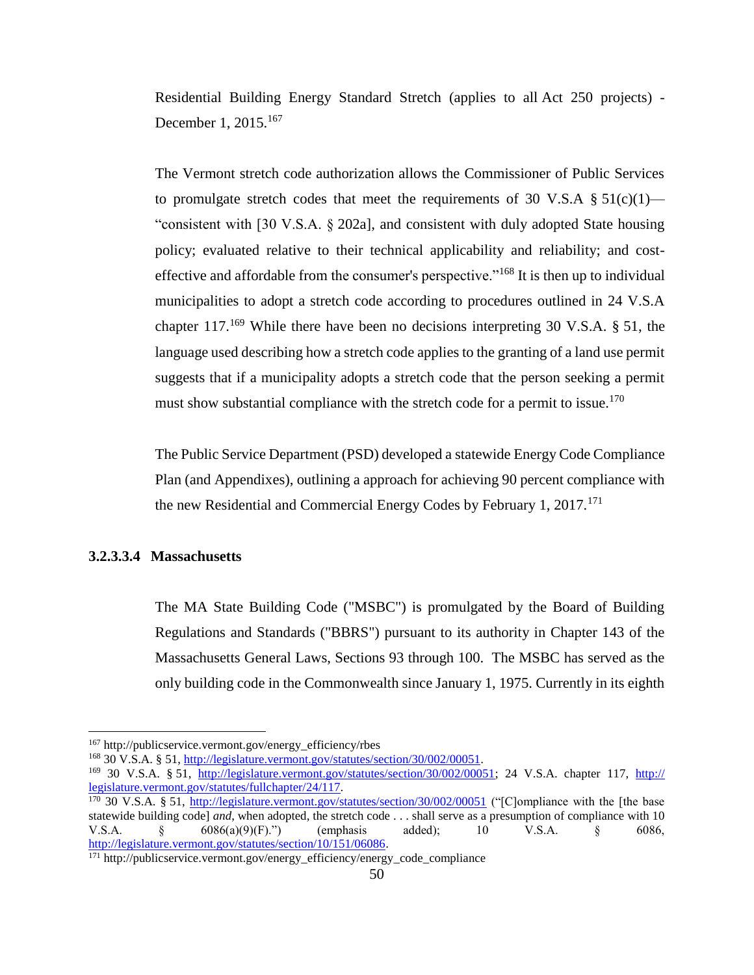Residential Building Energy Standard Stretch (applies to all Act 250 projects) - December 1, 2015.<sup>167</sup>

The Vermont stretch code authorization allows the Commissioner of Public Services to promulgate stretch codes that meet the requirements of 30 V.S.A  $\S 51(c)(1)$ — "consistent with [30 V.S.A. § 202a], and consistent with duly adopted State housing policy; evaluated relative to their technical applicability and reliability; and costeffective and affordable from the consumer's perspective."<sup>168</sup> It is then up to individual municipalities to adopt a stretch code according to procedures outlined in 24 V.S.A chapter  $117.^{169}$  While there have been no decisions interpreting 30 V.S.A. § 51, the language used describing how a stretch code applies to the granting of a land use permit suggests that if a municipality adopts a stretch code that the person seeking a permit must show substantial compliance with the stretch code for a permit to issue.<sup>170</sup>

The Public Service Department (PSD) developed a statewide Energy Code Compliance Plan (and Appendixes), outlining a approach for achieving 90 percent compliance with the new Residential and Commercial Energy Codes by February 1,  $2017$ <sup> $171$ </sup>

#### <span id="page-49-0"></span>**3.2.3.3.4 Massachusetts**

 $\overline{a}$ 

The MA State Building Code ("MSBC") is promulgated by the Board of Building Regulations and Standards ("BBRS") pursuant to its authority in Chapter 143 of the Massachusetts General Laws, Sections 93 through 100. The MSBC has served as the only building code in the Commonwealth since January 1, 1975. Currently in its eighth

<sup>167</sup> http://publicservice.vermont.gov/energy\_efficiency/rbes

<sup>168</sup> 30 V.S.A. § 51, [http://legislature.vermont.gov/statutes/section/30/002/00051.](http://legislature.vermont.gov/statutes/section/30/002/00051) 

<sup>169</sup> 30 V.S.A. § 51, [http://legislature.vermont.gov/statutes/section/30/002/00051;](http://legislature.vermont.gov/statutes/section/30/002/00051) 24 V.S.A. chapter 117, [http://](http://legislature.vermont.gov/​statutes/​fullchapter/​24/​117) [legislature.vermont.gov/statutes/fullchapter/24/117.](http://legislature.vermont.gov/​statutes/​fullchapter/​24/​117)

<sup>&</sup>lt;sup>170</sup> 30 V.S.A. § 51,<http://legislature.vermont.gov/statutes/section/30/002/00051> ("[C]ompliance with the [the base statewide building code] *and*, when adopted, the stretch code . . . shall serve as a presumption of compliance with 10 V.S.A. § 6086(a)(9)(F).") (emphasis added); 10 V.S.A. § 6086, [http://legislature.vermont.gov/statutes/section/10/151/06086.](http://legislature.vermont.gov/statutes/section/10/151/06086)

 $171$  http://publicservice.vermont.gov/energy\_efficiency/energy\_code\_compliance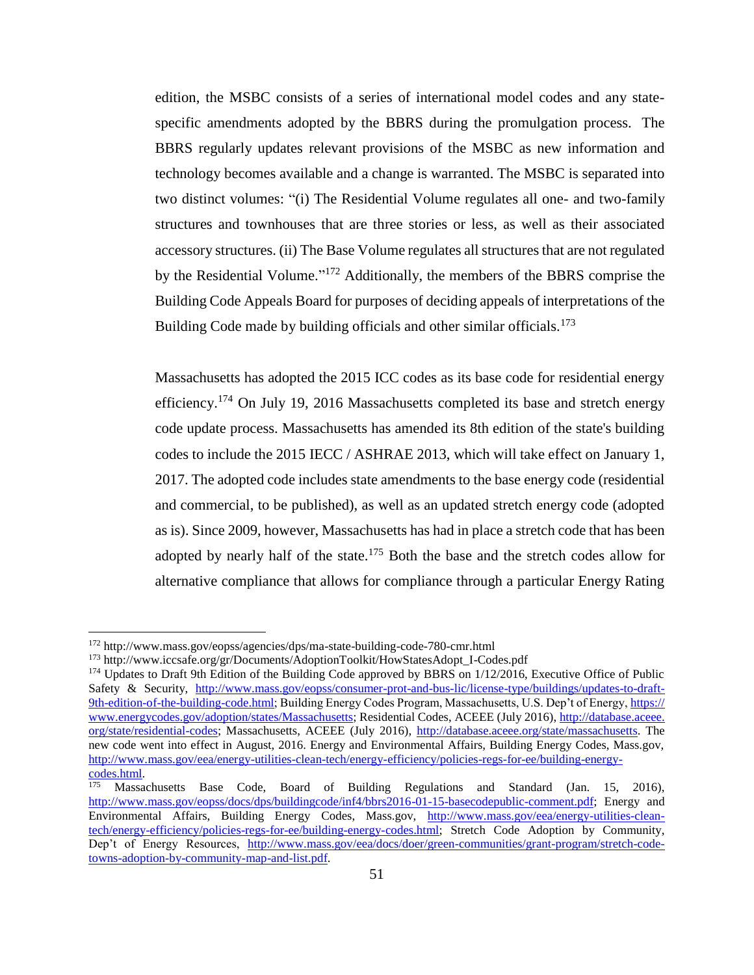edition, the MSBC consists of a series of international model codes and any statespecific amendments adopted by the BBRS during the promulgation process. The BBRS regularly updates relevant provisions of the MSBC as new information and technology becomes available and a change is warranted. The MSBC is separated into two distinct volumes: "(i) The Residential Volume regulates all one- and two-family structures and townhouses that are three stories or less, as well as their associated accessory structures. (ii) The Base Volume regulates all structures that are not regulated by the Residential Volume."<sup>172</sup> Additionally, the members of the BBRS comprise the Building Code Appeals Board for purposes of deciding appeals of interpretations of the Building Code made by building officials and other similar officials.<sup>173</sup>

Massachusetts has adopted the 2015 ICC codes as its base code for residential energy efficiency.<sup>174</sup> On July 19, 2016 Massachusetts completed its base and stretch energy code update process. Massachusetts has amended its 8th edition of the state's building codes to include the 2015 IECC / ASHRAE 2013, which will take effect on January 1, 2017. The adopted code includes state amendments to the base energy code (residential and commercial, to be published), as well as an updated stretch energy code (adopted as is). Since 2009, however, Massachusetts has had in place a stretch code that has been adopted by nearly half of the state.<sup>175</sup> Both the base and the stretch codes allow for alternative compliance that allows for compliance through a particular Energy Rating

 $\overline{a}$ 

<sup>172</sup> http://www.mass.gov/eopss/agencies/dps/ma-state-building-code-780-cmr.html

<sup>173</sup> http://www.iccsafe.org/gr/Documents/AdoptionToolkit/HowStatesAdopt\_I-Codes.pdf

<sup>&</sup>lt;sup>174</sup> Updates to Draft 9th Edition of the Building Code approved by BBRS on 1/12/2016, Executive Office of Public Safety & Security, [http://www.mass.gov/eopss/consumer-prot-and-bus-lic/license-type/buildings/updates-to-draft-](http://www.mass.gov/​eopss/​consumer-prot-and-bus-lic/​license-type/​buildings/​updates-to-draft-9th-edition-of-the-building-code.html)[9th-edition-of-the-building-code.html;](http://www.mass.gov/​eopss/​consumer-prot-and-bus-lic/​license-type/​buildings/​updates-to-draft-9th-edition-of-the-building-code.html) Building Energy Codes Program, Massachusetts, U.S. Dep't of Energy, [https://](https://www.energycodes.gov/adoption/states/Massachusetts) [www.energycodes.gov/adoption/states/Massachusetts;](https://www.energycodes.gov/adoption/states/Massachusetts) Residential Codes, ACEEE (July 2016)[, http://database.aceee.](http://database.aceee.org/state/residential-codes) [org/state/residential-codes;](http://database.aceee.org/state/residential-codes) Massachusetts, ACEEE (July 2016), [http://database.aceee.org/state/massachusetts.](http://database.aceee.org/state/massachusetts) The new code went into effect in August, 2016. Energy and Environmental Affairs, Building Energy Codes, Mass.gov, [http://www.mass.gov/eea/energy-utilities-clean-tech/energy-efficiency/policies-regs-for-ee/building-energy-](http://www.mass.gov/eea/energy-utilities-clean-tech/energy-efficiency/policies-regs-for-ee/building-energy-codes.html) $\frac{\text{codes.html}}{175}$ . Massa

Massachusetts Base Code, Board of Building Regulations and Standard (Jan. 15, 2016), [http://www.mass.gov/eopss/docs/dps/buildingcode/inf4/bbrs2016-01-15-basecodepublic-comment.pdf;](http://www.mass.gov/eopss/docs/dps/buildingcode/inf4/bbrs2016-01-15-basecodepublic-comment.pdf) Energy and Environmental Affairs, Building Energy Codes, Mass.gov, [http://www.mass.gov/eea/energy-utilities-clean](http://www.mass.gov/eea/energy-utilities-clean-tech/energy-efficiency/policies-regs-for-ee/building-energy-codes.html)[tech/energy-efficiency/policies-regs-for-ee/building-energy-codes.html;](http://www.mass.gov/eea/energy-utilities-clean-tech/energy-efficiency/policies-regs-for-ee/building-energy-codes.html) Stretch Code Adoption by Community, Dep't of Energy Resources, [http://www.mass.gov/eea/docs/doer/green-communities/grant-program/stretch-code](http://www.mass.gov/​eea/​docs/doer/green-communities/grant-program/stretch-code-towns-adoption-by-community-map-and-list.pdf)[towns-adoption-by-community-map-and-list.pdf.](http://www.mass.gov/​eea/​docs/doer/green-communities/grant-program/stretch-code-towns-adoption-by-community-map-and-list.pdf)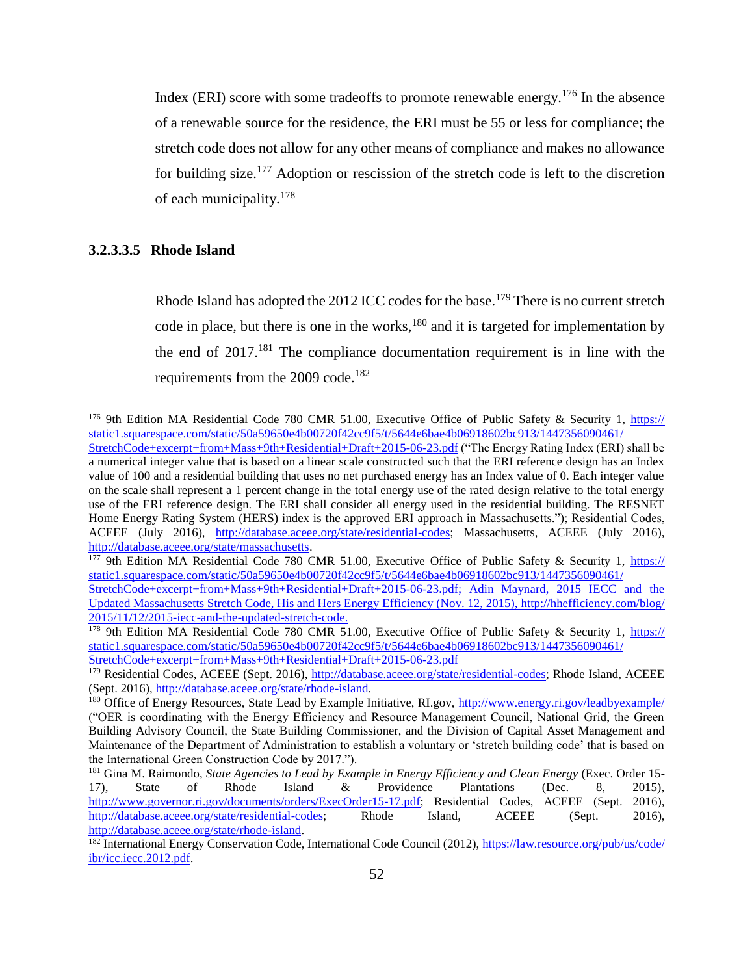Index (ERI) score with some tradeoffs to promote renewable energy.<sup>176</sup> In the absence of a renewable source for the residence, the ERI must be 55 or less for compliance; the stretch code does not allow for any other means of compliance and makes no allowance for building size.<sup>177</sup> Adoption or rescission of the stretch code is left to the discretion of each municipality.<sup>178</sup>

## <span id="page-51-0"></span>**3.2.3.3.5 Rhode Island**

 $\overline{\phantom{a}}$ 

Rhode Island has adopted the 2012 ICC codes for the base.<sup>179</sup> There is no current stretch code in place, but there is one in the works, $180$  and it is targeted for implementation by the end of  $2017$ <sup>181</sup>. The compliance documentation requirement is in line with the requirements from the 2009 code.<sup>182</sup>

<sup>&</sup>lt;sup>176</sup> 9th Edition MA Residential Code 780 CMR 51.00, Executive Office of Public Safety & Security 1, [https://](https://static1.squarespace.com/​static/​50a59650e4b00720f42cc9f5/​t/​5644e6bae4b06918602bc913/​1447356090461/​StretchCode+​excerpt+​from+​Mass+​9th+​Residential+​Draft+​2015-06-23.pdf) [static1.squarespace.com/static/50a59650e4b00720f42cc9f5/t/5644e6bae4b06918602bc913/1447356090461/](https://static1.squarespace.com/​static/​50a59650e4b00720f42cc9f5/​t/​5644e6bae4b06918602bc913/​1447356090461/​StretchCode+​excerpt+​from+​Mass+​9th+​Residential+​Draft+​2015-06-23.pdf) [StretchCode+excerpt+from+Mass+9th+Residential+Draft+2015-06-23.pdf](https://static1.squarespace.com/​static/​50a59650e4b00720f42cc9f5/​t/​5644e6bae4b06918602bc913/​1447356090461/​StretchCode+​excerpt+​from+​Mass+​9th+​Residential+​Draft+​2015-06-23.pdf) ("The Energy Rating Index (ERI) shall be a numerical integer value that is based on a linear scale constructed such that the ERI reference design has an Index value of 100 and a residential building that uses no net purchased energy has an Index value of 0. Each integer value on the scale shall represent a 1 percent change in the total energy use of the rated design relative to the total energy use of the ERI reference design. The ERI shall consider all energy used in the residential building. The RESNET Home Energy Rating System (HERS) index is the approved ERI approach in Massachusetts."); Residential Codes, ACEEE (July 2016), [http://database.aceee.org/state/residential-codes;](http://database.aceee.org/state/residential-codes) Massachusetts, ACEEE (July 2016), [http://database.aceee.org/state/massachusetts.](http://database.aceee.org/state/massachusetts)

<sup>&</sup>lt;sup>177</sup> 9th Edition MA Residential Code 780 CMR 51.00, Executive Office of Public Safety & Security 1, [https://](https://static1.squarespace.com/​static/​50a59650e4b00720f42cc9f5/​t/​5644e6bae4b06918602bc913/​1447356090461/​StretchCode+​excerpt+​from+​Mass+​9th+​Residential+​Draft+​2015-06-23.pdf) [static1.squarespace.com/static/50a59650e4b00720f42cc9f5/t/5644e6bae4b06918602bc913/1447356090461/](https://static1.squarespace.com/​static/​50a59650e4b00720f42cc9f5/​t/​5644e6bae4b06918602bc913/​1447356090461/​StretchCode+​excerpt+​from+​Mass+​9th+​Residential+​Draft+​2015-06-23.pdf)

[StretchCode+excerpt+from+Mass+9th+Residential+Draft+2015-06-23.pdf;](https://static1.squarespace.com/​static/​50a59650e4b00720f42cc9f5/​t/​5644e6bae4b06918602bc913/​1447356090461/​StretchCode+​excerpt+​from+​Mass+​9th+​Residential+​Draft+​2015-06-23.pdf) Adin Maynard, 2015 IECC and the Updated Massachusetts Stretch Code, His and Hers Energy Efficiency (Nov. 12, 2015), [http://hhefficiency.com/blog/](http://hhefficiency.com/​blog/​2015/​11/​12/​2015-iecc-and-the-updated-stretch-code) [2015/11/12/2015-iecc-and-the-updated-stretch-code.](http://hhefficiency.com/​blog/​2015/​11/​12/​2015-iecc-and-the-updated-stretch-code)

<sup>&</sup>lt;sup>178</sup> 9th Edition MA Residential Code 780 CMR 51.00, Executive Office of Public Safety & Security 1, [https://](https://static1.squarespace.com/​static/​50a59650e4b00720f42cc9f5/​t/​5644e6bae4b06918602bc913/​1447356090461/​StretchCode+​excerpt+​from+​Mass+​9th+​Residential+​Draft+​2015-06-23.pdf) [static1.squarespace.com/static/50a59650e4b00720f42cc9f5/t/5644e6bae4b06918602bc913/1447356090461/](https://static1.squarespace.com/​static/​50a59650e4b00720f42cc9f5/​t/​5644e6bae4b06918602bc913/​1447356090461/​StretchCode+​excerpt+​from+​Mass+​9th+​Residential+​Draft+​2015-06-23.pdf) [StretchCode+excerpt+from+Mass+9th+Residential+Draft+2015-06-23.pdf](https://static1.squarespace.com/​static/​50a59650e4b00720f42cc9f5/​t/​5644e6bae4b06918602bc913/​1447356090461/​StretchCode+​excerpt+​from+​Mass+​9th+​Residential+​Draft+​2015-06-23.pdf)

<sup>&</sup>lt;sup>179</sup> Residential Codes, ACEEE (Sept. 2016), [http://database.aceee.org/state/residential-codes;](http://database.aceee.org/state/residential-codes) Rhode Island, ACEEE (Sept. 2016), [http://database.aceee.org/state/rhode-island.](http://database.aceee.org/state/rhode-island)

<sup>&</sup>lt;sup>180</sup> Office of Energy Resources, State Lead by Example Initiative, RI.gov,<http://www.energy.ri.gov/leadbyexample/> ("OER is coordinating with the Energy Efficiency and Resource Management Council, National Grid, the Green Building Advisory Council, the State Building Commissioner, and the Division of Capital Asset Management and Maintenance of the Department of Administration to establish a voluntary or 'stretch building code' that is based on the International Green Construction Code by 2017.").

<sup>181</sup> Gina M. Raimondo, *State Agencies to Lead by Example in Energy Efficiency and Clean Energy* (Exec. Order 15- 17), State of Rhode Island & Providence Plantations (Dec. 8, 2015), [http://www.governor.ri.gov/documents/orders/ExecOrder15-17.pdf;](http://www.governor.ri.gov/documents/orders/ExecOrder15-17.pdf) Residential Codes, ACEEE (Sept. 2016), [http://database.aceee.org/state/residential-codes;](http://database.aceee.org/state/residential-codes) Rhode Island, ACEEE (Sept. 2016), [http://database.aceee.org/state/rhode-island.](http://database.aceee.org/state/rhode-island)

<sup>182</sup> International Energy Conservation Code, International Code Council (2012)[, https://law.resource.org/pub/us/code/](https://law.resource.org/​pub/​us/​code/​ibr/​icc.iecc.2012.pdf) [ibr/icc.iecc.2012.pdf.](https://law.resource.org/​pub/​us/​code/​ibr/​icc.iecc.2012.pdf)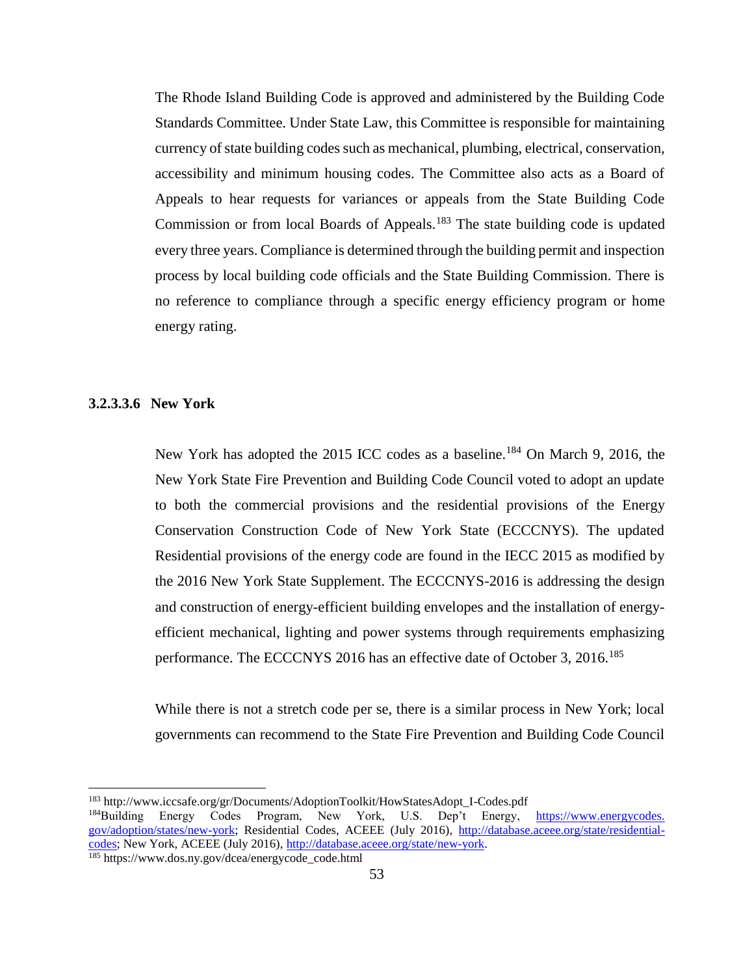The Rhode Island Building Code is approved and administered by the Building Code Standards Committee. Under State Law, this Committee is responsible for maintaining currency of state building codes such as mechanical, plumbing, electrical, conservation, accessibility and minimum housing codes. The Committee also acts as a Board of Appeals to hear requests for variances or appeals from the State Building Code Commission or from local Boards of Appeals.<sup>183</sup> The state building code is updated every three years. Compliance is determined through the building permit and inspection process by local building code officials and the State Building Commission. There is no reference to compliance through a specific energy efficiency program or home energy rating.

#### <span id="page-52-0"></span>**3.2.3.3.6 New York**

 $\overline{\phantom{a}}$ 

New York has adopted the 2015 ICC codes as a baseline.<sup>184</sup> On March 9, 2016, the New York State Fire Prevention and Building Code Council voted to adopt an update to both the commercial provisions and the residential provisions of the Energy Conservation Construction Code of New York State (ECCCNYS). The updated Residential provisions of the energy code are found in the IECC 2015 as modified by the 2016 New York State Supplement. The ECCCNYS-2016 is addressing the design and construction of energy-efficient building envelopes and the installation of energyefficient mechanical, lighting and power systems through requirements emphasizing performance. The ECCCNYS 2016 has an effective date of October 3, 2016.<sup>185</sup>

While there is not a stretch code per se, there is a similar process in New York; local governments can recommend to the State Fire Prevention and Building Code Council

<sup>183</sup> http://www.iccsafe.org/gr/Documents/AdoptionToolkit/HowStatesAdopt\_I-Codes.pdf

<sup>&</sup>lt;sup>184</sup>Building Energy Codes Program, New York, U.S. Dep't Energy, [https://www.energycodes.](https://www.energycodes.gov/adoption/states/new-york) [gov/adoption/states/new-york;](https://www.energycodes.gov/adoption/states/new-york) Residential Codes, ACEEE (July 2016), [http://database.aceee.org/state/residential](http://database.aceee.org/state/residential-codes)[codes;](http://database.aceee.org/state/residential-codes) New York, ACEEE (July 2016), [http://database.aceee.org/state/new-york.](http://database.aceee.org/state/new-york)

<sup>185</sup> https://www.dos.ny.gov/dcea/energycode\_code.html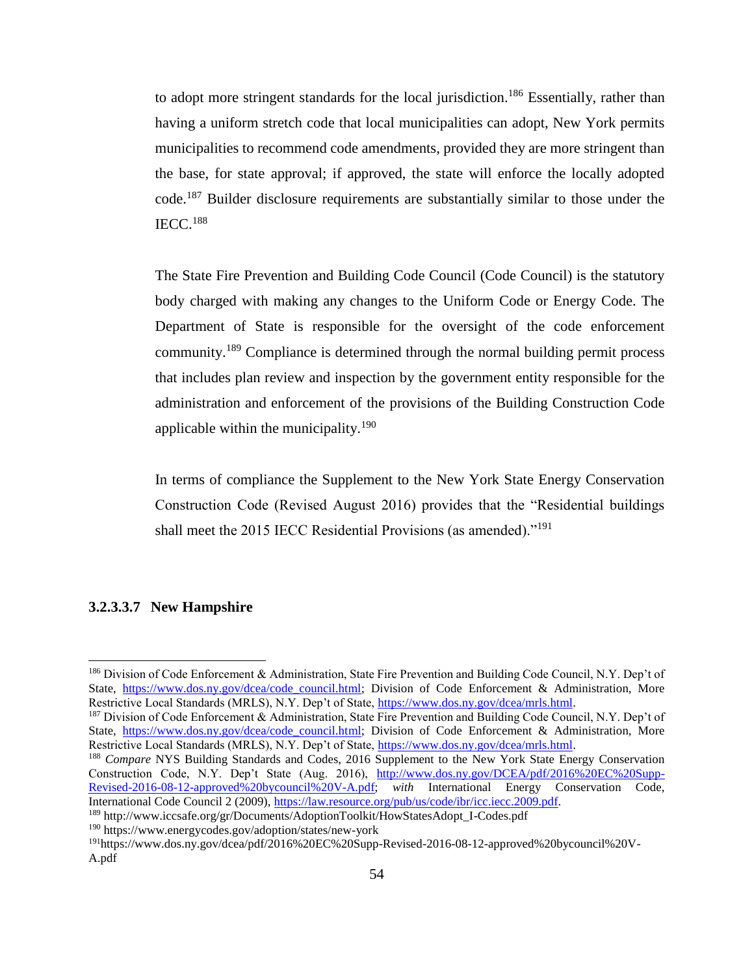to adopt more stringent standards for the local jurisdiction.<sup>186</sup> Essentially, rather than having a uniform stretch code that local municipalities can adopt, New York permits municipalities to recommend code amendments, provided they are more stringent than the base, for state approval; if approved, the state will enforce the locally adopted code.<sup>187</sup> Builder disclosure requirements are substantially similar to those under the IECC.<sup>188</sup>

The State Fire Prevention and Building Code Council (Code Council) is the statutory body charged with making any changes to the Uniform Code or Energy Code. The Department of State is responsible for the oversight of the code enforcement community.<sup>189</sup> Compliance is determined through the normal building permit process that includes plan review and inspection by the government entity responsible for the administration and enforcement of the provisions of the Building Construction Code applicable within the municipality.<sup>190</sup>

In terms of compliance the Supplement to the New York State Energy Conservation Construction Code (Revised August 2016) provides that the "Residential buildings shall meet the 2015 IECC Residential Provisions (as amended)."<sup>191</sup>

#### <span id="page-53-0"></span>**3.2.3.3.7 New Hampshire**

 $\overline{\phantom{a}}$ 

<sup>187</sup> Division of Code Enforcement & Administration, State Fire Prevention and Building Code Council, N.Y. Dep't of State, [https://www.dos.ny.gov/dcea/code\\_council.html;](https://www.dos.ny.gov/dcea/code_council.html) Division of Code Enforcement & Administration, More Restrictive Local Standards (MRLS), N.Y. Dep't of State, [https://www.dos.ny.gov/dcea/mrls.html.](https://www.dos.ny.gov/dcea/mrls.html)

<sup>188</sup> *Compare* NYS Building Standards and Codes, 2016 Supplement to the New York State Energy Conservation Construction Code, N.Y. Dep't State (Aug. 2016), [http://www.dos.ny.gov/DCEA/pdf/2016%20EC%20Supp-](http://www.dos.ny.gov/​DCEA/​pdf/​2016%25​20EC%25​20Supp-Revised-2016-08-12-approved%25​20bycouncil%25​20V-A.pdf)[Revised-2016-08-12-approved%20bycouncil%20V-A.pdf;](http://www.dos.ny.gov/​DCEA/​pdf/​2016%25​20EC%25​20Supp-Revised-2016-08-12-approved%25​20bycouncil%25​20V-A.pdf) *with* International Energy Conservation Code, International Code Council 2 (2009), [https://law.resource.org/pub/us/code/ibr/icc.iecc.2009.pdf.](https://law.resource.org/​pub/​us/​code/​ibr/​icc.iecc.2009.pdf)

<sup>190</sup> https://www.energycodes.gov/adoption/states/new-york

<sup>186</sup> Division of Code Enforcement & Administration, State Fire Prevention and Building Code Council, N.Y. Dep't of State, [https://www.dos.ny.gov/dcea/code\\_council.html;](https://www.dos.ny.gov/dcea/code_council.html) Division of Code Enforcement & Administration, More Restrictive Local Standards (MRLS), N.Y. Dep't of State, https://www.dos.ny.gov/dcea/mrls.html.

<sup>189</sup> http://www.iccsafe.org/gr/Documents/AdoptionToolkit/HowStatesAdopt\_I-Codes.pdf

<sup>191</sup>https://www.dos.ny.gov/dcea/pdf/2016%20EC%20Supp-Revised-2016-08-12-approved%20bycouncil%20V-A.pdf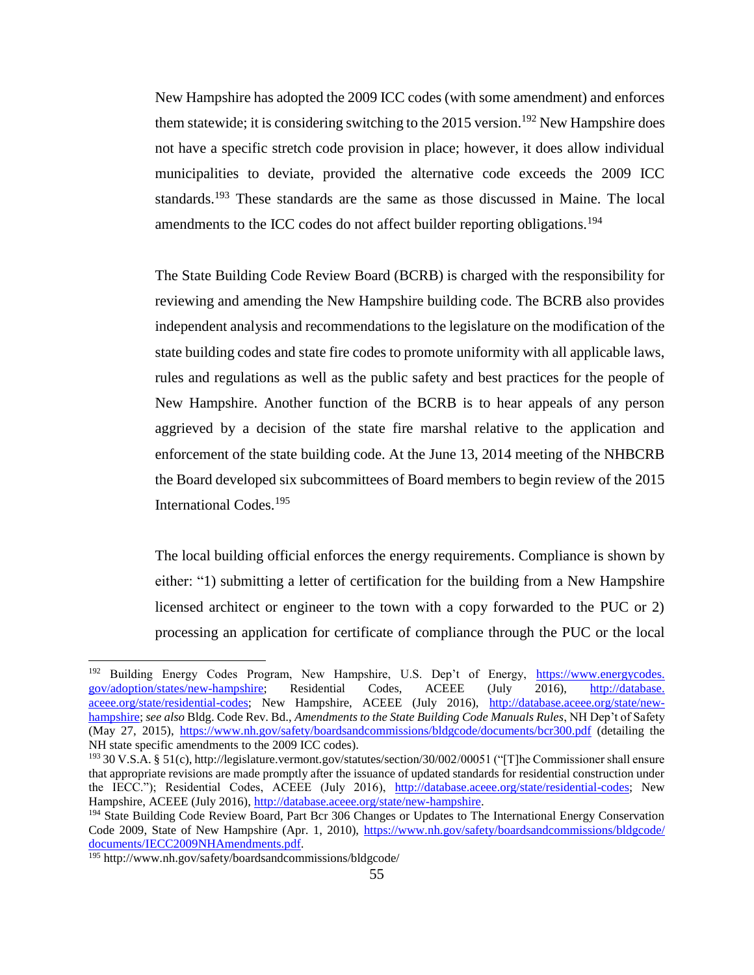New Hampshire has adopted the 2009 ICC codes (with some amendment) and enforces them statewide; it is considering switching to the 2015 version.<sup>192</sup> New Hampshire does not have a specific stretch code provision in place; however, it does allow individual municipalities to deviate, provided the alternative code exceeds the 2009 ICC standards.<sup>193</sup> These standards are the same as those discussed in Maine. The local amendments to the ICC codes do not affect builder reporting obligations.<sup>194</sup>

The State Building Code Review Board (BCRB) is charged with the responsibility for reviewing and amending the New Hampshire building code. The BCRB also provides independent analysis and recommendations to the legislature on the modification of the state building codes and state fire codes to promote uniformity with all applicable laws, rules and regulations as well as the public safety and best practices for the people of New Hampshire. Another function of the BCRB is to hear appeals of any person aggrieved by a decision of the state fire marshal relative to the application and enforcement of the state building code. At the June 13, 2014 meeting of the NHBCRB the Board developed six subcommittees of Board members to begin review of the 2015 International Codes.<sup>195</sup>

The local building official enforces the energy requirements. Compliance is shown by either: "1) submitting a letter of certification for the building from a New Hampshire licensed architect or engineer to the town with a copy forwarded to the PUC or 2) processing an application for certificate of compliance through the PUC or the local

 $\overline{\phantom{a}}$ 

<sup>&</sup>lt;sup>192</sup> Building Energy Codes Program, New Hampshire, U.S. Dep't of Energy, [https://www.energycodes.](https://www.energycodes.gov/adoption/states/new-hampshire) [gov/adoption/states/new-hampshire;](https://www.energycodes.gov/adoption/states/new-hampshire) Residential Codes, ACEEE (July 2016), [http://database.](http://database.aceee.org/state/residential-codes) [aceee.org/state/residential-codes;](http://database.aceee.org/state/residential-codes) New Hampshire, ACEEE (July 2016), [http://database.aceee.org/state/new](http://database.aceee.org/​state/​new-hampshire)[hampshire;](http://database.aceee.org/​state/​new-hampshire) *see also* Bldg. Code Rev. Bd., *Amendments to the State Building Code Manuals Rules*, NH Dep't of Safety (May 27, 2015), [https://www.nh.gov/safety/boardsandcommissions/bldgcode/documents/bcr300.pdf](https://www.nh.gov/​safety/​boardsandcommissions/​bldgcode/​documents/​bcr300.pdf) (detailing the NH state specific amendments to the 2009 ICC codes).

<sup>193</sup> 30 V.S.A. § 51(c), http://legislature.vermont.gov/statutes/section/30/002/00051 ("[T]he Commissioner shall ensure that appropriate revisions are made promptly after the issuance of updated standards for residential construction under the IECC."); Residential Codes, ACEEE (July 2016), [http://database.aceee.org/state/residential-codes;](http://database.aceee.org/state/residential-codes) New Hampshire, ACEEE (July 2016), [http://database.aceee.org/state/new-hampshire.](http://database.aceee.org/​state/​new-hampshire)

<sup>&</sup>lt;sup>194</sup> State Building Code Review Board, Part Bcr 306 Changes or Updates to The International Energy Conservation Code 2009, State of New Hampshire (Apr. 1, 2010), [https://www.nh.gov/safety/boardsandcommissions/bldgcode/](https://www.nh.gov/​safety/​boardsandcommissions/​bldgcode/​documents/​IECC2009​NH​Amendments.pdf) [documents/IECC2009NHAmendments.pdf.](https://www.nh.gov/​safety/​boardsandcommissions/​bldgcode/​documents/​IECC2009​NH​Amendments.pdf) 

<sup>195</sup> http://www.nh.gov/safety/boardsandcommissions/bldgcode/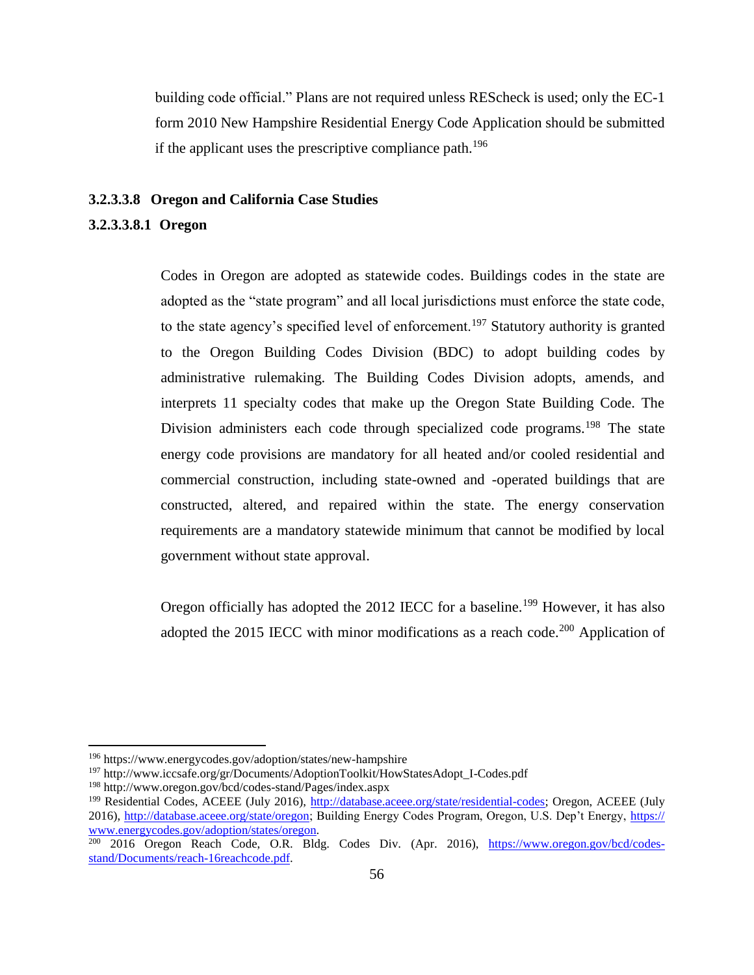building code official." Plans are not required unless REScheck is used; only the EC-1 form 2010 New Hampshire Residential Energy Code Application should be submitted if the applicant uses the prescriptive compliance path.<sup>196</sup>

#### <span id="page-55-0"></span>**3.2.3.3.8 Oregon and California Case Studies**

## <span id="page-55-1"></span>**3.2.3.3.8.1 Oregon**

Codes in Oregon are adopted as statewide codes. Buildings codes in the state are adopted as the "state program" and all local jurisdictions must enforce the state code, to the state agency's specified level of enforcement.<sup>197</sup> Statutory authority is granted to the Oregon Building Codes Division (BDC) to adopt building codes by administrative rulemaking. The Building Codes Division adopts, amends, and interprets 11 specialty codes that make up the Oregon State Building Code. The Division administers each code through specialized code programs.<sup>198</sup> The state energy code provisions are mandatory for all heated and/or cooled residential and commercial construction, including state-owned and -operated buildings that are constructed, altered, and repaired within the state. The energy conservation requirements are a mandatory statewide minimum that cannot be modified by local government without state approval.

Oregon officially has adopted the 2012 IECC for a baseline.<sup>199</sup> However, it has also adopted the 2015 IECC with minor modifications as a reach code.<sup>200</sup> Application of

 $\overline{\phantom{a}}$ 

<sup>196</sup> https://www.energycodes.gov/adoption/states/new-hampshire

<sup>&</sup>lt;sup>197</sup> http://www.iccsafe.org/gr/Documents/AdoptionToolkit/HowStatesAdopt\_I-Codes.pdf

<sup>198</sup> http://www.oregon.gov/bcd/codes-stand/Pages/index.aspx

<sup>&</sup>lt;sup>199</sup> Residential Codes, ACEEE (July 2016), [http://database.aceee.org/state/residential-codes;](http://database.aceee.org/state/residential-codes) Oregon, ACEEE (July 2016), [http://database.aceee.org/state/oregon;](http://database.aceee.org/state/oregon) Building Energy Codes Program, Oregon, U.S. Dep't Energy, [https://](https://www.energycodes.gov/​adoption/​states/​oregon) [www.energycodes.gov/adoption/states/oregon.](https://www.energycodes.gov/​adoption/​states/​oregon)

<sup>&</sup>lt;sup>200</sup> 2016 Oregon Reach Code, O.R. Bldg. Codes Div. (Apr. 2016), [https://www.oregon.gov/bcd/codes](https://www.oregon.gov/bcd/codes-stand/Documents/reach-16reachcode.pdf)[stand/Documents/reach-16reachcode.pdf.](https://www.oregon.gov/bcd/codes-stand/Documents/reach-16reachcode.pdf)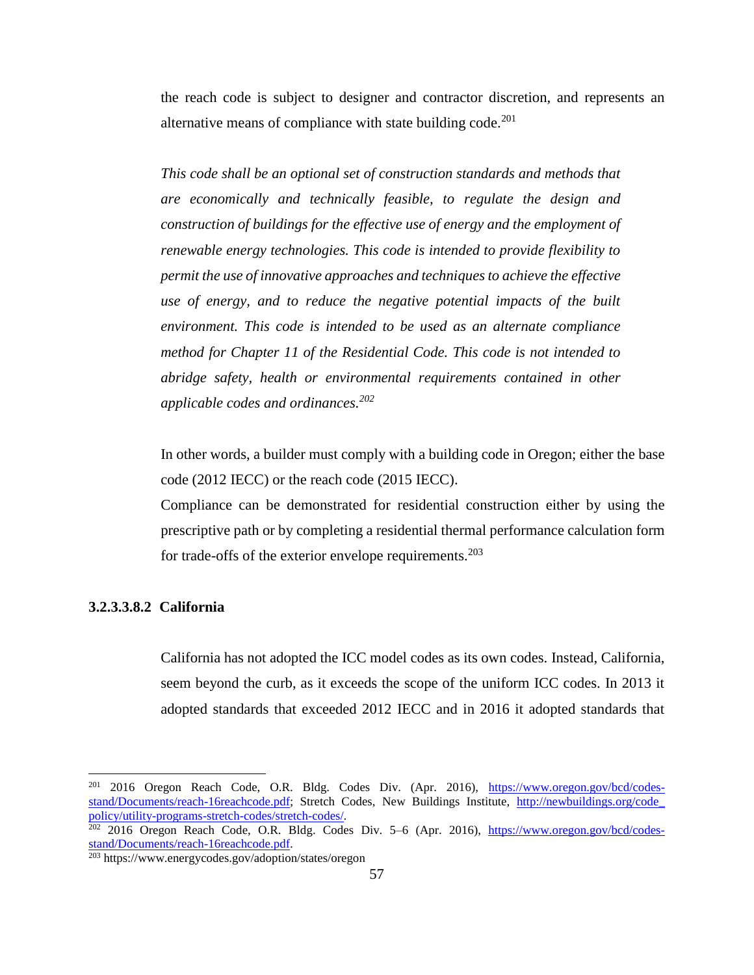the reach code is subject to designer and contractor discretion, and represents an alternative means of compliance with state building code.<sup>201</sup>

*This code shall be an optional set of construction standards and methods that are economically and technically feasible, to regulate the design and construction of buildings for the effective use of energy and the employment of renewable energy technologies. This code is intended to provide flexibility to permit the use of innovative approaches and techniques to achieve the effective use of energy, and to reduce the negative potential impacts of the built environment. This code is intended to be used as an alternate compliance method for Chapter 11 of the Residential Code. This code is not intended to abridge safety, health or environmental requirements contained in other applicable codes and ordinances.<sup>202</sup>*

In other words, a builder must comply with a building code in Oregon; either the base code (2012 IECC) or the reach code (2015 IECC).

Compliance can be demonstrated for residential construction either by using the prescriptive path or by completing a residential thermal performance calculation form for trade-offs of the exterior envelope requirements.<sup>203</sup>

## <span id="page-56-0"></span>**3.2.3.3.8.2 California**

 $\overline{\phantom{a}}$ 

California has not adopted the ICC model codes as its own codes. Instead, California, seem beyond the curb, as it exceeds the scope of the uniform ICC codes. In 2013 it adopted standards that exceeded 2012 IECC and in 2016 it adopted standards that

<sup>&</sup>lt;sup>201</sup> 2016 Oregon Reach Code, O.R. Bldg. Codes Div. (Apr. 2016), [https://www.oregon.gov/bcd/codes](https://www.oregon.gov/bcd/codes-stand/Documents/reach-16reachcode.pdf)[stand/Documents/reach-16reachcode.pdf;](https://www.oregon.gov/bcd/codes-stand/Documents/reach-16reachcode.pdf) Stretch Codes, New Buildings Institute, http://newbuildings.org/code [policy/utility-programs-stretch-codes/stretch-codes/.](http://newbuildings.org/​code_​policy/​utility-programs-stretch-codes/​stretch-codes/)

<sup>&</sup>lt;sup>202</sup> 2016 Oregon Reach Code, O.R. Bldg. Codes Div. 5–6 (Apr. 2016), [https://www.oregon.gov/bcd/codes](https://www.oregon.gov/bcd/codes-stand/Documents/reach-16reachcode.pdf)[stand/Documents/reach-16reachcode.pdf.](https://www.oregon.gov/bcd/codes-stand/Documents/reach-16reachcode.pdf)

<sup>203</sup> https://www.energycodes.gov/adoption/states/oregon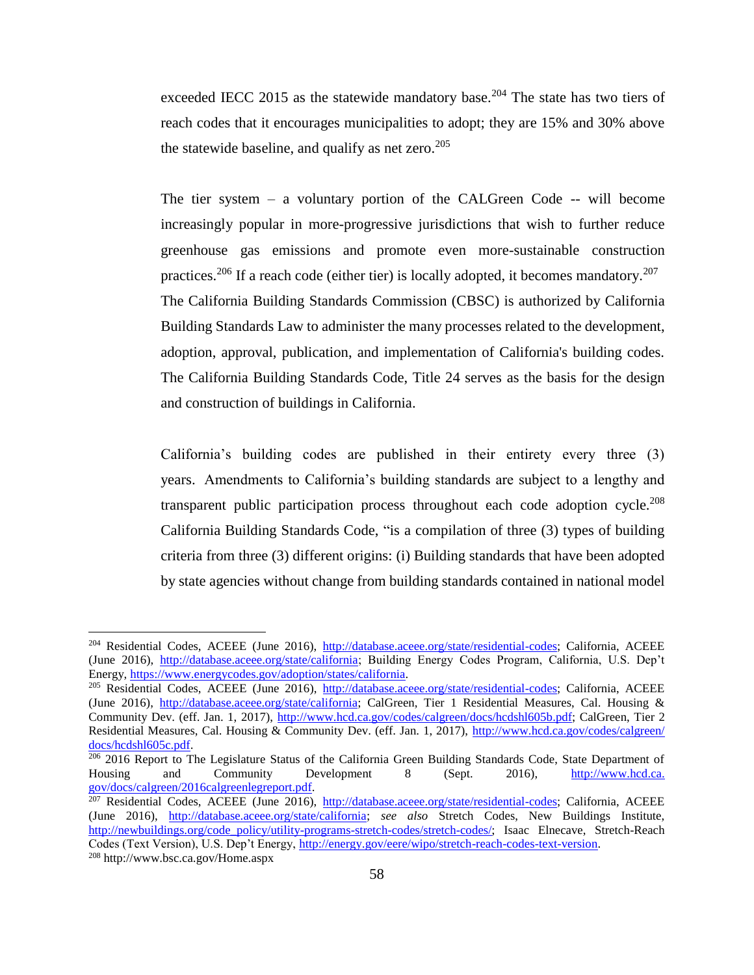exceeded IECC 2015 as the statewide mandatory base.<sup>204</sup> The state has two tiers of reach codes that it encourages municipalities to adopt; they are 15% and 30% above the statewide baseline, and qualify as net zero.  $205$ 

The tier system – a voluntary portion of the CALGreen Code -- will become increasingly popular in more-progressive jurisdictions that wish to further reduce greenhouse gas emissions and promote even more-sustainable construction practices.<sup>206</sup> If a reach code (either tier) is locally adopted, it becomes mandatory.<sup>207</sup> The California Building Standards Commission (CBSC) is authorized by California Building Standards Law to administer the many processes related to the development, adoption, approval, publication, and implementation of California's building codes. The California Building Standards Code, Title 24 serves as the basis for the design and construction of buildings in California.

California's building codes are published in their entirety every three (3) years. Amendments to California's building standards are subject to a lengthy and transparent public participation process throughout each code adoption cycle.<sup>208</sup> California Building Standards Code, "is a compilation of three (3) types of building criteria from three (3) different origins: (i) Building standards that have been adopted by state agencies without change from building standards contained in national model

 $\overline{a}$ 

<sup>&</sup>lt;sup>204</sup> Residential Codes, ACEEE (June 2016), [http://database.aceee.org/state/residential-codes;](http://database.aceee.org/state/residential-codes) California, ACEEE (June 2016), [http://database.aceee.org/state/california;](http://database.aceee.org/state/california) Building Energy Codes Program, California, U.S. Dep't Energy, [https://www.energycodes.gov/adoption/states/california.](https://www.energycodes.gov/​adoption/​states/​california)

<sup>205</sup> Residential Codes, ACEEE (June 2016), [http://database.aceee.org/state/residential-codes;](http://database.aceee.org/state/residential-codes) California, ACEEE (June 2016), [http://database.aceee.org/state/california;](http://database.aceee.org/state/california) CalGreen, Tier 1 Residential Measures, Cal. Housing & Community Dev. (eff. Jan. 1, 2017), [http://www.hcd.ca.gov/codes/calgreen/docs/hcdshl605b.pdf;](http://www.hcd.ca.gov/​codes/​calgreen/​docs/​hcdshl605b.pdf) CalGreen, Tier 2 Residential Measures, Cal. Housing & Community Dev. (eff. Jan. 1, 2017), [http://www.hcd.ca.gov/codes/calgreen/](http://www.hcd.ca.gov/​codes/​calgreen/​docs/​hcdshl605c.pdf) [docs/hcdshl605c.pdf.](http://www.hcd.ca.gov/​codes/​calgreen/​docs/​hcdshl605c.pdf)

<sup>&</sup>lt;sup>206</sup> 2016 Report to The Legislature Status of the California Green Building Standards Code, State Department of Housing and Community Development 8 (Sept. 2016), [http://www.hcd.ca.](http://www.hcd.ca.gov/docs/calgreen/2016calgreenlegreport.pdf) [gov/docs/calgreen/2016calgreenlegreport.pdf.](http://www.hcd.ca.gov/docs/calgreen/2016calgreenlegreport.pdf) 

<sup>&</sup>lt;sup>207</sup> Residential Codes, ACEEE (June 2016), [http://database.aceee.org/state/residential-codes;](http://database.aceee.org/state/residential-codes) California, ACEEE (June 2016), [http://database.aceee.org/state/california;](http://database.aceee.org/state/california) *see also* Stretch Codes, New Buildings Institute, [http://newbuildings.org/code\\_policy/utility-programs-stretch-codes/stretch-codes/;](http://newbuildings.org/​code_​policy/​utility-programs-stretch-codes/​stretch-codes/) Isaac Elnecave, Stretch-Reach Codes (Text Version), U.S. Dep't Energy, [http://energy.gov/eere/wipo/stretch-reach-codes-text-version.](http://energy.gov/eere/wipo/stretch-reach-codes-text-version) <sup>208</sup> http://www.bsc.ca.gov/Home.aspx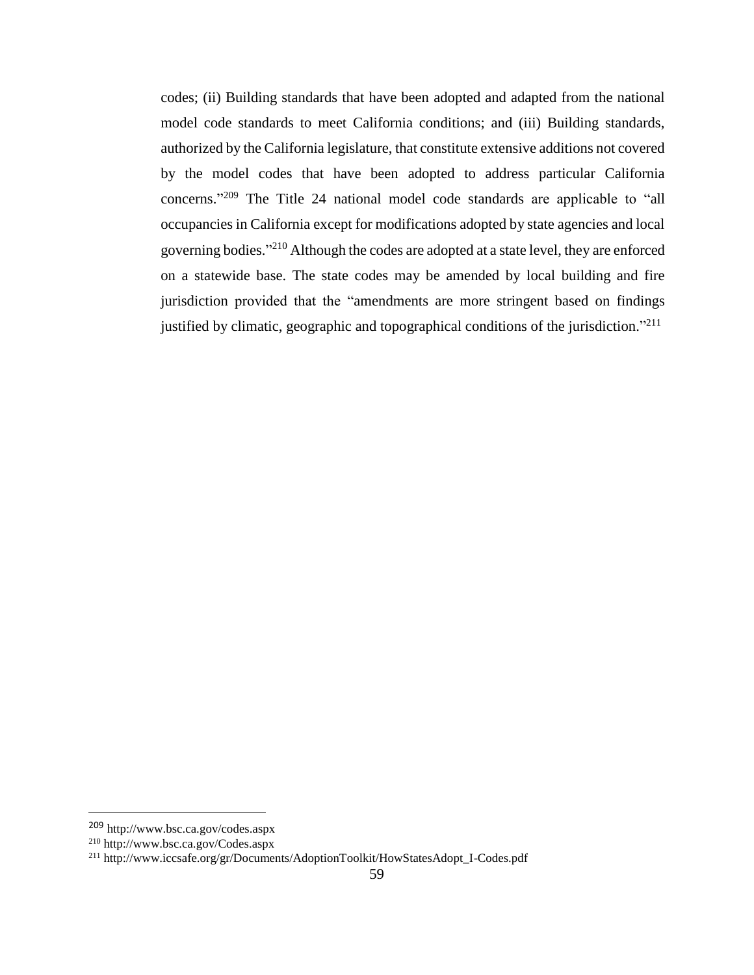codes; (ii) Building standards that have been adopted and adapted from the national model code standards to meet California conditions; and (iii) Building standards, authorized by the California legislature, that constitute extensive additions not covered by the model codes that have been adopted to address particular California concerns." <sup>209</sup> The Title 24 national model code standards are applicable to "all occupancies in California except for modifications adopted by state agencies and local governing bodies."<sup>210</sup> Although the codes are adopted at a state level, they are enforced on a statewide base. The state codes may be amended by local building and fire jurisdiction provided that the "amendments are more stringent based on findings justified by climatic, geographic and topographical conditions of the jurisdiction."<sup>211</sup>

l

<sup>209</sup> http://www.bsc.ca.gov/codes.aspx

<sup>210</sup> http://www.bsc.ca.gov/Codes.aspx

<sup>211</sup> http://www.iccsafe.org/gr/Documents/AdoptionToolkit/HowStatesAdopt\_I-Codes.pdf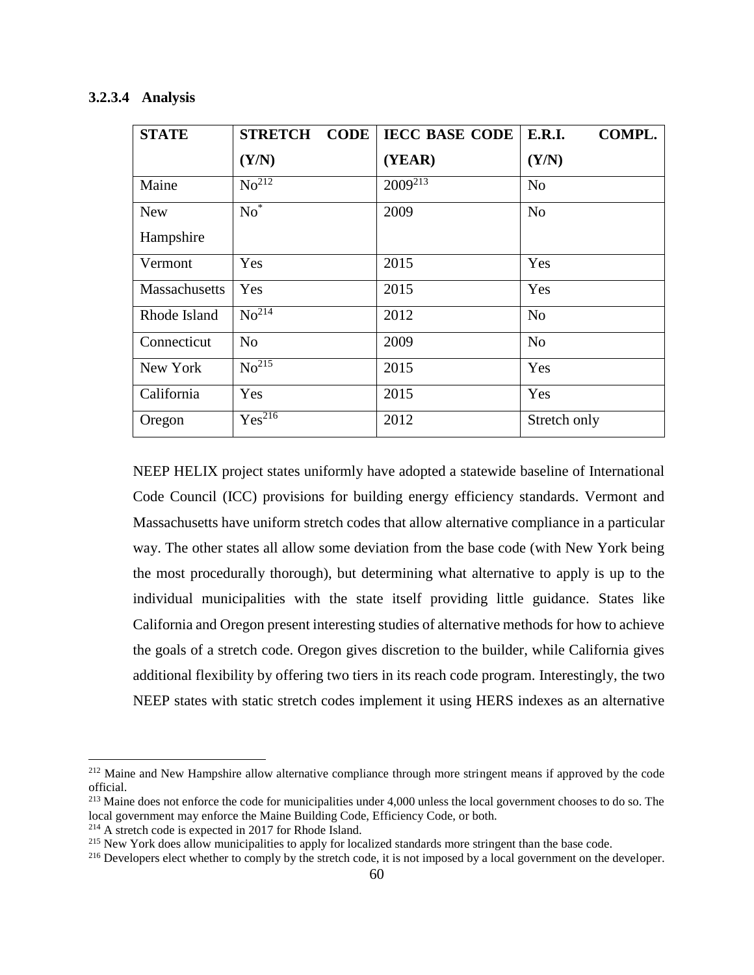## <span id="page-59-0"></span>**3.2.3.4 Analysis**

| <b>STATE</b>  | <b>CODE</b><br><b>STRETCH</b> | <b>IECC BASE CODE</b> | <b>E.R.I.</b><br>COMPL. |
|---------------|-------------------------------|-----------------------|-------------------------|
|               | (Y/N)                         | (YEAR)                | (Y/N)                   |
| Maine         | $No^{212}$                    | $2009^{213}$          | N <sub>0</sub>          |
| <b>New</b>    | $No^*$                        | 2009                  | <b>No</b>               |
| Hampshire     |                               |                       |                         |
| Vermont       | Yes                           | 2015                  | Yes                     |
| Massachusetts | Yes                           | 2015                  | Yes                     |
| Rhode Island  | N <sub>0</sub> <sup>214</sup> | 2012                  | N <sub>o</sub>          |
| Connecticut   | N <sub>o</sub>                | 2009                  | N <sub>0</sub>          |
| New York      | No <sup>215</sup>             | 2015                  | Yes                     |
| California    | Yes                           | 2015                  | Yes                     |
| Oregon        | Yes <sup>216</sup>            | 2012                  | Stretch only            |

NEEP HELIX project states uniformly have adopted a statewide baseline of International Code Council (ICC) provisions for building energy efficiency standards. Vermont and Massachusetts have uniform stretch codes that allow alternative compliance in a particular way. The other states all allow some deviation from the base code (with New York being the most procedurally thorough), but determining what alternative to apply is up to the individual municipalities with the state itself providing little guidance. States like California and Oregon present interesting studies of alternative methods for how to achieve the goals of a stretch code. Oregon gives discretion to the builder, while California gives additional flexibility by offering two tiers in its reach code program. Interestingly, the two NEEP states with static stretch codes implement it using HERS indexes as an alternative

 $\overline{a}$ 

<sup>&</sup>lt;sup>212</sup> Maine and New Hampshire allow alternative compliance through more stringent means if approved by the code official.

<sup>&</sup>lt;sup>213</sup> Maine does not enforce the code for municipalities under 4,000 unless the local government chooses to do so. The local government may enforce the Maine Building Code, Efficiency Code, or both.

<sup>214</sup> A stretch code is expected in 2017 for Rhode Island.

<sup>&</sup>lt;sup>215</sup> New York does allow municipalities to apply for localized standards more stringent than the base code.

<sup>&</sup>lt;sup>216</sup> Developers elect whether to comply by the stretch code, it is not imposed by a local government on the developer.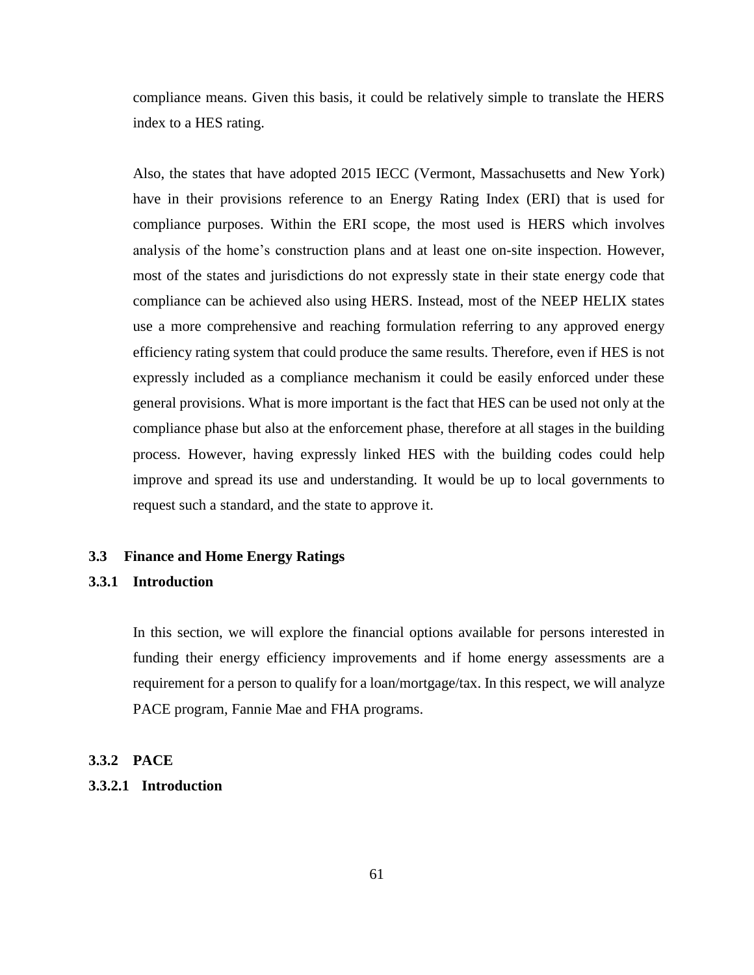compliance means. Given this basis, it could be relatively simple to translate the HERS index to a HES rating.

Also, the states that have adopted 2015 IECC (Vermont, Massachusetts and New York) have in their provisions reference to an Energy Rating Index (ERI) that is used for compliance purposes. Within the ERI scope, the most used is HERS which involves analysis of the home's construction plans and at least one on-site inspection. However, most of the states and jurisdictions do not expressly state in their state energy code that compliance can be achieved also using HERS. Instead, most of the NEEP HELIX states use a more comprehensive and reaching formulation referring to any approved energy efficiency rating system that could produce the same results. Therefore, even if HES is not expressly included as a compliance mechanism it could be easily enforced under these general provisions. What is more important is the fact that HES can be used not only at the compliance phase but also at the enforcement phase, therefore at all stages in the building process. However, having expressly linked HES with the building codes could help improve and spread its use and understanding. It would be up to local governments to request such a standard, and the state to approve it.

#### <span id="page-60-0"></span>**3.3 Finance and Home Energy Ratings**

#### <span id="page-60-1"></span>**3.3.1 Introduction**

In this section, we will explore the financial options available for persons interested in funding their energy efficiency improvements and if home energy assessments are a requirement for a person to qualify for a loan/mortgage/tax. In this respect, we will analyze PACE program, Fannie Mae and FHA programs.

#### <span id="page-60-2"></span>**3.3.2 PACE**

## <span id="page-60-3"></span>**3.3.2.1 Introduction**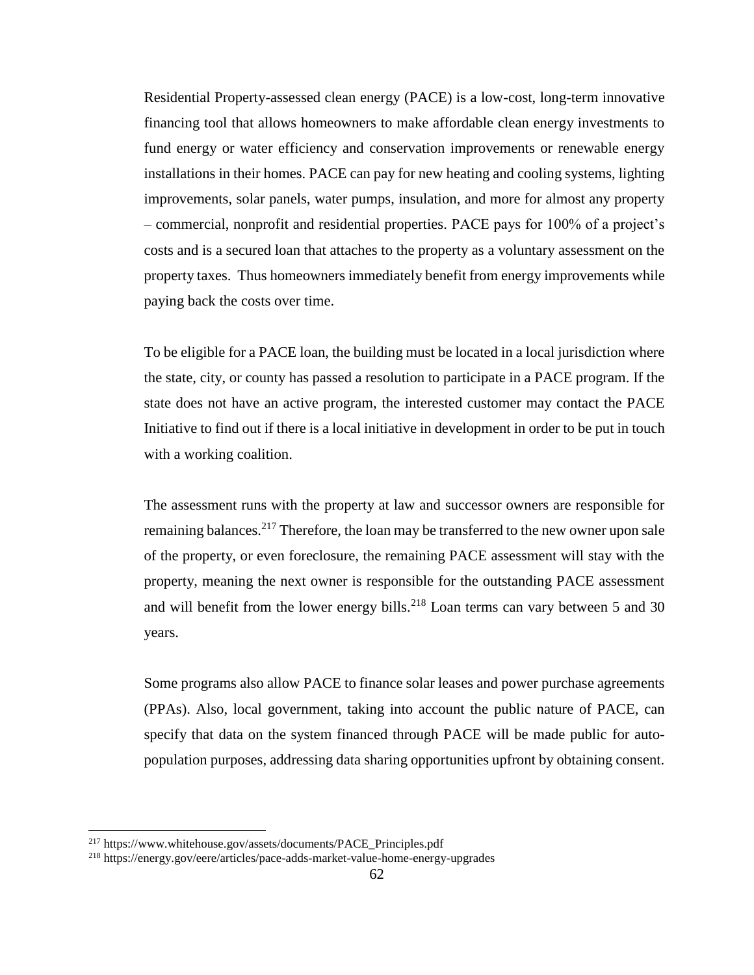Residential Property-assessed clean energy (PACE) is a low-cost, long-term innovative financing tool that allows homeowners to make affordable clean energy investments to fund energy or water efficiency and conservation improvements or renewable energy installations in their homes. PACE can pay for new heating and cooling systems, lighting improvements, solar panels, water pumps, insulation, and more for almost any property – commercial, nonprofit and residential properties. PACE pays for 100% of a project's costs and is a secured loan that attaches to the property as a voluntary assessment on the property taxes. Thus homeowners immediately benefit from energy improvements while paying back the costs over time.

To be eligible for a PACE loan, the building must be located in a local jurisdiction where the state, city, or county has passed a resolution to participate in a PACE program. If the state does not have an active program, the interested customer may contact the PACE Initiative to find out if there is a local initiative in development in order to be put in touch with a working coalition.

The assessment runs with the property at law and successor owners are responsible for remaining balances.<sup>217</sup> Therefore, the loan may be transferred to the new owner upon sale of the property, or even foreclosure, the remaining PACE assessment will stay with the property, meaning the next owner is responsible for the outstanding PACE assessment and will benefit from the lower energy bills.<sup>218</sup> Loan terms can vary between 5 and 30 years.

Some programs also allow PACE to finance solar leases and power purchase agreements (PPAs). Also, local government, taking into account the public nature of PACE, can specify that data on the system financed through PACE will be made public for autopopulation purposes, addressing data sharing opportunities upfront by obtaining consent.

l

<sup>217</sup> https://www.whitehouse.gov/assets/documents/PACE\_Principles.pdf

<sup>218</sup> https://energy.gov/eere/articles/pace-adds-market-value-home-energy-upgrades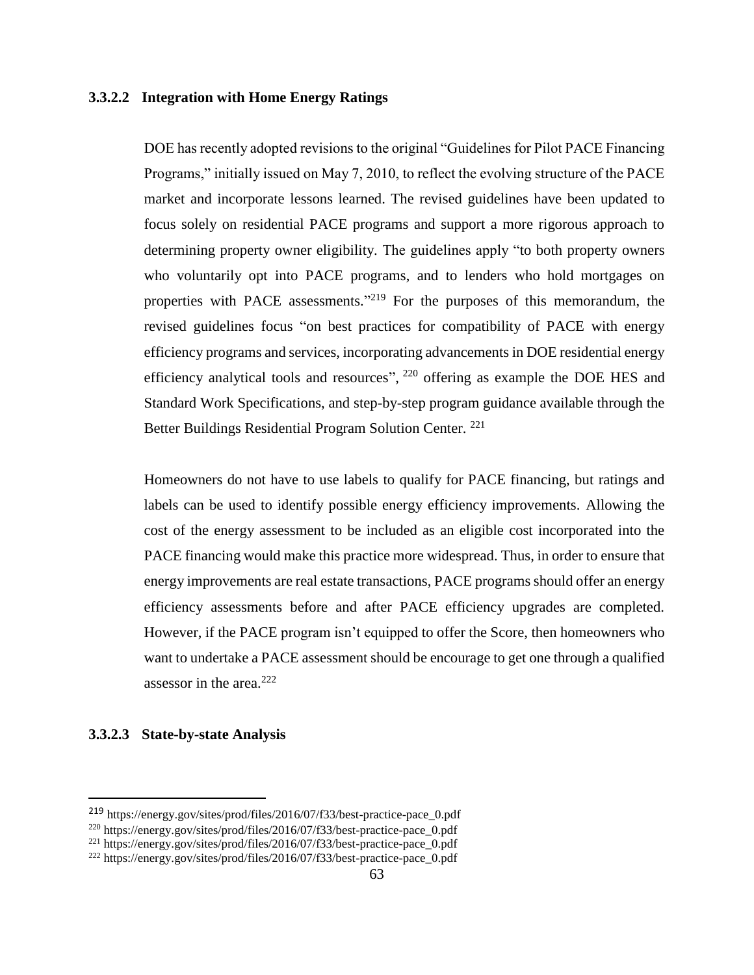## <span id="page-62-0"></span>**3.3.2.2 Integration with Home Energy Ratings**

DOE has recently adopted revisions to the original "Guidelines for Pilot PACE Financing Programs," initially issued on May 7, 2010, to reflect the evolving structure of the PACE market and incorporate lessons learned. The revised guidelines have been updated to focus solely on residential PACE programs and support a more rigorous approach to determining property owner eligibility. The guidelines apply "to both property owners who voluntarily opt into PACE programs, and to lenders who hold mortgages on properties with PACE assessments."<sup>219</sup> For the purposes of this memorandum, the revised guidelines focus "on best practices for compatibility of PACE with energy efficiency programs and services, incorporating advancements in DOE residential energy efficiency analytical tools and resources", <sup>220</sup> offering as example the DOE HES and Standard Work Specifications, and step-by-step program guidance available through the Better Buildings Residential Program Solution Center. <sup>221</sup>

Homeowners do not have to use labels to qualify for PACE financing, but ratings and labels can be used to identify possible energy efficiency improvements. Allowing the cost of the energy assessment to be included as an eligible cost incorporated into the PACE financing would make this practice more widespread. Thus, in order to ensure that energy improvements are real estate transactions, PACE programs should offer an energy efficiency assessments before and after PACE efficiency upgrades are completed. However, if the PACE program isn't equipped to offer the Score, then homeowners who want to undertake a PACE assessment should be encourage to get one through a qualified assessor in the area. $222$ 

## <span id="page-62-1"></span>**3.3.2.3 State-by-state Analysis**

 $\overline{\phantom{a}}$ 

<sup>219</sup> https://energy.gov/sites/prod/files/2016/07/f33/best-practice-pace\_0.pdf

<sup>220</sup> https://energy.gov/sites/prod/files/2016/07/f33/best-practice-pace\_0.pdf

<sup>221</sup> https://energy.gov/sites/prod/files/2016/07/f33/best-practice-pace\_0.pdf

<sup>222</sup> https://energy.gov/sites/prod/files/2016/07/f33/best-practice-pace\_0.pdf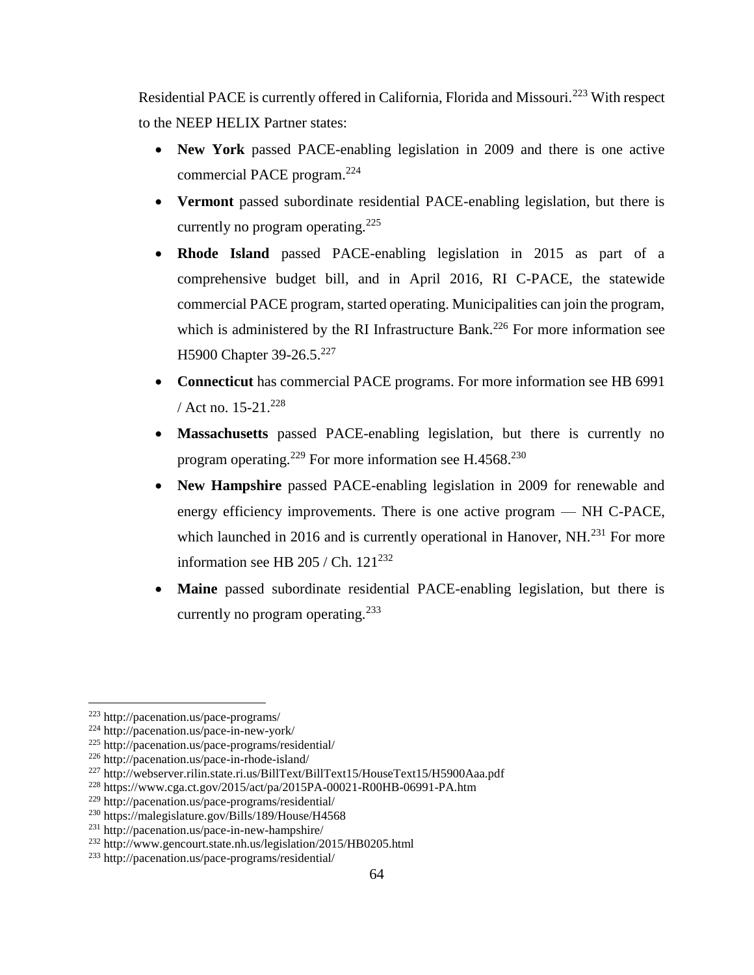Residential PACE is currently offered in California, Florida and Missouri.<sup>223</sup> With respect to the NEEP HELIX Partner states:

- **New York** passed PACE-enabling legislation in 2009 and there is one active commercial PACE program.<sup>224</sup>
- **Vermont** passed subordinate residential PACE-enabling legislation, but there is currently no program operating.<sup>225</sup>
- **Rhode Island** passed PACE-enabling legislation in 2015 as part of a comprehensive budget bill, and in April 2016, RI C-PACE, the statewide commercial PACE program, started operating. Municipalities can join the program, which is administered by the RI Infrastructure Bank.<sup>226</sup> For more information see H5900 Chapter 39-26.5.<sup>227</sup>
- **Connecticut** has commercial PACE programs. For more information see HB 6991 / Act no.  $15-21^{228}$
- **Massachusetts** passed PACE-enabling legislation, but there is currently no program operating.<sup>229</sup> For more information see H.4568.<sup>230</sup>
- **New Hampshire** passed PACE-enabling legislation in 2009 for renewable and energy efficiency improvements. There is one active program — NH C-PACE, which launched in 2016 and is currently operational in Hanover, NH.<sup>231</sup> For more information see HB 205 / Ch.  $121^{232}$
- **Maine** passed subordinate residential PACE-enabling legislation, but there is currently no program operating.<sup>233</sup>

 $\overline{\phantom{a}}$ 

<sup>223</sup> http://pacenation.us/pace-programs/

<sup>224</sup> http://pacenation.us/pace-in-new-york/

<sup>225</sup> http://pacenation.us/pace-programs/residential/

<sup>226</sup> http://pacenation.us/pace-in-rhode-island/

<sup>227</sup> http://webserver.rilin.state.ri.us/BillText/BillText15/HouseText15/H5900Aaa.pdf

<sup>228</sup> https://www.cga.ct.gov/2015/act/pa/2015PA-00021-R00HB-06991-PA.htm

<sup>229</sup> http://pacenation.us/pace-programs/residential/

<sup>230</sup> https://malegislature.gov/Bills/189/House/H4568

<sup>231</sup> http://pacenation.us/pace-in-new-hampshire/

<sup>232</sup> http://www.gencourt.state.nh.us/legislation/2015/HB0205.html

<sup>233</sup> http://pacenation.us/pace-programs/residential/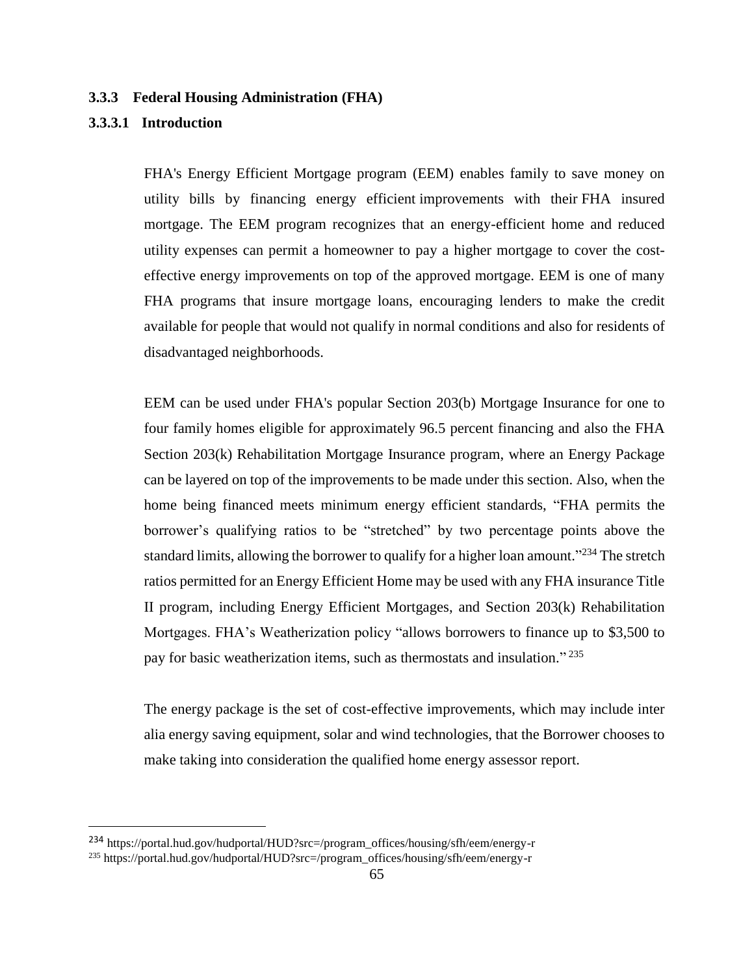## <span id="page-64-0"></span>**3.3.3 Federal Housing Administration (FHA)**

## <span id="page-64-1"></span>**3.3.3.1 Introduction**

 $\overline{a}$ 

FHA's Energy Efficient Mortgage program (EEM) enables family to save money on utility bills by financing energy efficient improvements with their FHA insured mortgage. The EEM program recognizes that an energy-efficient home and reduced utility expenses can permit a homeowner to pay a higher mortgage to cover the costeffective energy improvements on top of the approved mortgage. EEM is one of many FHA programs that insure mortgage loans, encouraging lenders to make the credit available for people that would not qualify in normal conditions and also for residents of disadvantaged neighborhoods.

EEM can be used under FHA's popular Section 203(b) Mortgage Insurance for one to four family homes eligible for approximately 96.5 percent financing and also the FHA Section 203(k) Rehabilitation Mortgage Insurance program, where an Energy Package can be layered on top of the improvements to be made under this section. Also, when the home being financed meets minimum energy efficient standards, "FHA permits the borrower's qualifying ratios to be "stretched" by two percentage points above the standard limits, allowing the borrower to qualify for a higher loan amount."<sup>234</sup> The stretch ratios permitted for an Energy Efficient Home may be used with any FHA insurance Title II program, including Energy Efficient Mortgages, and Section 203(k) Rehabilitation Mortgages. FHA's Weatherization policy "allows borrowers to finance up to \$3,500 to pay for basic weatherization items, such as thermostats and insulation."<sup>235</sup>

The energy package is the set of cost-effective improvements, which may include inter alia energy saving equipment, solar and wind technologies, that the Borrower chooses to make taking into consideration the qualified home energy assessor report.

<sup>234</sup> https://portal.hud.gov/hudportal/HUD?src=/program\_offices/housing/sfh/eem/energy-r

<sup>235</sup> https://portal.hud.gov/hudportal/HUD?src=/program\_offices/housing/sfh/eem/energy-r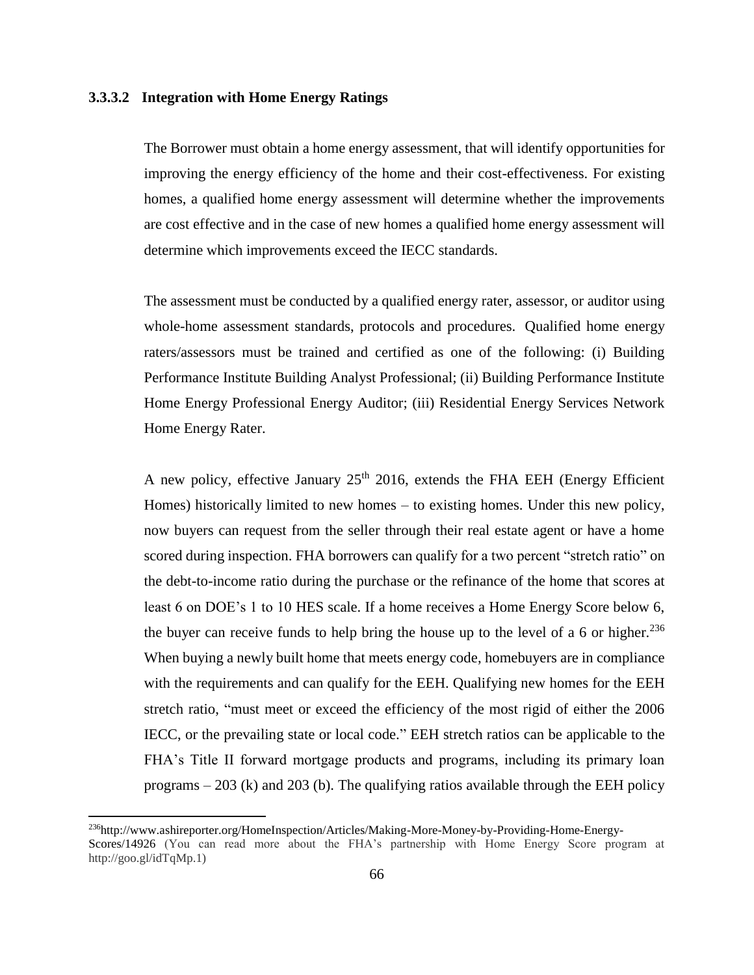## <span id="page-65-0"></span>**3.3.3.2 Integration with Home Energy Ratings**

The Borrower must obtain a home energy assessment, that will identify opportunities for improving the energy efficiency of the home and their cost-effectiveness. For existing homes, a qualified home energy assessment will determine whether the improvements are cost effective and in the case of new homes a qualified home energy assessment will determine which improvements exceed the IECC standards.

The assessment must be conducted by a qualified energy rater, assessor, or auditor using whole-home assessment standards, protocols and procedures. Qualified home energy raters/assessors must be trained and certified as one of the following: (i) Building Performance Institute Building Analyst Professional; (ii) Building Performance Institute Home Energy Professional Energy Auditor; (iii) Residential Energy Services Network Home Energy Rater.

A new policy, effective January  $25<sup>th</sup>$  2016, extends the FHA EEH (Energy Efficient Homes) historically limited to new homes – to existing homes. Under this new policy, now buyers can request from the seller through their real estate agent or have a home scored during inspection. FHA borrowers can qualify for a two percent "stretch ratio" on the debt-to-income ratio during the purchase or the refinance of the home that scores at least 6 on DOE's 1 to 10 HES scale. If a home receives a Home Energy Score below 6, the buyer can receive funds to help bring the house up to the level of a 6 or higher.<sup>236</sup> When buying a newly built home that meets energy code, homebuyers are in compliance with the requirements and can qualify for the EEH. Qualifying new homes for the EEH stretch ratio, "must meet or exceed the efficiency of the most rigid of either the 2006 IECC, or the prevailing state or local code." EEH stretch ratios can be applicable to the FHA's Title II forward mortgage products and programs, including its primary loan programs – 203 (k) and 203 (b). The qualifying ratios available through the EEH policy

 $\overline{a}$ 

<sup>236</sup>http://www.ashireporter.org/HomeInspection/Articles/Making-More-Money-by-Providing-Home-Energy-Scores/14926 (You can read more about the FHA's partnership with Home Energy Score program at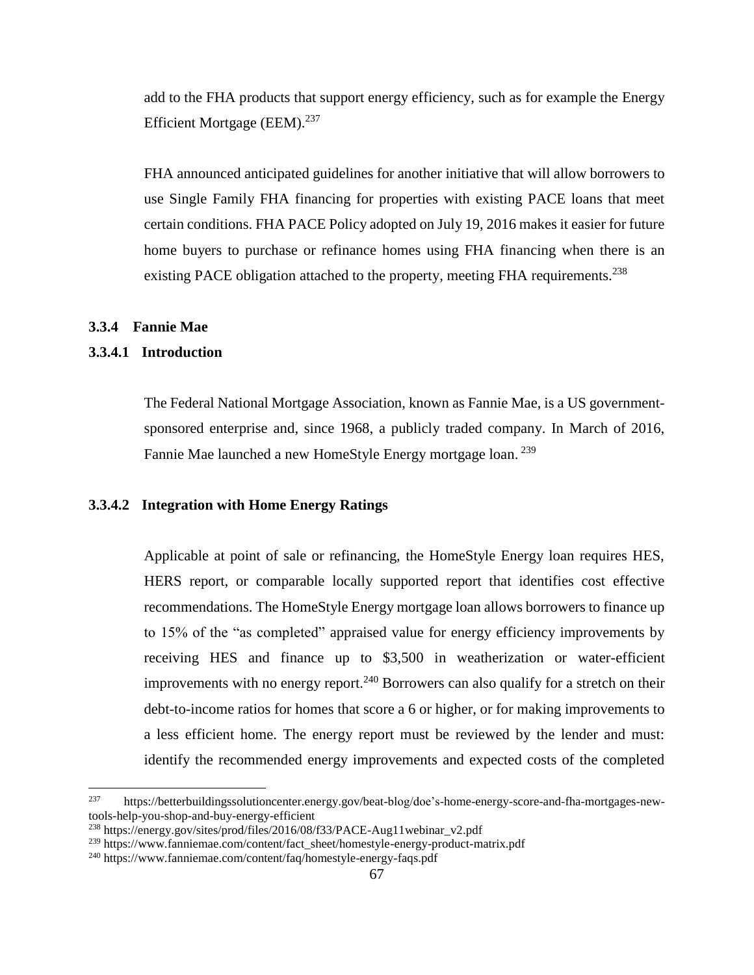add to the FHA products that support energy efficiency, such as for example the Energy Efficient Mortgage (EEM).<sup>237</sup>

FHA announced anticipated guidelines for another initiative that will allow borrowers to use Single Family FHA financing for properties with existing PACE loans that meet certain conditions. FHA PACE Policy adopted on July 19, 2016 makes it easier for future home buyers to purchase or refinance homes using FHA financing when there is an existing PACE obligation attached to the property, meeting FHA requirements.<sup>238</sup>

## <span id="page-66-0"></span>**3.3.4 Fannie Mae**

## <span id="page-66-1"></span>**3.3.4.1 Introduction**

The Federal National Mortgage Association, known as Fannie Mae, is a US governmentsponsored enterprise and, since 1968, a publicly traded company. In March of 2016, Fannie Mae launched a new HomeStyle Energy mortgage loan.<sup>239</sup>

#### <span id="page-66-2"></span>**3.3.4.2 Integration with Home Energy Ratings**

Applicable at point of sale or refinancing, the HomeStyle Energy loan requires HES, HERS report, or comparable locally supported report that identifies cost effective recommendations. The HomeStyle Energy mortgage loan allows borrowers to finance up to 15% of the "as completed" appraised value for energy efficiency improvements by receiving HES and finance up to \$3,500 in weatherization or water-efficient improvements with no energy report.<sup>240</sup> Borrowers can also qualify for a stretch on their debt-to-income ratios for homes that score a 6 or higher, or for making improvements to a less efficient home. The energy report must be reviewed by the lender and must: identify the recommended energy improvements and expected costs of the completed

<sup>237</sup> <sup>237</sup> https://betterbuildingssolutioncenter.energy.gov/beat-blog/doe's-home-energy-score-and-fha-mortgages-newtools-help-you-shop-and-buy-energy-efficient

<sup>238</sup> https://energy.gov/sites/prod/files/2016/08/f33/PACE-Aug11webinar\_v2.pdf

<sup>239</sup> https://www.fanniemae.com/content/fact\_sheet/homestyle-energy-product-matrix.pdf

<sup>240</sup> https://www.fanniemae.com/content/faq/homestyle-energy-faqs.pdf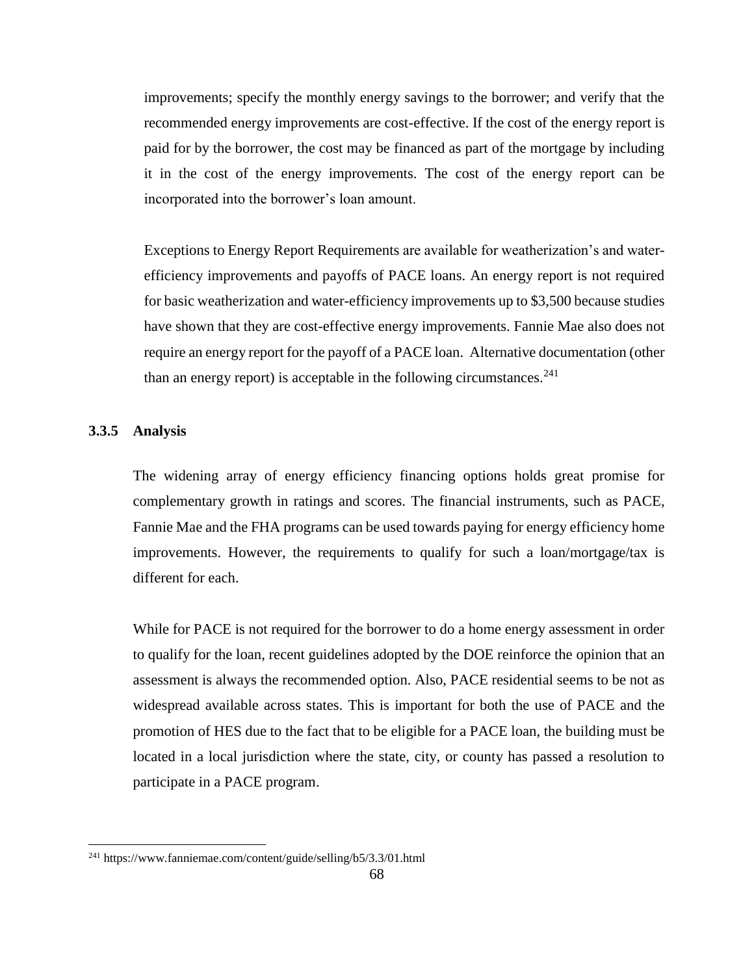improvements; specify the monthly energy savings to the borrower; and verify that the recommended energy improvements are cost-effective. If the cost of the energy report is paid for by the borrower, the cost may be financed as part of the mortgage by including it in the cost of the energy improvements. The cost of the energy report can be incorporated into the borrower's loan amount.

Exceptions to Energy Report Requirements are available for weatherization's and waterefficiency improvements and payoffs of PACE loans. An energy report is not required for basic weatherization and water-efficiency improvements up to \$3,500 because studies have shown that they are cost-effective energy improvements. Fannie Mae also does not require an energy report for the payoff of a PACE loan. Alternative documentation (other than an energy report) is acceptable in the following circumstances.<sup>241</sup>

#### <span id="page-67-0"></span>**3.3.5 Analysis**

 $\overline{a}$ 

The widening array of energy efficiency financing options holds great promise for complementary growth in ratings and scores. The financial instruments, such as PACE, Fannie Mae and the FHA programs can be used towards paying for energy efficiency home improvements. However, the requirements to qualify for such a loan/mortgage/tax is different for each.

While for PACE is not required for the borrower to do a home energy assessment in order to qualify for the loan, recent guidelines adopted by the DOE reinforce the opinion that an assessment is always the recommended option. Also, PACE residential seems to be not as widespread available across states. This is important for both the use of PACE and the promotion of HES due to the fact that to be eligible for a PACE loan, the building must be located in a local jurisdiction where the state, city, or county has passed a resolution to participate in a PACE program.

<sup>241</sup> https://www.fanniemae.com/content/guide/selling/b5/3.3/01.html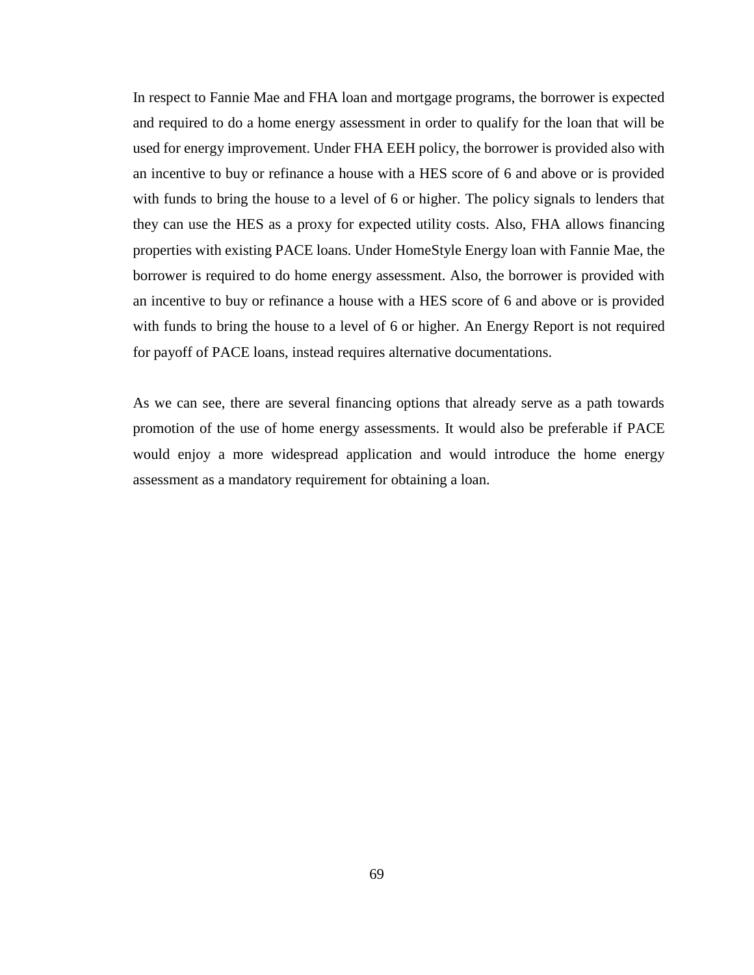In respect to Fannie Mae and FHA loan and mortgage programs, the borrower is expected and required to do a home energy assessment in order to qualify for the loan that will be used for energy improvement. Under FHA EEH policy, the borrower is provided also with an incentive to buy or refinance a house with a HES score of 6 and above or is provided with funds to bring the house to a level of 6 or higher. The policy signals to lenders that they can use the HES as a proxy for expected utility costs. Also, FHA allows financing properties with existing PACE loans. Under HomeStyle Energy loan with Fannie Mae, the borrower is required to do home energy assessment. Also, the borrower is provided with an incentive to buy or refinance a house with a HES score of 6 and above or is provided with funds to bring the house to a level of 6 or higher. An Energy Report is not required for payoff of PACE loans, instead requires alternative documentations.

As we can see, there are several financing options that already serve as a path towards promotion of the use of home energy assessments. It would also be preferable if PACE would enjoy a more widespread application and would introduce the home energy assessment as a mandatory requirement for obtaining a loan.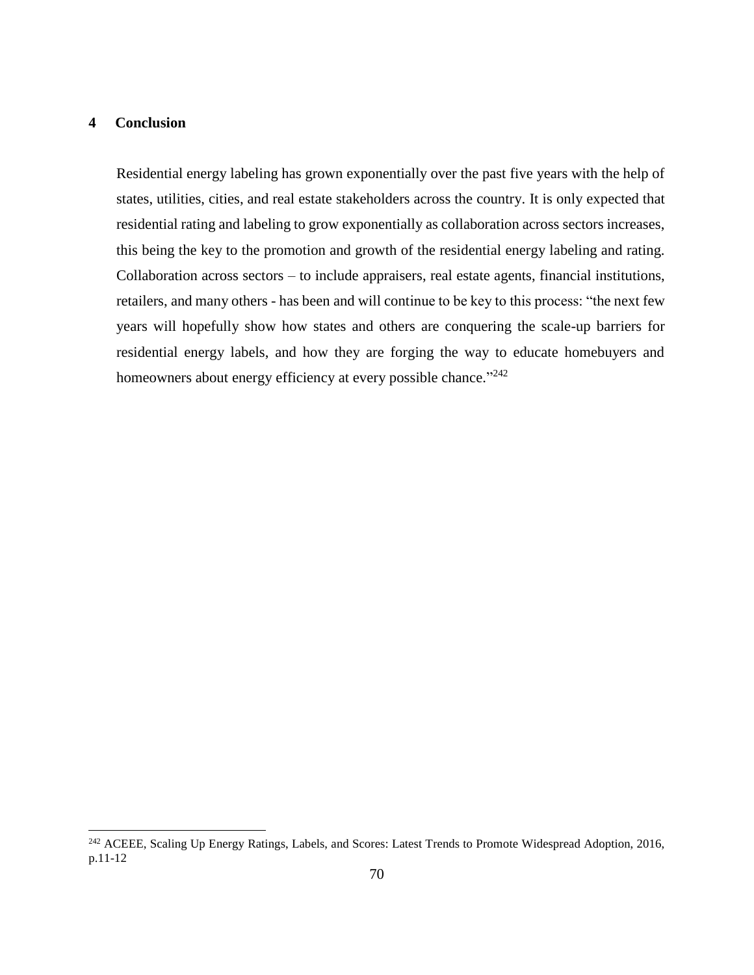## <span id="page-69-0"></span>**4 Conclusion**

l

Residential energy labeling has grown exponentially over the past five years with the help of states, utilities, cities, and real estate stakeholders across the country. It is only expected that residential rating and labeling to grow exponentially as collaboration across sectors increases, this being the key to the promotion and growth of the residential energy labeling and rating. Collaboration across sectors – to include appraisers, real estate agents, financial institutions, retailers, and many others - has been and will continue to be key to this process: "the next few years will hopefully show how states and others are conquering the scale-up barriers for residential energy labels, and how they are forging the way to educate homebuyers and homeowners about energy efficiency at every possible chance."242

<sup>&</sup>lt;sup>242</sup> ACEEE, Scaling Up Energy Ratings, Labels, and Scores: Latest Trends to Promote Widespread Adoption, 2016, p.11-12